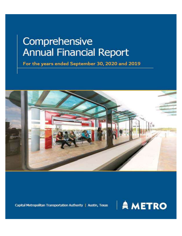# Comprehensive **Annual Financial Report**

For the years ended September 30, 2020 and 2019



Capital Metropolitan Transportation Authority | Austin, Texas

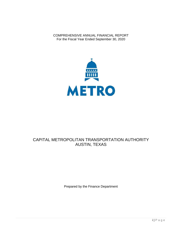COMPREHENSIVE ANNUAL FINANCIAL REPORT For the Fiscal Year Ended September 30, 2020



### CAPITAL METROPOLITAN TRANSPORTATION AUTHORITY AUSTIN, TEXAS

Prepared by the Finance Department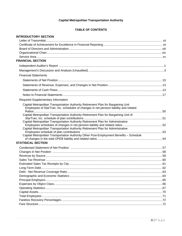#### **Capital Metropolitan Transportation Authority**

#### **TABLE OF CONTENTS**

| <b>INTRODUCTORY SECTION</b>                                                             |  |
|-----------------------------------------------------------------------------------------|--|
|                                                                                         |  |
|                                                                                         |  |
|                                                                                         |  |
|                                                                                         |  |
|                                                                                         |  |
| <b>FINANCIAL SECTION</b>                                                                |  |
|                                                                                         |  |
|                                                                                         |  |
| <b>Financial Statements</b>                                                             |  |
|                                                                                         |  |
|                                                                                         |  |
|                                                                                         |  |
|                                                                                         |  |
| Required Supplementary Information                                                      |  |
| Capital Metropolitan Transportation Authority Retirement Plan for Bargaining Unit       |  |
| Employees of StarTran, Inc. schedules of changes in net pension liability and related   |  |
|                                                                                         |  |
| Capital Metropolitan Transportation Authority Retirement Plan for Bargaining Unit of    |  |
| Capital Metropolitan Transportation Authority Retirement Plan for Administrative        |  |
|                                                                                         |  |
| Capital Metropolitan Transportation Authority Retirement Plan for Administrative        |  |
|                                                                                         |  |
| Capital Metropolitan Transportation Authority Other Post-Employment Benefits - Schedule |  |
| <b>STATISICAL SECTION</b>                                                               |  |
|                                                                                         |  |
|                                                                                         |  |
|                                                                                         |  |
|                                                                                         |  |
|                                                                                         |  |
|                                                                                         |  |
|                                                                                         |  |
|                                                                                         |  |
|                                                                                         |  |
|                                                                                         |  |
|                                                                                         |  |
|                                                                                         |  |
|                                                                                         |  |
|                                                                                         |  |
|                                                                                         |  |
|                                                                                         |  |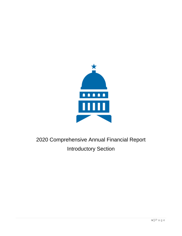

## 2020 Comprehensive Annual Financial Report Introductory Section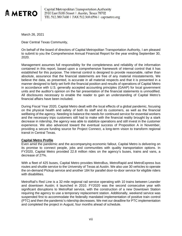

March 26, 2021

Dear Central Texas Community,

On behalf of the board of directors of Capital Metropolitan Transportation Authority, I am pleased to submit to you the Comprehensive Annual Financial Report for the year ending September 30, 2020.

Management assumes full responsibility for the completeness and reliability of the information contained in this report, based upon a comprehensive framework of internal control that it has established for this purpose. The internal control is designed to provide reasonable, rather than absolute, assurance that the financial statements are free of any material misstatements. We believe the data, as presented, is accurate in all material respects and that it is presented in a manner designed to fairly set forth the financial position and results of operations of Capital Metro in accordance with U.S. generally accepted accounting principles (GAAP) for local government units and the auditor's opinion on the fair presentation of the financial statements is unmodified. All disclosures necessary to enable the reader to gain an understanding of Capital Metro's financial affairs have been included.

During Fiscal Year 2020, Capital Metro dealt with the local effects of a global pandemic, focusing on the physical health and safety of both its staff and its customers, as well as the financial wellbeing of the agency. Needing to balance the needs for continued service for essential workers and the necessary trips customers still had to make with the financial reality brought by a stark decrease in ridership, the agency was able to stabilize operations and still invest in the customer experience. We also advanced toward the eventual success of Proposition A in November, providing a secure funding source for Project Connect, a long-term vision to transform regional transit in Central Texas.

#### **Capital Metro Profile**

Even amid the pandemic and the accompanying economic fallout, Capital Metro is delivering on its promise to connect people, jobs and communities with quality transportation options. In FY2020, Capital Metro provided 22.8 million rides on the agency's buses, trains and vans, a decrease of 27%.

With a fleet of 425 buses, Capital Metro provides MetroBus, MetroRapid and MetroExpress bus routes and shuttle service to the University of Texas at Austin. We also use 30 vehicles to operate the on-demand Pickup service and another 184 for parallel door-to-door service for eligible riders with disabilities.

MetroRail's Red Line is a 32-mile regional rail service operating with 10 trains between Leander and downtown Austin; it launched in 2010. FY2020 was the second consecutive year with significant disruptions to MetroRail service, with the construction of a new Downtown Station requiring the agency to use a temporary replacement station. Additionally, weekend service was suspended first to accommodate the federally mandated implementation of positive train control (PTC) and then the pandemic's ridership decreases. We met our deadline for PTC implementation and completed the project in August, four months ahead of schedule.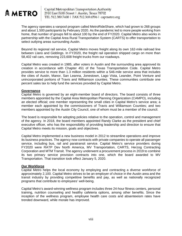

The agency operates a vanpool program called MetroRideShare, which had grown to 268 groups and about 1,500 participants by February 2020. As the pandemic led to more people working from home, that number of groups fell to about 100 by the end of FY2020. Capital Metro also works in partnership with the Capital Area Rural Transportation System (CARTS) to offer transportation to select outlying areas surrounding Austin.

Beyond its regional rail service, Capital Metro moves freight along its own 162-mile railroad line between Llano and Giddings. In FY2020, the freight rail operation shipped cargo on more than 58,402 rail cars, removing 223,608 freight trucks from our roadways.

Capital Metro was created in 1985, after voters in Austin and the surrounding area approved its creation in accordance with Chapter 451 of the Texas Transportation Code. Capital Metro provides service to more than 1.3 million residents within a 546-mile service area that includes the cities of Austin, Manor, San Leanna, Jonestown, Lago Vista, Leander, Point Venture and unincorporated portions of Travis and Williamson counties. These communities contribute one percent sales tax to help fund the services provided by Capital Metro.

#### **Governance**

Capital Metro is governed by an eight-member board of directors. The board consists of three members appointed by the Capital Area Metropolitan Planning Organization (CAMPO), including an elected official; one member representing the small cities in Capital Metro's service area; a member each appointed by the commissioners of Travis and Williamson Counties; and two members appointed by the Austin City Council, one of whom must be a member of the council.

The board is responsible for adopting policies relative to the operation, control and management of the agency. In 2018, the board members appointed Randy Clarke as the president and chief executive officer, who has the responsibility of providing leadership and direction to ensure that Capital Metro meets its mission, goals and objectives.

Capital Metro implemented a new business model in 2012 to streamline operations and improve its business practices. The agency now contracts with private companies to operate all passenger service, including bus, rail and paratransit service. Capital Metro's service providers during FY2020 were RATP Dev North America, MV Transportation, CARTS, Herzog Contracting Corporation and MTM Transit. The agency underwent a procurement process in 2019 to combine its two primary service provision contracts into one, which the board awarded to MV Transportation. That transition took effect January 5, 2020.

#### **Our Workforce**

Capital Metro helps the local economy by employing and contracting a diverse workforce of approximately 2,100. Capital Metro strives to be an employer of choice in the Austin area and the transit industry by providing competitive benefits and pay, as well as nationally recognized programs that contribute to employees' well-being.

Capital Metro's award-winning wellness program includes three 24-hour fitness centers, personal training, nutrition counseling and healthy cafeteria options, among other benefits. Since the inception of the wellness program, employee health care costs and absenteeism rates have trended downward, while morale has improved.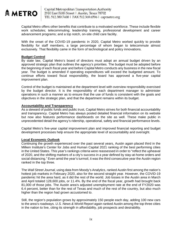

Capital Metro offers other benefits that contribute to a motivated workforce. These include flexible work schedules; telecommuting; leadership training, professional development and career advancement programs; and a top notch, on-site child care facility.

With the onset of the COVID-19 pandemic in 2020, Capital Metro worked quickly to provide flexibility for staff members, a large percentage of whom began to telecommute almost exclusively. That flexibility came in the form of technological and policy innovations.

#### **Budget Control**

By state law, Capital Metro's board of directors must adopt an annual budget driven by an approved strategic plan that outlines the agency's priorities. The budget must be adopted before the beginning of each fiscal year and before Capital Metro conducts any business in the new fiscal year. The budget is amended if operating expenditures will exceed the budgeted amount. To continue efforts toward fiscal responsibility, the board has approved a five-year capital improvement plan.

Control of the budget is maintained at the department level with overview responsibility exercised by the budget director. It is the responsibility of each department manager to administer operations in such a manner as to ensure that the use of funds is consistent with the goals and objectives in the strategic plan, and that the department remains within its budget.

#### **Accountability and Transparency**

As a steward of public funds and public trust, Capital Metro strives for both financial accountability and transparency. Capital Metro has always posted detailed financial information on its website but now also features performance dashboards on the site as well. These make public in unprecedented detail the agency's ridership, operational, safety and financial performance levels.

Capital Metro's five-year capital improvement plan and improved financial reporting and budget development processes help ensure the appropriate level of accountability and oversight.

#### **Local Economic Outlook**

Continuing the growth experienced over the past several years, Austin again placed third in the Milken Institute's Center for Jobs and Human Capital 2021 ranking of the best performing cities in the United States. This year's rankings criteria were reassessed in order to "reflect the upheaval of 2020, and the shifting markers of a city's success in a year defined by stay-at-home orders and social distancing." Even amid the year's turmoil, it was the third consecutive year the Austin region ranked in the top three.

The *Wall Street Journal*, using data from Moody's Analytics, ranked Austin first among the nation's hottest job markets in February 2020, also for the second straight year. However, the COVID-19 pandemic hit the area hard, as it did the rest of the world. Job losses in the Austin area in March and April totaled 128,600 jobs, or 11.4%. By the end of the fiscal year, growth had brought back 81,000 of those jobs. The Austin area's adjusted unemployment rate at the end of FY2020 was 6.4 percent, better than for the rest of Texas and much of the rest of the country, but also much higher than the region had grown accustomed to.

Still, the region's population grows by approximately 150 people each day, adding 100 new cars to the area's roadways. *U.S. News & World Report* again ranked Austin among the top three cities in the nation to live, citing its strength in affordability, job prospects and desirability.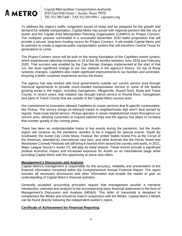

To address the region's traffic congestion issues of today and be prepared for the growth and demand for reliable transportation, Capital Metro has joined with regional partners like the city of Austin and the Capital Area Metropolitan Planning Organization (CAMPO) on Project Connect. The multiyear process culminated in a successful November 2020 ballot proposition that will provide a secure, long-term funding source for Project Connect. It will enable Capital Metro and its partners to create a regional public transportation system that will transform Central Texas for generations to come.

The Project Connect vision will be built on the strong foundation of the CapMetro transit system, which experienced ridership increases in 19 of the 20 months between June 2018 and February 2020. That success was enabled by the Cap Remap changes implemented at the start of that run, the most significant change to our bus network in the agency's history. On top of those systemic changes, CapMetro also made significant improvements to our facilities and amenities, ensuring a better customer experience across the board.

The agency has also worked with local governments outside our current service area through interlocal agreements to provide much-needed transportation service to some of the fastest growing areas in the region, including Georgetown, Pflugerville, Round Rock, Buda and Travis County. In recent years, that initiative has brought transit service to Round Rock, Georgetown and parts of Travis County that are outside of the Capital Metro service area.

Our commitment to innovation allowed CapMetro to create services that fit specific communities, like Pickup. The service brings on-demand transit to neighborhoods that aren't best served by regular, fixed-route transit service. Pickup operates in seven neighborhood zones throughout our service area, allowing customers to request tailored trips and the agency has plans to increase that number greatly in the coming years.

There has been an understandable hiatus in live events during the pandemic, but the Austin region will continue as the pandemic recedes to be a magnet for special events: South By Southwest; the Austin City Limits Music Festival; the United States Grand Prix at the Circuit of the Americas, attended by international race fans; and other festivals like the Pecan Street and Moontower Comedy Festivals will still bring in tourists from around the country and world. In 2021, Major League Soccer's Austin FC will play its initial season. These events provide a significant positive economic impact and increased exposure for Austin on an international stage while providing Capital Metro with the opportunity to serve new riders.

#### **Management's Discussion and Analysis**

Capital Metro's management is responsible for the accuracy, reliability and presentation of the financial information contained within the Comprehensive Annual Financial Report. The report includes all necessary disclosures and other information that enable the reader to gain an understanding of Capital Metro's financial activities.

Generally accepted accounting principles require that management provide a narrative introduction, overview and analysis to the accompanying basic financial statements in the form of Management's Discussion and Analysis (MD&A). This letter of transmittal is designed to complement the MD&A and should be read in conjunction with the MD&A. Capital Metro's MD&A can be found directly following the independent auditor's report.

#### **Certificate of Achievement for Financial Reporting**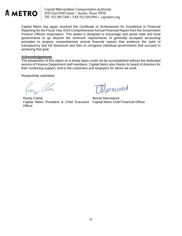

Capital Metro has again received the Certificate of Achievement for Excellence in Financial Reporting for the Fiscal Year 2019 Comprehensive Annual Financial Report from the Government Finance Officers Association. This award is designed to encourage and assist state and local governments to go beyond the minimum requirements of generally accepted accounting principles to prepare comprehensive annual financial reports that evidence the spirit of transparency and full disclosure and then to recognize individual governments that succeed in achieving that goal.

#### **Acknowledgements**

The preparation of this report on a timely basis could not be accomplished without the dedicated service of Finance Department staff members. Capital Metro also thanks its board of directors for their continuing support, and to the customers and taxpayers for whom we work.

Respectfully submitted,

very lla

Randy Clarke Capital Metro President & Chief Executive Capital Metro Chief Financial Officer **Officer** 

Jameweek

Reinet Marneweck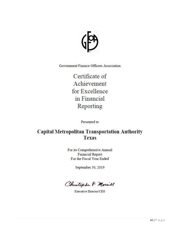Government Finance Officers Association

Certificate of Achievement for Excellence in Financial Reporting

Presented to

## **Capital Metropolitan Transportation Authority Texas**

For its Comprehensive Annual **Financial Report** For the Fiscal Year Ended

September 30, 2019

Christopher P. Morrill

Executive Director/CEO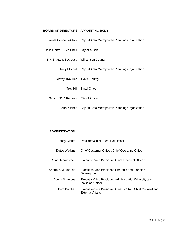#### **BOARD OF DIRECTORS APPOINTING BODY**

|                                            | Wade Cooper – Chair Capital Area Metropolitan Planning Organization |
|--------------------------------------------|---------------------------------------------------------------------|
| Delia Garza – Vice Chair City of Austin    |                                                                     |
| Eric Stratton, Secretary Williamson County |                                                                     |
|                                            | Terry Mitchell Capital Area Metropolitan Planning Organization      |
| Jeffrey Travillion Travis County           |                                                                     |
|                                            | Troy Hill Small Cities                                              |
| Sabino "Pio" Renteria City of Austin       |                                                                     |
|                                            | Ann Kitchen Capital Area Metropolitan Planning Organization         |

#### **ADMINISTRATION**

| Randy Clarke            | President/Chief Executive Officer                                                      |
|-------------------------|----------------------------------------------------------------------------------------|
| Dottie Watkins          | Chief Customer Officer, Chief Operating Officer                                        |
| <b>Reinet Marneweck</b> | Executive Vice President, Chief Financial Officer                                      |
| Sharmila Mukherjee      | Executive Vice President, Strategic and Planning<br>Development                        |
| Donna Simmons           | Executive Vice President, Administration/Diversity and<br>Inclusion Officer            |
| Kerri Butcher           | Executive Vice President, Chief of Staff, Chief Counsel and<br><b>External Affairs</b> |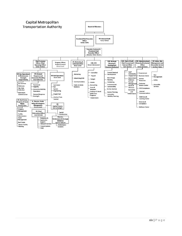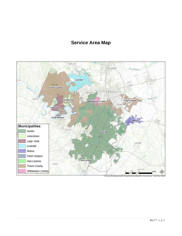### **Service Area Map**

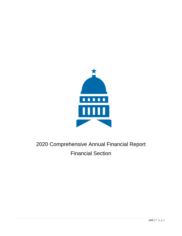

## 2020 Comprehensive Annual Financial Report Financial Section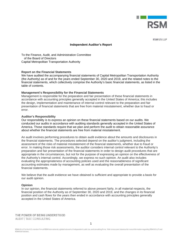

**RSM US LLP** 

#### **Independent Auditor's Report**

To the Finance, Audit, and Administration Committee of the Board of Directors Capital Metropolitan Transportation Authority

#### **Report on the Financial Statements**

We have audited the accompanying financial statements of Capital Metropolitan Transportation Authority (the Authority) as of and for the years ended September 30, 2020 and 2019, and the related notes to the financial statements, which collectively comprise the Authority's basic financial statements, as listed in the table of contents.

#### **Management's Responsibility for the Financial Statements**

Management is responsible for the preparation and fair presentation of these financial statements in accordance with accounting principles generally accepted in the United States of America; this includes the design, implementation and maintenance of internal control relevant to the preparation and fair presentation of financial statements that are free from material misstatement, whether due to fraud or error.

#### **Auditor's Responsibility**

Our responsibility is to express an opinion on these financial statements based on our audits. We conducted our audits in accordance with auditing standards generally accepted in the United States of America. Those standards require that we plan and perform the audit to obtain reasonable assurance about whether the financial statements are free from material misstatement.

An audit involves performing procedures to obtain audit evidence about the amounts and disclosures in the financial statements. The procedures selected depend on the auditor's judgment, including the assessment of the risks of material misstatement of the financial statements, whether due to fraud or error. In making those risk assessments, the auditor considers internal control relevant to the Authority's preparation and fair presentation of the financial statements in order to design audit procedures that are appropriate in the circumstances, but not for the purpose of expressing an opinion on the effectiveness of the Authority's internal control. Accordingly, we express no such opinion. An audit also includes evaluating the appropriateness of accounting policies used and the reasonableness of significant accounting estimates made by management, as well as evaluating the overall presentation of the financial statements.

We believe that the audit evidence we have obtained is sufficient and appropriate to provide a basis for our audit opinion.

#### **Opinion**

In our opinion, the financial statements referred to above present fairly, in all material respects, the financial position of the Authority as of September 30, 2020 and 2019, and the changes in its financial position and cash flows for the years then ended in accordance with accounting principles generally accepted in the United States of America.

THE POWER OF BEING UNDERSTOOD AUDIT | TAX | CONSULTING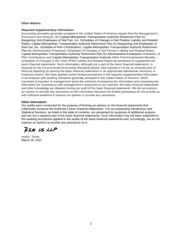#### **Other Matters**

#### *Required Supplementary Information*

Accounting principles generally accepted in the United States of America require that the Management's Discussion and Analysis, the Capital Metropolitan Transportation Authority Retirement Plan for Bargaining Unit Employees of StarTran, Inc. Schedules of Changes in Net Position Liability and Related Ratios, Capital Metropolitan Transportation Authority Retirement Plan for Bargaining Unit Employees of StarTran, Inc. Schedule of Plan Contributions, Capital Metropolitan Transportation Authority Retirement Plan for Administrative Employees Schedules of Changes in Net Pension Liability and Related Ratios, Capital Metropolitan Transportation Authority Retirement Plan for Administrative Employees Schedules of Plan Contributions and Capital Metropolitan Transportation Authority Other Post-Employment Benefits – Schedules of Changes in the Total OPEB Liability and Related Ratios be presented to supplement the basic financial statements. Such information, although not a part of the basic financial statements, is required by the Governmental Accounting Standards Board, who considers it to be an essential part of financial reporting for placing the basic financial statements in an appropriate operational, economic or historical context. We have applied certain limited procedures to the required supplementary information in accordance with auditing standards generally accepted in the United States of America, which consisted of inquiries of management about the methods of preparing the information and comparing the information for consistency with management's responses to our inquiries, the basic financial statements and other knowledge we obtained during our audit of the basic financial statements. We do not express an opinion or provide any assurance on the information because the limited procedures do not provide us with sufficient evidence to express an opinion or provide any assurance.

#### *Other Information*

Our audits were conducted for the purpose of forming an opinion on the financial statements that collectively comprise the Authority's basic financial statements. The accompanying Introductory and Statistical Sections, as listed in the table of contents, are presented for purposes of additional analysis and are not a required part of the basic financial statements. Such information has not been subjected to the auditing procedures applied in the audits of the basic financial statements and, accordingly, we do not express an opinion or provide any assurance on it.

**RSM US LLP** 

Austin, Texas March 26, 2021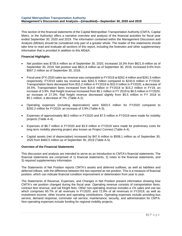This section of the financial statements of the Capital Metropolitan Transportation Authority (CMTA, Capital Metro, or the Authority) offers a narrative overview and analysis of the financial activities for fiscal year ended September 30, 2020 and 2019. The information contained within the Management Discussion and Analysis (MD&A) should be considered only part of a greater whole. The reader of this statements should take time to read and evaluate all sections of this report, including the footnotes and other supplementary information that is provided in addition to this MD&A.

#### **Financial Highlights**

- Net position was \$735.6 million as of September 30, 2020, increased 18.3% from \$621.8 million as of September 30, 2019. Net position was \$621.8 million as of September 30, 2019, increased 9.6% from \$567.2 million as of September 30, 2018.
- Fiscal year (FY) 2020 sales tax revenue was comparable to FY2019 at \$262.4 million and \$261.5 million respectively. FY2019 sales tax revenue was \$261.5 million compared to \$243.6 million in FY2018. Transportation fares decreased from \$15.2 million in FY2019 to \$10.0 million in FY2020, a decrease of 34.5%. Transportation fares increased from \$14.6 million in FY2018 to \$15.2 million in FY19, an increase of 3.9%. Rail freight revenue increased from \$5.1 million in FY 2019 to \$6.5 million in FY2020, an increase of 27.3%. Rail freight revenue decreased slightly from \$5.5 million in FY 2018 to \$5.1 million, a decrease of 7%. (Table A-2).
- Operating expenses (including depreciation) were \$303.5 million for FY2020 compared to \$292.2 million for FY2019, an increase of 3.9% (Table A-3).
- Expenses of approximately \$8.0 million in FY2020 and \$7.5 million in FY2019 were made for mobility projects (Table A-4).
- Expenses of \$6.7 million in FY2020 and \$3.9 million in FY2019 were made for preliminary costs for long term mobility planning project also known as Project Connect (Table A-4).
- Capital assets (net of depreciation) increased by \$47.6 million to \$508.1 million as of September 30, 2020 from \$460.5 million as of September 30, 2019 (Table A-5).

#### **Overview of the Financial Statements**

This discussion and analysis are intended to serve as an introduction to CMTA's financial statements. The financial statements are comprised of 1) financial statements, 2) notes to the financial statements, and 3) required supplementary information.

The Statements of Net Position reports CMTA's assets and deferred outflows, as well as liabilities and deferred inflows, with the difference between the two reported as net position. This is a measure of financial position, which can indicate financial condition improvement or deterioration from year to year.

The Statements of Revenue, Expenses, and Changes in Net Position present information showing how CMTA's net position changed during the fiscal year. Operating revenue consists of transportation fares, contract fare revenue, and rail freight fees. Other non-operating revenue includes a 1% sales and use tax which comprises 60.7% of all revenues in FY2020, and 72.9% of all revenues in FY2019, as well as investment income, other income and operating contributions. Operating expenses include providing bus service, demand response, commuter rail service, maintenance, security, and administration for CMTA. Non-operating expenses include funding for regional mobility projects.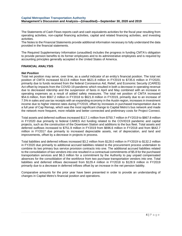#### **Capital Metropolitan Transportation Authority Management's Discussion and Analysis—(Unaudited)—September 30, 2020 and 2019**

The Statements of Cash Flows reports cash and cash equivalents activities for the fiscal year resulting from operating activities, non-capital financing activities, capital and related financing activities, and investing activities.

The Notes to the Financial Statements provide additional information necessary to fully understand the data provided in the financial statements.

The Required Supplementary Information (unaudited) includes the progress in funding CMTA's obligation to provide pension benefits to its former employees and to its administrative employees and is required by accounting principles generally accepted in the United States of America.

#### **FINANCIAL ANALYSIS**

#### *Net Position*

Total net position may serve, over time, as a useful indicator of an entity's financial position. The total net position of CMTA increased \$113.8 million from \$621.8 million in FY2019 to \$735.6 million in FY2020, primarily due to funds received from the federal Coronavirus Aid, Relief, and Economic Security (CARES) Act offset by impacts from the COVID-19 pandemic which resulted in both a decrease in operating revenue due to decreased ridership and the suspension of fares in April and May combined with an increase in operating expenses as a result of added safety measures. The total net position of CMTA increased \$54.6 million, from \$567.2 million in FY2018 to \$621.8 million in FY2019, primarily due to an increase of 7.5% in sales and use tax receipts with an expanding economy in the Austin region, increases in investment income due to higher interest rates during FY2019, offset by increases in purchased transportation due to a full year of Cap Remap, which was the most significant change to Capital Metro's bus network and made the network more frequent, more reliable and better connected and preliminary costs for Project Connect.

Total assets and deferred outflows increased \$117.1 million from \$750.7 million in FY2019 to \$867.8 million in FY2020 due primarily to federal CARES Act funding related to the COVID19 pandemic and capital projects, such as the construction of the Downtown Station and additions to the bus fleet. Total assets and deferred outflows increased to \$751.9 million in FY2019 from \$696.6 million in FY2018 and from \$642.7 million in FY2017 due primarily to increased depreciable assets, net of depreciation, and land and improvements, offset by a decrease in projects in process.

Total liabilities and deferred inflows increased \$3.2 million from \$128.0 million in FY2019 to \$132.2 million in FY2020 due primarily to additional accrued liabilities related to the procurement process undertaken to combine its two primary bus service provision contracts into one. The additional accrued liabilities related to the consolidation of two vendors into one resulted in a contractual commitments of \$5.8 for the purchased transportation services and \$6.3 million for a commitment by the Authority to pay unpaid compensated absences for the consolidation of the workforce from two purchase transportation vendors into one. Total liabilities and deferred inflows decreased from \$129.4 million in FY2018 to \$128.9 million in FY2019 primarily due to a decrease in deferred inflows offset by an increase in the net pension liability.

Comparative amounts for the prior year have been presented in order to provide an understanding of changes in Capital Metro's financial position and operations.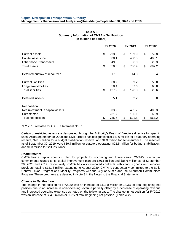|                                              | FY 2020              | FY 2019 |                | FY 2018* |                |
|----------------------------------------------|----------------------|---------|----------------|----------|----------------|
| <b>Current assets</b><br>Capital assets, net | \$<br>293.2<br>508.1 | \$      | 189.9<br>460.5 | \$       | 152.8<br>406.1 |
| Other noncurrent assets                      | 49.3                 |         | 86.0           |          | 128.3          |
| Total assets                                 | \$<br>850.6          | \$      | 736.4          | \$       | 687.2          |
| Deferred outflow of resources                | 17.2                 |         | 14.3           |          | 9.4            |
| <b>Current liabilities</b>                   | 68.7                 |         | 59.2           |          | 56.8           |
| Long-term liabilities                        | 58.4                 |         | 67.6           |          | 66.8           |
| <b>Total liabilities</b>                     | \$<br>127.2          | \$      | 126.8          | \$       | 123.6          |
| Deferred inflows                             | 5.1                  |         | $2.2\,$        |          | 5.8            |
| Net position                                 |                      |         |                |          |                |
| Net investment in capital assets             | 503.9                |         | 455.7          |          | 403.3          |
| Unrestricted                                 | 231.7                |         | 166.1          |          | 163.9          |
| Total net position                           | \$<br>735.6          | \$      | 621.8          | \$       | 567.2          |

#### **Table A-1 Summary Information of CMTA's Net Position (in millions of dollars)**

\*FY 2018 restated for GASB Statement No. 75.

Certain unrestricted assets are designated through the Authority's Board of Directors directive for specific uses. As of September 30, 2020, the CMTA Board has designations of \$41.0 million for a statutory operating reserve, \$20.5 million for a budget stabilization reserve, and \$1.3 million for self-insurance. The reserves as of September 30, 2019 were \$39.7 million for statutory operating, \$21.5 million for budget stabilization, and \$1.3 million for self-insurance.

#### *Commitments*

CMTA has a capital spending plan for projects for upcoming and future years. CMTA's contractual commitments related to its capital improvement plan are \$56.1 million and \$88.6 million as of September 30, 2020 and 2019, respectively. CMTA has also executed contracts with various goods and services providers totaling \$721.8 million extending to August 2029. CMTA is contractually committed to the Build Central Texas Program and Mobility Programs with the City of Austin and the Suburban Communities Program. These programs are detailed in Note 8 in the Notes to the Financial Statements.

#### *Change in Net Position*

The change in net position for FY2020 was an increase of \$113.8 million or 18.3% of total beginning net position due to an increase in non-operating revenue partially offset by a decrease of operating revenue and increased operating expenses as noted on the following page. The change in net position for FY2019 was an increase of \$54.5 million or 9.6% of total beginning net position. (Table A-2)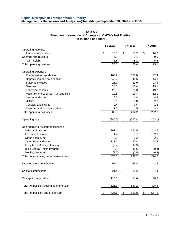|                                           | FY 2020     | FY 2019     |             |
|-------------------------------------------|-------------|-------------|-------------|
| Operating revenue:                        |             |             |             |
| <b>Transportation fares</b>               | \$<br>10.0  | \$<br>15.2  | \$<br>14.6  |
| Contract fare revenue                     | 6.5         | 9.1         | 9.0         |
| Rail-freight                              | 6.5         | 5.1         | 5.5         |
| Total operating revenue                   | 23.0        | 29.4        | 29.1        |
| Operating expenses:                       |             |             |             |
| Purchased transportation                  | 165.2       | 158.8       | 152.4       |
| Depreciation and amortization             | 45.2        | 46.5        | 44.0        |
| Salary and wages                          | 25.9        | 23.9        | 23.4        |
| <b>Services</b>                           | 23.5        | 18.4        | 19.1        |
| Employee benefits                         | 20.5        | 21.3        | 19.2        |
| Materials and supplies - fuel and fluid   | 12.6        | 13.4        | 12.1        |
| Leases and other                          | 5.6         | 4.8         | 4.8         |
| <b>Utilities</b>                          | 3.1         | 3.0         | 2.8         |
| Casualty and liability                    | 0.4         | 0.6         | 1.3         |
| Materials and supplies - other            | 1.6         | 1.5         | 3.1         |
| Total operating expenses                  | 303.5       | 292.2       | 282.2       |
| Operating loss                            | (280.5)     | (262.8)     | (253.1)     |
| Non-operating revenue (expenses):         |             |             |             |
| Sales and use tax                         | 262.4       | 261.5       | 243.6       |
| Investment income                         | 4.4         | 5.7         | 2.0         |
| Other income, net                         | 3.9         | 2.2         | 2.1         |
| <b>Other Federal Grants</b>               | 117.1       | 40.8        | 53.4        |
| Long Term Mobility Planning               | (6.7)       | (3.9)       | ٠           |
| <b>Build Central Texas Program</b>        | (0.1)       | (0.6)       | (0.4)       |
| Mobility programs                         | (8.0)       | (7.5)       | (6.2)       |
| Total non-operating revenue (expenses)    | 373.0       | 298.2       | 294.5       |
| Income before contributions               | 92.4        | 35.4        | 41.4        |
| Capital contributions                     | 21.4        | 19.2        | 27.4        |
| Change in net position                    | 113.8       | 54.6        | 68.8        |
| Total net position, beginning of the year | 621.8       | 567.2       | 498.4       |
| Total net position, end of the year       | \$<br>735.6 | \$<br>621.8 | \$<br>567.2 |

#### **Table A-2 Summary Information of Changes in CMTA's Net Position (in millions of dollars)**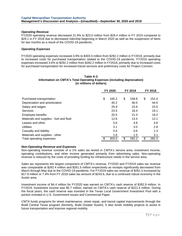#### *Operating Revenue*

FY2020 operating revenue decreased 21.9% to \$23.0 million from \$29.4 million in FY 2019 compared to \$29.1 in FY 2018 due to decreased ridership beginning in March 2020 as well as the suspension of fares for two months as a result of the COVID-19 pandemic.

#### *Operating Expenses*

FY2020 operating expenses increased 3.9% to \$303.5 million from \$292.2 million in FY2019, primarily due to increased costs for purchased transportation related to the COVID-19 pandemic. FY2019 operating expenses increased 3.6% to \$292.2 million from \$282.2 million in FY2018, primarily due to increased costs for purchased transportation for increased transit services and preliminary costs for Project Connect.

#### **Table A-3 Information on CMTA's Total Operating Expenses (including depreciation) (in millions of dollars)**

|                                         | FY 2020     |    | FY 2019 |    | FY 2018 |
|-----------------------------------------|-------------|----|---------|----|---------|
| Purchased transportation                | \$<br>165.2 | \$ | 158.8   | \$ | 152.4   |
| Depreciation and amortization           | 45.2        |    | 46.5    |    | 44.0    |
| Salary and wages                        | 25.9        |    | 23.9    |    | 23.5    |
| Services                                | 23.5        |    | 18.4    |    | 19.1    |
| Employee benefits                       | 20.5        |    | 21.3    |    | 19.2    |
| Materials and supplies - fuel and fluid | 12.6        |    | 13.4    |    | 12.1    |
| Leases and other                        | 5.6         |    | 4.8     |    | 4.8     |
| <b>Utilities</b>                        | 3.1         |    | 3.0     |    | 2.8     |
| Casualty and liability                  | 0.4         |    | 0.6     |    | 1.3     |
| Materials and supplies - other          | 1.6         |    | 1.5     |    | 3.1     |
| Total operating expenses                | 303.5       | S  | 292.2   | \$ | 282.3   |

#### *Non-Operating Revenue and Expenses*

Non-operating revenue consists of a 1% sales tax levied in CMTA's service area, investment income, operating contributions, and other income generated primarily from advertising sales. Non-operating revenue is reduced by the costs of providing funding for infrastructure needs in the service area.

Sales tax represents the largest component of CMTA's revenue. FY2020 and FY2019 sales tax revenue was comparable at \$262.4 million and \$261.5 million respectively as receipts significantly decreased from March through May due to the COVID-19 pandemic. For FY2019 sales tax revenue of \$261.5 increased by \$17.9 million or 7.4% from FY 2018 sales tax amount of \$243.6, due to a continued robust economy in the Austin area.

Investment income of \$4.4 million for FY2020 was earned on CMTA's cash reserve of \$282.9 million. In FY2019, investment income was \$5.7 million, earned on CMTA's cash reserve of \$221.4 million. During the fiscal years, the cash reserve was invested in the Texas Local Government Investment Pool with a portion invested in U.S. Government issues and Commercial Paper.

CMTA funds programs for street maintenance, street repair, and transit capital improvements through the Build Central Texas program (formerly, Build Greater Austin). It also funds mobility projects to assist in future transportation and improve regional mobility.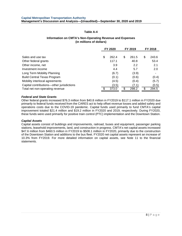#### **Table A-4**

#### **Information on CMTA's Non-Operating Revenue and Expenses (in millions of dollars)**

|                                           | FY 2020     |    | FY 2019 |    | FY 2018 |
|-------------------------------------------|-------------|----|---------|----|---------|
|                                           |             |    |         |    |         |
| Sales and use tax                         | \$<br>262.4 | \$ | 261.5   | S  | 243.6   |
| Other federal grants                      | 117.1       |    | 40.8    |    | 53.4    |
| Other income, net                         | 3.9         |    | 2.2     |    | 2.1     |
| Investment income                         | 4.4         |    | 5.7     |    | 2.0     |
| Long Term Mobility Planning               | (6.7)       |    | (3.9)   |    | ٠       |
| <b>Build Central Texas Program</b>        | (0.1)       |    | (0.6)   |    | (0.4)   |
| Mobility interlocal agreements            | (4.5)       |    | (0.4)   |    | (5.7)   |
| Capital contributions-other jurisdictions | (3.5)       |    | (7.1)   |    | (0.5)   |
| Total net non-operating revenue           | 373.0       |    | 298.2   | \$ | 294.5   |

#### *Federal and State Grants*

Other federal grants increased \$76.3 million from \$40.8 million in FY2019 to \$117.1 million in FY2020 due primarily to federal funds received from the CARES act to help offset revenue losses and added safety and operations costs due to the COVID-19 pandemic. Capital funds used primarily to fund CMTA's capital improvement totaled \$21.4 million and \$19.2 million in FY2020 and 2019, respectively. During FY2020, these funds were used primarily for positive train control (PTC) implementation and the Downtown Station.

#### *Capital Assets*

Capital assets consist of buildings and improvements, railroad, buses and equipment, passenger parking stations, leasehold improvements, land, and construction in progress. CMTA's net capital assets increased \$47.6 million from \$460.5 million in FY2019 to \$508.1 million in FY2020, primarily due to the construction of the Downtown Station and additions to the bus fleet. FY2020 net capital assets represent an increase of 10.3% from FY2019. For more detailed information on capital assets, see Note 11 to the financial statements.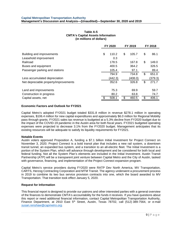|                                       | FY 2020     |    | FY 2019 | FY 2018     |
|---------------------------------------|-------------|----|---------|-------------|
| Building and improvements             | \$<br>110.2 | \$ | 105.7   | \$<br>86.1  |
| Leasehold improvement                 | 0.3         |    |         |             |
| Railroad                              | 178.5       |    | 167.8   | \$<br>149.0 |
| Buses and equipment                   | 400.5       |    | 364.2   | 326.5       |
| Passenger parking and stations        | 105.4       |    | 97.1    | 89.4        |
|                                       | 794.9       |    | 734.8   | \$<br>651.0 |
| Less accumulated depreciation         | (442.3)     |    | (408.0) | (379.3)     |
| Net depreciable property/improvements | 352.6       |    | 326.8   | \$<br>271.7 |
| Land and improvements                 | 75.3        |    | 69.9    | 59.7        |
| Construction in progress              | 80.2        |    | 63.8    | 74.7        |
| Capital assets, net                   | 508.1       | \$ | 460.5   | \$<br>406.1 |

#### **Table A-5 CMTA's Capital Assets Information (in millions of dollars)**

#### **Economic Factors and Outlook for FY2021**

Capital Metro's adopted FY2021 budget totaled \$331.8 million in revenue \$278.1 million in operating expenses, \$106.4 million for new capital expenditures and approximately \$6.0 million for Regional Mobility pass through grants. FY2021 sales tax revenue is budgeted at a 5.3% decline from FY2020 budget due to the impact of the COVID-19 pandemic in the Austin area for both fiscal years. FY2021 budgeted operating expenses were projected to decrease 3.1% from the FY2020 budget. Management anticipates that its existing resources will be adequate to satisfy its liquidity requirements for FY2021.

#### **Notable Events**

Austin voters approved Proposition A, funding a \$7.1 billion Initial Investment for Project Connect on November 3, 2020. Project Connect is a bold transit plan that includes a new rail system, a downtown transit tunnel, an expanded bus system, and a transition to an all-electric fleet. The Initial Investment is a portion of the System Plan, which will advance through development and be considered for both local and federal funding. Not all the System Plan's elements are included in the Initial Investment. Austin Transit Partnership (ATP) will be a transparent joint venture between Capital Metro and the City of Austin, tasked with governance, financing, and implementation of the Project Connect expansion program.

Capital Metro's service providers during FY2020 were RATP Dev North America, MV Transportation, CARTS, Herzog Contracting Corporation and MTM Transit. The agency underwent a procurement process in 2019 to combine its two bus service provision contracts into one, which the board awarded to MV Transportation. That transition took effect January 5, 2020.

#### **Request for Information**

This financial report is designed to provide our patrons and other interested parties with a general overview of the finances to demonstrate CMTA's accountability for the funds it receives. If you have questions about this report or need additional financial information, contact Capital Metropolitan Transportation Authority, Finance Department, at 2910 East 5<sup>th</sup> Street, Austin, Texas 78702, call (512) 389-7564, or e-mail *susan.renshaw@capmetro.org.*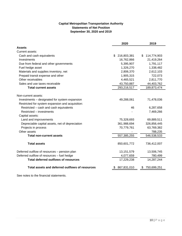#### **Capital Metropolitan Transportation Authority Statements of Net Position September 30, 2020 and 2019**

|                                                  | 2020               | 2019               |
|--------------------------------------------------|--------------------|--------------------|
| <b>Assets</b>                                    |                    |                    |
| Current assets:                                  |                    |                    |
| Cash and cash equivalents                        | 216,803,381<br>\$. | 114,774,903<br>\$. |
| Investments                                      | 16,762,866         | 21,419,264         |
| Due from federal and other governments           | 5,395,907          | 1,791,117          |
| Fuel hedge asset                                 | 1,326,270          | 1,338,482          |
| Materials and supplies inventory, net            | 2,806,370          | 2,612,103          |
| Prepaid transit expense and other                | 1,905,315          | 722,073            |
| Other receivables                                | 4,465,521          | 2,811,770          |
| Sales and use taxes receivable                   | 43,750,887         | 44,403,762         |
| <b>Total current assets</b>                      | 293,216,517        | 189,873,474        |
| Non-current assets:                              |                    |                    |
| Investments - designated for system expansion    | 49,288,061         | 71,478,036         |
| Restricted for system expansion and acquisition: |                    |                    |
| Restricted – cash and cash equivalents           | 46                 | 6,287,658          |
| Restricted – investments                         |                    | 7,469,266          |
| Capital assets:                                  |                    |                    |
| Land and improvements                            | 75,328,693         | 69,889,511         |
| Depreciable capital assets, net of depreciation  | 361,988,694        | 326,856,445        |
| Projects in process                              | 70,779,761         | 63,769,382         |
| Other assets                                     |                    | 788,235            |
| <b>Total non-current assets</b>                  | 557,385,255        | 546,538,533        |
| <b>Total assets</b>                              | 850,601,772        | 736,412,007        |
| Deferred outflow of resources – pension plan     | 13, 151, 579       | 13,506,745         |
| Deferred outflow of resources - fuel hedge       | 4,077,659          | 780,499            |
| <b>Total deferred outflows of resources</b>      | 17,229,238         | 14,287,244         |
| Total assets and deferred outflows of resources  | 867,831,010        | 750,699,251<br>S   |
|                                                  |                    |                    |

See notes to the financial statements.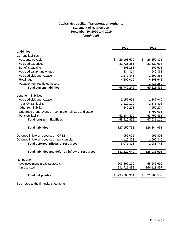#### **September 30, 2020 and 2019** *(continued)* **Capital Metropolitan Transportation Authority Statement of Net Position**

|                                                         | 2020             | 2019             |  |  |
|---------------------------------------------------------|------------------|------------------|--|--|
| <b>Liabilities</b>                                      |                  |                  |  |  |
| <b>Current liabilities:</b>                             |                  |                  |  |  |
| Accounts payable                                        | \$<br>29,198,529 | \$<br>26,252,395 |  |  |
| Accrued expenses                                        | 31,726,351       | 21,829,638       |  |  |
| Benefits payable                                        | 503,188          | 502,673          |  |  |
| Accrued salary and wages                                | 834,314          | 649,363          |  |  |
| Accrued sick and vacation                               | 2,277,845        | 2,697,865        |  |  |
| Retainage                                               | 4,200,019        | 4,868,642        |  |  |
| Payable from restricted assets                          |                  | 2,413,259        |  |  |
| <b>Total current liabilities</b>                        | 68,740,246       | 59,213,835       |  |  |
| Long-term liabilities:                                  |                  |                  |  |  |
| Accrued sick and vacation                               | 2,157,691        | 1,247,940        |  |  |
| <b>Total OPEB liability</b>                             | 3,119,109        | 2,876,406        |  |  |
| Other rent liability                                    | 549,273          | 952,274          |  |  |
| Unearned grant revenue – commuter rail cars and station |                  | 8,797,035        |  |  |
| Pension liability                                       | 52,584,419       | 53,757,461       |  |  |
| <b>Total long-term liabilities</b>                      | 58,410,492       | 67,631,116       |  |  |
| <b>Total liabilities</b>                                | 127, 150, 738    | 126,844,951      |  |  |
| Deferred inflow of resources - OPEB                     | 955,005          | 996,403          |  |  |
| Deferred inflow of resources - pension plan             | 4,116,308        | 1,092,345        |  |  |
| <b>Total deferred inflows of resources</b>              | 5,071,313        | 2,088,748        |  |  |
| Total liabilities and deferred inflow of resources      | 132,222,049      | 128,933,698      |  |  |
|                                                         |                  |                  |  |  |
| Net position:<br>Net investment in capital assets       | 503,897,129      | 455,646,696      |  |  |
| Unrestricted                                            | 231,711,832      | 166,118,857      |  |  |
| <b>Total net position</b>                               | 735,608,961      | 621,765,553      |  |  |
|                                                         |                  |                  |  |  |

See notes to the financial statements.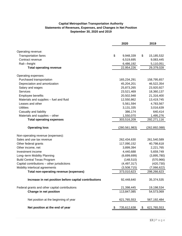#### **Capital Metropolitan Transportation Authority Statements of Revenues, Expenses, and Changes in Net Position September 30, 2020 and 2019**

|                                                       | 2020              | 2019              |
|-------------------------------------------------------|-------------------|-------------------|
|                                                       |                   |                   |
| Operating revenue:                                    |                   |                   |
| <b>Transportation fares</b>                           | \$<br>9,948,339   | \$<br>15,185,532  |
| Contract revenue                                      | 6,519,695         | 9,083,445         |
| Rail-freight                                          | 6,486,192         | 5,110,051         |
| <b>Total operating revenue</b>                        | 22,954,226        | 29,379,028        |
| Operating expenses:                                   |                   |                   |
| Purchased transportation                              | 165,234,291       | 158,795,657       |
| Depreciation and amortization                         | 45,204,201        | 46,522,354        |
| Salary and wages                                      | 25,873,265        | 23,920,927        |
| <b>Services</b>                                       | 23,521,469        | 18,360,137        |
| Employee benefits                                     | 20,502,948        | 21,316,400        |
| Materials and supplies - fuel and fluid               | 12,550,862        | 13,419,745        |
| Leases and other                                      | 5,561,594         | 4,783,567         |
| <b>Utilities</b>                                      | 3,131,335         | 3,016,639         |
| Casualty and liability                                | 386,174           | 640,414           |
| Materials and supplies - other                        | 1,550,070         | 1,495,276         |
| <b>Total operating expenses</b>                       | 303,516,209       | 292,271,116       |
| <b>Operating loss</b>                                 | (280,561,983)     | (262, 892, 088)   |
| Non-operating revenue (expenses):                     |                   |                   |
| Sales and use tax revenue                             | 262,434,630       | 261,540,589       |
| Other federal grants                                  | 117,090,152       | 40,798,618        |
| Other income, net                                     | 3,899,394         | 2,221,765         |
| Investment income                                     | 4,440,688         | 5,659,749         |
| Long-term Mobility Planning                           | (6,699,699)       | (3,895,780)       |
| <b>Build Central Texas Program</b>                    | (148, 510)        | (570, 966)        |
| Capital contributions - other jurisdictions           | (4, 497, 317)     | (420, 730)        |
| Mobility interlocal agreements                        | (3,508,715)       | (7,066,622)       |
| <b>Total non-operating revenue (expenses)</b>         | 373,010,623       | 298,266,623       |
| Increase in net position before capital contributions | 92,448,640        | 35,374,535        |
| Federal grants and other capital contributions        | 21,398,445        | 19,198,534        |
| <b>Change in net position</b>                         | 113,847,085       | 54,573,069        |
| Net position at the beginning of year                 | 621,765,553       | 567,192,484       |
| Net position at the end of year                       | \$<br>735,612,638 | \$<br>621,765,553 |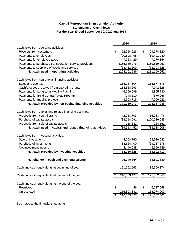#### **Capital Metropolitan Transportation Authority Statements of Cash Flows For the Year Ended September 30, 2020 and 2019**

|                                                                 |     | 2020                       |     | 2019                       |
|-----------------------------------------------------------------|-----|----------------------------|-----|----------------------------|
| Cash flows from operating activities:                           |     |                            |     |                            |
| Receipts from customers                                         | \$  | 22,954,226                 | \$  | 29,274,820                 |
| Payments to employees                                           |     | (20, 608, 498)             |     | (19, 491, 940)             |
| Payments for employee taxes                                     |     | (7,723,429)                |     | (7, 270, 354)              |
| Payments to purchased transportation service providers          |     | (155, 380, 976)            |     | (159, 819, 053)            |
| Payments to suppliers of goods and services                     |     | (63, 432, 609)             |     | (53, 793, 525)             |
| Net cash used in operating activities                           |     | (224,191,286)              |     | (211, 100, 052)            |
| Cash flows from non-capital financing activities:               |     |                            |     |                            |
| Sales and use tax                                               |     | 263,087,504                |     | 258,677,576                |
| Cash/proceeds received from operating grants                    |     | 118,358,693                |     | 47,042,828                 |
| Payments for Long-term Mobility Planning                        |     | (6,699,699)                |     | (3,895,780)                |
| Payments for Build Central Texas Program                        |     | (148, 510)                 |     | (570, 966)                 |
| Payments for mobility projects                                  |     | (3,508,715)                |     | (7,066,622)                |
| Net cash provided by non-capital financing activities           |     | 371,089,273                |     | 294,187,036                |
| Cash flows from capital and related financing activities:       |     |                            |     |                            |
| Proceeds from capital grants                                    |     | (2,053,703)                |     | 16,783,476                 |
| Purchase of capital assets                                      |     | (88,018,091)               |     | (100, 236, 045)            |
| Proceeds from sale of capital assets                            |     | 158,342                    |     | 264,561                    |
| Net cash used in capital and related financing activities       |     | (89, 913, 452)             |     | (83, 188, 008)             |
| Cash flows from investing activities:                           |     |                            |     |                            |
| Sale of investments                                             |     | (4,208,760)                |     | 98,930,542                 |
| Purchase of investments                                         |     | 38,524,400                 |     | (69, 987, 578)             |
| Net investment income                                           |     | 4,440,688                  |     | 5,659,749                  |
| Net cash provided by investing activities                       |     | 38,756,328                 |     | 34,602,713                 |
| Net change in cash and cash equivalents                         |     | 95,740,864                 |     | 34,501,689                 |
| Cash and cash equivalents at beginning of year                  |     | 121,062,563                |     | 86,560,874                 |
| Cash and cash equivalents at the end of the year                | \$. | 216,803,427                | \$. | 121,062,563                |
|                                                                 |     |                            |     |                            |
| Cash and cash equivalents at the end of the year:<br>Restricted | \$  | 46                         | \$  | 6,287,658                  |
| Unrestricted                                                    |     |                            |     |                            |
|                                                                 | \$  | 216,803,381<br>216,803,427 | \$  | 114,774,903<br>121,062,561 |
|                                                                 |     |                            |     |                            |

See notes to the financial statements.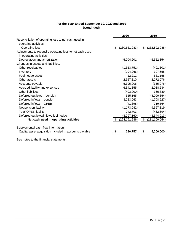#### **For the Year Ended September 30, 2020 and 2019 (Continued)**

|                                                          | 2020                  | 2019                  |
|----------------------------------------------------------|-----------------------|-----------------------|
| Reconciliation of operating loss to net cash used in     |                       |                       |
| operating activities:                                    |                       |                       |
| <b>Operating loss</b>                                    | \$<br>(280, 561, 983) | \$<br>(262, 892, 088) |
| Adjustments to reconcile operating loss to net cash used |                       |                       |
| in operating activities:                                 |                       |                       |
| Depreciation and amortization                            | 45,204,201            | 46,522,354            |
| Changes in assets and liabilities:                       |                       |                       |
| Other receivables                                        | (1,653,751)           | (401, 801)            |
| Inventory                                                | (194, 266)            | 307,655               |
| Fuel hedge asset                                         | 12,212                | 561,158               |
| Other assets                                             | 2,557,810             | 2,272,976             |
| Accounts payable                                         | 5,395,905             | (355, 976)            |
| Accrued liability and expenses                           | 6,341,355             | 2,038,634             |
| Other liabilities                                        | (403,000)             | 365,839               |
| Deferred outflows - pension                              | 355,165               | (4,090,354)           |
| Deferred inflows - pension                               | 3,023,963             | (1,708,227)           |
| Deferred inflows - OPEB                                  | (41, 398)             | 719,564               |
| Net pension liability                                    | (1, 173, 042)         | 9,567,819             |
| <b>Total OPEB liability</b>                              | 242,703               | (462, 694)            |
| Deferred outflows/inflows fuel hedge                     | (3, 297, 160)         | (3,544,913)           |
| Net cash used in operating activities                    | (224, 191, 286)       | (211, 100, 054)<br>\$ |
| Supplemental cash flow information:                      |                       |                       |
| Capital asset acquisition included in accounts payable   | 726,757               | 4,266,000             |

See notes to the financial statements.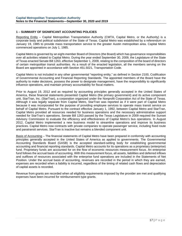#### **1 – SUMMARY OF SIGNIFICANT ACCOUNTING POLICIES**

Reporting Entity – Capital Metropolitan Transportation Authority (CMTA, Capital Metro, or the Authority) is a corporate body and political subdivision of the State of Texas. Capital Metro was established by a referendum on January 19, 1985 to provide mass transportation service to the greater Austin metropolitan area. Capital Metro commenced operations on July 1, 1985.

Capital Metro is governed by an eight-member Board of Directors (the Board) which has governance responsibilities over all activities related to Capital Metro. During the year ended September 30, 2009, the Legislature of the State of Texas enacted Senate Bill 1263, effective September 1, 2009, relating to the composition of the board of directors of certain metropolitan transit authorities. As a result of the enacted legislation, all the members serving on the Board are appointed in accordance with Section 451.5021, Transportation Code.

Capital Metro is not included in any other governmental "reporting entity," as defined in Section 2100, Codification of Governmental Accounting and Financial Reporting Standards. The appointed members of the Board have the authority to make decisions, possess the power to designate management, have the responsibility to significantly influence operations, and maintain primary accountability for fiscal matters.

Prior to August 19, 2012 and as required by accounting principles generally accepted in the United States of America, these financial statements presented Capital Metro (the primary government) and its active component unit, StarTran, Inc. (StarTran), a corporation organized under the Nonprofit Corporation Act of the State of Texas. Although it was legally separate from Capital Metro, StarTran was reported as if it were part of Capital Metro because it was incorporated for the purpose of providing employee services to operate mass transit service on behalf of Capital Metro. Pursuant to the contract effective January 1, 1992, between Capital Metro and StarTran, Capital Metro provided all resources needed for business operations and the necessary administrative support needed for StarTran's operations. Senate Bill 1263 passed by the Texas Legislature in 2009 required the Sunset Advisory Commission to evaluate the efficiency and effectiveness of Capital Metro's bus operations. In August 2012, Capital Metro implemented a new business model to streamline operations and improve its business practices. Capital Metro now contracts with private companies to operate passenger service, including fixed route and paratransit services. StarTran is inactive but remains a blended component unit.

Basis of Accounting – The financial statements of Capital Metro have been prepared in conformity with accounting principles generally accepted in the United States of America as applied to governments. The Governmental Accounting Standards Board (GASB) is the accepted standard-setting body for establishing governmental accounting and financial reporting standards. Capital Metro accounts for its operations as a proprietary (enterprise) fund. Proprietary funds are accounted for on the flow of economic resources measurement focus. An enterprise fund follows the accrual basis of accounting. With this measurement focus, all assets, liabilities and deferred inflows and outflows of resources associated with the enterprise fund operations are included in the Statements of Net Position. Under the accrual basis of accounting, revenues are recorded in the period in which they are earned, expenses are recorded when a liability is incurred, regardless of the timing of related cash flows and depreciation of capital assets is recorded.

Revenue from grants are recorded when all eligibility requirements imposed by the provider are met and qualifying expenses have been incurred for reimbursement type grants.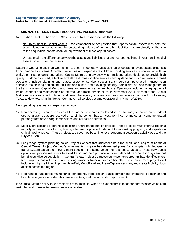Net Position – Net position on the Statements of Net Position include the following:

Net Investment in Capital Assets – the component of net position that reports capital assets less both the accumulated depreciation and the outstanding balance of debt or other liabilities that are directly attributable to the acquisition, construction, or improvement of these capital assets.

Unrestricted – the difference between the assets and liabilities that are not reported in net investment in capital assets, or restricted net assets.

Nature of Operating and Non-Operating Activities – Proprietary funds distinguish operating revenues and expenses from non-operating items. Operating revenues and expenses result from providing services in connection with an entity's principal ongoing operations. Capital Metro's primary activity is transit operations designed to provide high quality, customer focused, effective and efficient transportation services and systems for its' communities. Transit operations include planning bus routes, customer service, special transit services, purchased transportation services, maintaining equipment, facilities and buses, and providing security, administration, and management of the transit system. Capital Metro also owns and maintains a rail freight line. Operations include managing the rail freight contract and maintenance of the track and track infrastructure. In November 2004, citizens of the Capital Metro service area voted in favor of allowing the agency to operate urban commuter rail service from Leander, Texas to downtown Austin, Texas. Commuter rail service became operational in March of 2010.

Non-operating revenue and expenses include:

- 1) Non-operating revenue consists of the one percent sales tax levied in the Authority's service area, federal operating grants that are received on a reimbursement basis, investment income and other income generated primarily from advertising commissions and childcare operations.
- 2) Mobility projects and programs to help fund future transportation projects. These projects must improve regional mobility, improve mass transit, leverage federal or private funds, add to an existing program, and expedite a critical mobility project. These projects are governed by an interlocal agreement between Capital Metro and the City of Austin.
- 3) Long-range system planning called Project Connect that addresses both the short- and long-term needs of Central Texas. Project Connect's investments program has developed plans for a long-term high-capacity transit system capable of moving more people in the same amount of road space as cars. These new transit options will provide real ways to avoid traffic and help produce a more balanced transportation system that benefits our diverse population in Central Texas. Project Connect's enhancements program has identified shortterm projects that will ensure our existing transit network operates efficiently. The enhancement projects will include two light rail lines, improve MetroRail, MetroRapid and MetroExpress services, and create Mobility Hubs at sites across the region.
- 4) Programs to fund street maintenance, emergency street repair, transit corridor improvements, pedestrian and bicycle safety/access, sidewalks, transit centers, and transit capital improvements.

It is Capital Metro's policy to use restricted resources first when an expenditure is made for purposes for which both restricted and unrestricted resources are available.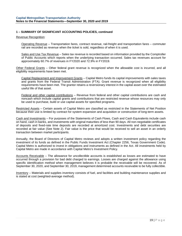Revenue Recognition:

Operating Revenue – Transportation fares, contract revenue, rail-freight and transportation fares – commuter rail are recorded as revenue when the ticket is sold, regardless of when it is used.

Sales and Use Tax Revenue – Sales tax revenue is recorded based on information provided by the Comptroller of Public Accounts which reports when the underlying transaction occurred. Sales tax revenues account for approximately 60.7% of revenues in FY2020 and 72.9% in FY2019.

Other Federal Grants – Other federal grant revenue is recognized when the allowable cost is incurred, and all eligibility requirements have been met.

Capital Replacement and Improvement Grants – Capital Metro funds its capital improvements with sales taxes and grants from the Federal Transit Administration (FTA). Grant revenue is recognized when all eligibility requirements have been met. The grantor retains a reversionary interest in the capital asset over the estimated useful life of that asset.

Federal and other capital contributions – Revenue from federal and other capital contributions are cash and noncash which include capital grants and contributions that are restricted revenue whose resources may only be used to purchase, build or use capital assets for specified programs.

Restricted Assets – Certain assets of Capital Metro are classified as restricted in the Statements of Net Position because their use is limited by contract for system expansion and acquisition or construction of long-term assets.

Cash and Investments – For purposes of the Statements of Cash Flows, Cash and Cash Equivalents include cash on hand, cash in banks, and investments with original maturities of less than 90 days. All non-negotiable certificates of deposits and fixed-rate time deposits are recorded at amortized cost. Investments and debt securities are recorded at fair value (See Note 2). Fair value is the price that would be received to sell an asset in an orderly transaction between market participants.

Annually, the Board of Directors of Capital Metro reviews and adopts a written investment policy regarding the investment of its funds as defined in the Public Funds Investment Act (Chapter 2256, Texas Government Code). Capital Metro is authorized to invest in obligations and instruments as defined in the Act. All investments held by Capital Metro are made in accordance with Capital Metro's Investment Policy.

Accounts Receivable - The allowance for uncollectible accounts is established as losses are estimated to have occurred through a provision for bad debt charged to earnings. Losses are charged against the allowance using specific identification method when management believes it is probable the receivable will be recovered. As of September 30, 2020, and September 30, 2019, management determined accounts receivable to be fully collectible.

Inventory – Materials and supplies inventory consists of fuel, and facilities and building maintenance supplies and is stated at cost (weighted-average method).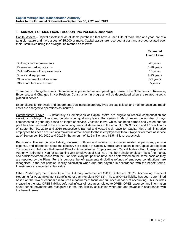Capital Assets – Capital assets include all items purchased that have a useful life of more than one year, are of a tangible nature and have a cost of \$5,000 or more. Capital assets are recorded at cost and are depreciated over their useful lives using the straight-line method as follows:

|                                 | <b>Estimated</b>    |
|---------------------------------|---------------------|
|                                 | <b>Useful Lives</b> |
| Buildings and improvements      | 40 years            |
| Passenger parking stations      | 5-20 years          |
| Railroad/leasehold improvements | 15 years            |
| Buses and equipment             | 2-25 years          |
| Other equipment and software    | 3-5 years           |
| Office furniture and fixtures   | 5 years             |

There are no intangible assets. Depreciation is presented as an operating expense in the Statements of Revenue, Expenses, and Changes in Net Position. Construction in progress will be depreciated when the related asset is placed in service.

Expenditures for renewals and betterments that increase property lives are capitalized, and maintenance and repair costs are charged to operations as incurred.

Compensated Leave – Substantially all employees of Capital Metro are eligible to receive compensation for vacations, holidays, illness and certain other qualifying leave. For certain kinds of leave, the number of days compensated is generally based on length of service. Vacation leave, which has been earned and vested but not paid, has been accrued in the accompanying financial statements in the amount of \$2.9 million and \$2.5 million as of September 30, 2020 and 2019 respectively. Earned and vested sick leave for Capital Metro administrative employees has been accrued at a maximum of 240 hours for those employees with four (4) years or more of service as of September 30, 2020 and 2019 in the amount of \$1.6 million and \$1.5 million, respectively.

Pensions – The net pension liability, deferred outflows and inflows of resources related to pensions, pension expense, and information about the fiduciary net position of Capital Metro's participation in the Capital Metropolitan Transportation Authority Retirement Plan for Administrative Employees and Capital Metropolitan Transportation Authority Retirement Plan for Bargaining Unit Employees of StarTran, Inc., both single employer Plans (the Plans), and additions to/deductions from the Plan's fiduciary net position have been determined on the same basis as they are reported by the Plans. For this purpose, benefit payments (including refunds of employee contributions) are recognized in the net pension liability calculation when due and payable in accordance with the benefit terms. Investments are reported at fair value.

Other Post-Employment Benefits – The Authority implemented GASB Statement No.75, Accounting Financial Reporting for Postemployment Benefits other than Pensions (OPEB). The total OPEB liability has been determined based on the flow of economic resources measurement focus and full accrual basis of accounting. This includes measuring the total OPEB liability: deferred inflows of resources related to OPEB, OPEB expense, and information about benefit payments are recognized in the total liability calculation when due and payable in accordance with the benefit terms.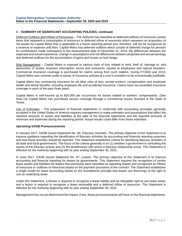Deferred Outflows and Inflows of Resources – The Authority has classified as deferred outflows of resources certain items that represent a consumption of resources or deferred inflow of resources which represent an acquisition of net assets by Capital Metro that is applicable to a future reporting period and, therefore, will not be recognized as a revenue or expense until then. Capital Metro has deferred outflows which consist of deferred charge for pension for contributions made subsequent to the measurement date of December 31, 2019, the differences between the expected and actual experience, change in assumptions and net differences between projected and actual earnings and deferred outflows for the accumulation of gains and losses on fuel hedge.

Risk Management – Capital Metro is exposed to various risks of loss related to torts; theft of, damage to, and destruction of assets; business interruption; errors and omissions; injuries to employees and natural disasters. Commercial insurance coverage is purchased for claims arising from such matters. During FY2020 and 2019, Capital Metro was covered under a variety of insurance policies at a cost it considers to be economically justifiable.

Capital Metro has commercial insurance for all other risks of loss, except workers' compensation and employee health and dental benefits, including employee life and accidental insurance. Claims have not exceeded insurance coverage in each of the past three years.

Capital Metro is self-insured up to \$25,000 per occurrence for losses related to workers' compensation. (See Note 13) Capital Metro has purchased excess coverage through a commercial insurer licensed in the State of Texas.

Use of Estimates – The preparation of financial statements in conformity with accounting principles generally accepted in the United States of America requires management to make estimates and assumptions that affect the reported amounts of assets and liabilities at the date of the financial statements and the reported amounts of revenues and expenses during the reporting period. Actual results could differ from those estimates.

#### **Upcoming GASB Pronouncements**

In January 2017, GASB issued Statement No. 84, *Fiduciary Activities*. The primary objective of this Statement is to improve guidance regarding the identification of fiduciary activities for accounting and financial reporting purposes and how those activities should be reported. This Statement establishes criteria for identifying fiduciary activities of all state and local governments. The focus of the criteria generally is on (1) whether a government is controlling the assets of the fiduciary activity and (2) the beneficiaries with whom a fiduciary relationship exists. This Statement is effective for the Authority beginning with its year ending September 30, 2021.

In June 2017, GASB issued Statement No. 87, *Leases*. The primary objective of this Statement is to improve accounting and financial reporting for leases by governments. This Statement requires the recognition of certain lease assets and liabilities for leases that previously were classified as operating leases and recognized as inflows of resources or outflows of resources based on the payment provisions of the contract. The Statement establishes a single model for lease accounting based on the foundational principle that leases are financings of the right to use an underlying asset.

Under this Statement, a lessee is required to recognize a lease liability and an intangible right-to-use lease asset, and a lessor is required to recognize a lease receivable and a deferred inflow of resources. This Statement is effective for the Authority beginning with its year ending September 30, 2022.

Management has not yet determined the impact, if any, these pronouncements will have on the financial statements.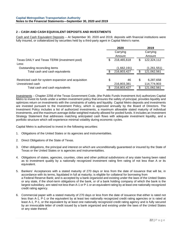Cash and Cash Equivalent Deposits – At September 30, 2020 and 2019, deposits with financial institutions were fully insured, or collateralized by securities held by a third-party agent in Capital Metro's name.

|                                                      |    | 2020        | 2019              |
|------------------------------------------------------|----|-------------|-------------------|
|                                                      |    | Carrying    | Carrying          |
|                                                      |    | Amount      | Amount            |
| Texas DAILY and Texas TERM (investment pool)         | S  | 218,465,618 | \$<br>122,324,112 |
| Less:                                                |    |             |                   |
| Outstanding reconciling items                        |    | (1,662,191) | (1,261,551)       |
| Total cash and cash equivalents                      |    | 216,803,427 | 121,062,561       |
|                                                      |    |             |                   |
| Restricted cash for system expansion and acquisition | \$ | 46          | \$<br>6,287,658   |
| Unrestricted cash                                    |    | 216,803,381 | 114,774,903       |
| Total cash and cash equivalents                      |    | 216,803,427 | 121,062,561       |

Investments – Chapter 2256 of the Texas Government Code, (the Public Funds Investment Act) authorizes Capital Metro to invest its funds under a written investment policy that ensures the safety of principal, provides liquidity and optimizes return on investments with the constraints of safety and liquidity. Capital Metro deposits and investments are invested pursuant to the Investment Policy, which is approved annually by the Board of Directors. The Investment Policy includes a list of authorized investments, a maximum allowable stated maturity of individual investments, and the maximum average dollar weighted maturity allowed for pooled funds. It includes an Investment Strategy Statement that addresses matching anticipated cash flows with adequate investment liquidity, and a portfolio structure which will experience minimal volatility during economic cycles.

Capital Metro is authorized to invest in the following securities:

- 1. Obligations of the United States or its agencies and instrumentalities.
- 2. Direct Obligations of the State of Texas.
- 3. Other obligations, the principal and interest on which are unconditionally guaranteed or insured by the State of Texas or the United States or is agencies and instrumentalities.
- 4. Obligations of states, agencies, counties, cities and other political subdivisions of any state having been rated as to investment quality by a nationally recognized investment rating firm rating of not less than A or its equivalent.
- 5. Bankers' Acceptances with a stated maturity of 270 days or less from the date of issuance that will be, in accordance with its terms, liquidated in full at maturity; is eligible for collateral for borrowing from a Federal Reserve Bank; and is accepted by a bank organized and existing under the laws of the United States or any state, if the short-term obligations of the bank, or of a bank holding company of which the bank is the largest subsidiary, are rated not less than A-1 or P-1 or an equivalent rating by at least one nationally recognized credit rating agency.
- 6. Commercial paper with a stated maturity of 270 days or less from the date of issuance that either is rated not less than A-1, P-1 or the equivalent by at least two nationally recognized credit rating agencies or is rated at least A-1, P-1, or the equivalent by at least one nationally recognized credit rating agency and is fully secured by an irrevocable letter of credit issued by a bank organized and existing under the laws of the United States or any state thereof.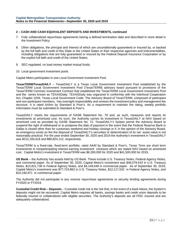- 7. Fully collateralized repurchase agreements having a defined termination date and described in more detail in the Investment Policy.
- 8. Other obligations, the principal and interest of which are unconditionally guaranteed or insured by, or backed by the full faith and credit of this State or the United States or their respective agencies and instrumentalities, including obligations that are fully guaranteed or insured by the Federal Deposit Insurance Corporation or by the explicit full faith and credit of the United States.
- 9. SEC-regulated, no load money market mutual funds.
- 10. Local government investment pools.

Capital Metro participates in one Local Government Investment Pool.

**TexasTERM/TexasDAILY** – TexasDAILY is a Texas Local Government Investment Pool established by the TexasTERM Local Government Investment Pool (TexasTERM) advisory board pursuant to provisions of the TexasTERM Common Investment Contract that established the TexasTERM Local Government Investment Pool and the series known as TEXASDaily. TEXASDaily was organized in conformity with the Interlocal Cooperation Act, Chapter 2256, Texas Local Government Code. The Advisory Board of TexasTERM, composed of participant and non-participant members, has oversight responsibility and reviews the investment policy and management fee structure. It is rated AAAm by Standard & Poor's. As a requirement to maintain the rating, weekly portfolio information must be submitted to Standard & Poor's.

TexasDAILY meets the requirements of GASB Statement No. 79 and, as such, measures and reports its investments at amortized cost. As such, the Authority carries its investment in TexasDAILY at NAV based on amortized cost as provided by GASB Statement No. 72. TexasDAILY's bylaws permit the Advisory Board to suspend the right of withdrawal or to postpone the date of payment in the event that the Federal Reserve Bank in Dallas is closed other than for customary weekend and holiday closings or if, in the opinion of the Advisory Board, an emergency exists so the the disposal of TexasDAILY's securities or determination of its net asset value is not reasonably practical. For the year ended September 30, 2020 and 2019 the Authority's investment in TexasDAILY was \$212,165,618 and \$80,824,112, respectively.

TexasTERM is a fixed-rate, fixed-term portfolio, rated AAAf by Standard & Poor's. Texas Term are short term investments in nonparticipating interest earning investment contracts which are stated NAV based on amortized cost. Capital Metro's investment in TexasTERM was \$6,300,000 for 2020 and \$41,500,000 for 2019.

**US Bank** – the Authority has assets held by US Bank. These include U.S. Treasury Notes, Federal Agency Notes, and commerial paper. As of September 30, 2020, Capital Metro's investment was \$46,079,543 in U.S. Treasury Notes, \$15,821,736 in Federal Agency Notes, and \$4,149,648 in commercial paper. As of September 30, 2019, Capital Metro's investment was \$77,724,862 in U.S. Treasury Notes, \$12,117,532 in Federal Agency Notes, and \$10,160,971 in commercial paper.

The Authority did not participate in any reverse repurchase agreements or security lending agreements during FY2020 or FY2019.

**Custodial Credit Risk – Deposits** – Custodial credit risk is the risk that, in the event of a bank failure, the System's deposits might not be recovered. Capital Metro requires all banks, savings banks and credit union deposits to be federally insured or collateralized with eligible securities. The Authority's deposits are all FDIC insured and are adequately collateralized.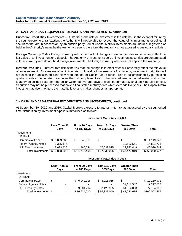**Custodial Credit Risk Investments** – Custodial credit risk for investment is the risk that, in the event of failure by the counterparty to a transaction, the Authority will not be able to recover the value of its investments or collateral securities that are in possession by an outside party. All of Capital Metro's investments are insured, registered or held in the Authority's name by the Auhtority's agent; therefore, the Authority is not exposed to custodial credit risk.

**Foreign Currency Risk** – Foreign currency risk is the risk that changes in exchange rates will adversely affect the fair value of an investment or a deposit. The Authority's investment pools or investment securities are denominated in local currency and do not hold foreign investments The foreign currency risk does not apply to the Authority.

**Interest Rate Risk** – Interest rate risk is the risk that the change in interest rates will adversely affect the fair value of an investment. As a means of minimizing risk of loss due to interest rate fluctuations, investment maturities will not exceed the anticipated cash flow requirements of Capital Metro funds. This is accomplished by purchasing quality, short- to medium-term securities that will complement each other in a laddered or barbell maturity structure. Maturity guidelines state that the dollar weighted average days to final stated maturity shall be 548 days or less. Securities may not be purchased that have a final stated maturity date which exceeds five years. The Capital Metro investment advisor monitors the maturity level and makes changes as appropriate.

# **2 – CASH AND CASH EQUIVALENT DEPOSITS AND INVESTMENTS, continued**

|                             |      | <b>Investment Maturities in 2020</b> |    |                             |    |                                      |    |                                 |                  |
|-----------------------------|------|--------------------------------------|----|-----------------------------|----|--------------------------------------|----|---------------------------------|------------------|
|                             |      | Less Than 90<br><b>Days</b>          |    | From 90 Days<br>to 180 Days |    | From 181 Days<br>to 365 Days         |    | <b>Greater Than</b><br>365 Days | Total            |
| Investments:                |      |                                      |    |                             |    |                                      |    |                                 |                  |
| US Bank:                    |      |                                      |    |                             |    |                                      |    |                                 |                  |
| <b>Commercial Paper</b>     | S.   | 3,899,788                            | \$ | 249,860                     | \$ |                                      | \$ |                                 | \$<br>4,149,648  |
| <b>Federal Agency Notes</b> |      | 2,305,175                            |    |                             |    |                                      |    | 13,516,561                      | 15,821,736       |
| U.S. Treasury Notes         |      | 3,623,435                            |    | 1,466,634                   |    | 17,033,025                           |    | 23,956,449                      | 46,079,543       |
| Total investments           | - \$ | 9,828,398                            | S  | 1,716,494                   |    | \$17,033,025                         |    | \$37,473,010                    | \$66,050,927     |
|                             |      |                                      |    |                             |    | <b>Investment Maturities in 2019</b> |    |                                 |                  |
|                             |      | Less Than 90<br><b>Days</b>          |    | From 90 Days<br>to 180 Days |    | From 181 Days<br>to 365 Days         |    | <b>Greater Than</b><br>365 Days | Total            |
| Investments:                |      |                                      |    |                             |    |                                      |    |                                 |                  |
| US Bank:                    |      |                                      |    |                             |    |                                      |    |                                 |                  |
| <b>Commercial Paper</b>     | \$   |                                      | S  | 6,949,916                   | \$ | 3,211,055                            | \$ |                                 | \$<br>10,160,971 |
| <b>Federal Agency Notes</b> |      |                                      |    |                             |    |                                      |    | 12,117,532                      | 12,117,532       |
| U.S. Treasury Notes         |      |                                      |    | 9,684,794                   |    | 33,125,985                           |    | 34,914,083                      | 77,724,862       |
| Total investments           | -\$  |                                      |    | \$16,634,710                |    | \$36,337,040                         |    | \$47,031,615                    | \$100,003,365    |

At September 30, 2020 and 2019, Capital Metro's exposure to interest rate risk as measured by the segmented time distribution by investment type is summarized as follows: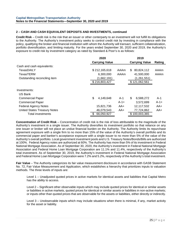**Credit Risk** – Credit risk is the risk that an issuer or other conterparty to an investment will not fulfill its obligations to the Authority. The Authority's investment policy seeks to control credit risk by investing in compliance with the policy, qualifying the broker and financial institution with whom the Authority will transact, sufficient collateralization, portfolio diversification, and limiting maturity. For the years ended September 30, 2020 and 2019, the Authority's exposure to credit risk by investment category as rated by Standard & Poor's is as follows:

|                                     | 2020                     | 2019                  |           |
|-------------------------------------|--------------------------|-----------------------|-----------|
|                                     | <b>Carrying Value</b>    | <b>Carrying Value</b> | Rating    |
| Cash and cash equivalents:          |                          |                       |           |
| TexasDAILY                          | \$212,165,618<br>AAAm    | 80,824,112<br>\$      | AAAm      |
| TexasTERM                           | 6,300,000<br>AAAm        | 41,500,000            | AAAm      |
| Outstanding reconciling item        | (1,662,191)              | (1,261,551)           |           |
|                                     | \$216,803,427            | \$121,062,561         |           |
| Investments:                        |                          |                       |           |
| US Bank                             |                          |                       |           |
| <b>Commercial Paper</b>             | \$<br>4,149,648<br>$A-1$ | \$<br>6,588,272       | $A-1$     |
| <b>Commercial Paper</b>             | $A - 1 +$<br>۰           | 3,572,699             | $A - 1 +$ |
| <b>Federal Agency Notes</b>         | AA+<br>15,821,736        | 12,117,532            | AA+       |
| <b>United States Treasury Notes</b> | AA+<br>46,079,543        | 77,724,862            | AA+       |
| Total investments                   | 66,050,927<br>S          | \$100,003,365         |           |

**Concentration of Credit Risk** – Concentration of credit risk is the risk of loss attributable to the magnitude of the Authority's investment in a single issuer. The Authority diversifies its investment portfolio so that reliance on any one issuer or broker will not place an undue financial burden on the Authority. The Authority limits its repurchase agreement exposure with a single firm to no more than 15% of the value of the Authority's overall portfolio and its commercial paper and banker's acceptance exposure with a single issuer to no more than 5% of the value of the Authority's overall portfolio. Local government investment pools and U.S. Treasury Notes/Bonds/Bills are authorized at 100%. Federal Agency notes are authorized at 60%. The Authority has more than 5% of its investment in Federal National Mortgage Association. As of September 30, 2020, the Authority's investment in Federal National Mortgage Association and Federal Home Loan Mortgage Corporation are 11.1% and 11.4%, respectively of the Authority's total investment. As of September 30, 2019, the Authority's investment in Federal National Mortgage Association and Federal Home Loan Mortgage Corporation were 7.2% and 5.2%, respectively of the Authority's total investment.

**Fair Value** – The Authority categorizes its fair value measurement disclosure in accordance with GASB Statement No. 72, Fair Value Measurement and Application, which establishes a hierarchy that prioritizes inputs to valuation methods. The three levels of inputs are:

Level 1 – Unadjusted quoted prices in active markets for identical assets and liabilities that Capital Metro has the ability to access.

Level 2 – Significant other observable inputs which may include quoted prices for identical or similar assets or liabilities in active markets, quoted prices for identical or similar assets or liabilities in non-active markets; or inputs other than quoted prices that are observable for the assets or liabilities, either directly or indirectly.

Level 3 – Unobservable inputs which may include situations when there is minimal, if any, market activity for the asset or liability.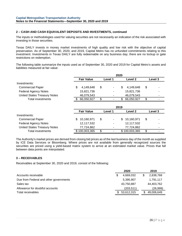The inputs or methodologies used for valuing securities are not necessarily an indication of the risk associated with investing in those securities.

Texas DAILY invests in money market investments of high quality and low risk with the objective of capital preservation. As of September 30, 2020, and 2019, Capital Metro has no unfunded commitments relating to this investment. Investments in Texas DAILY are fully redeemable on any business day; there are no lockup or gate restrictions on redemption.

The following table summarize the inputs used as of September 30, 2020 and 2019 for Capital Metro's assets and liabilities measured at fair value:

|                                     | 2020 |                   |    |         |      |               |         |
|-------------------------------------|------|-------------------|----|---------|------|---------------|---------|
|                                     |      | <b>Fair Value</b> |    | Level 1 |      | Level 2       | Level 3 |
| Investments:                        |      |                   |    |         |      |               |         |
| <b>Commercial Paper</b>             | \$   | 4,149,648         | \$ |         | \$   | 4,149,648     | \$      |
| <b>Federal Agency Notes</b>         |      | 15,821,736        |    |         |      | 15,821,736    |         |
| <b>United States Treasury Notes</b> |      | 46,079,543        |    |         |      | 46,079,543    |         |
| <b>Total investments</b>            |      | 66,050,927        | \$ |         | \$   | 66,050,927    | \$      |
|                                     |      |                   |    |         |      |               |         |
|                                     |      |                   |    |         | 2019 |               |         |
|                                     |      | <b>Fair Value</b> |    | Level 1 |      | Level 2       | Level 3 |
| Investments:                        |      |                   |    |         |      |               |         |
| <b>Commercial Paper</b>             | \$   | 10,160,971        | \$ |         | \$   | 10,160,971    | \$      |
| <b>Federal Agency Notes</b>         |      | 12,117,532        |    |         |      | 12,117,532    |         |
| <b>United States Treasury Notes</b> |      | 77,724,862        |    |         |      | 77,724,862    |         |
| <b>Total investments</b>            |      | \$100,003,365     | \$ |         |      | \$100,003,365 | \$      |

The Authority's market prices are derived from closing bid prices as of the last business day of the month as supplied by ICE Data Services or Bloomberg. Where prices are not available from generally recognized sources the securities are priced using a yield-based matrix system to arrive at an estimated market value. Prices that fall between data points are interpolated.

# **3 – RECEIVABLES**

Receivables at September 30, 2020 and 2019, consist of the following:

| 2020       |     | 2019       |
|------------|-----|------------|
| 4,669,032  | S   | 2,838,768  |
| 5,395,907  |     | 1,791,117  |
| 43,750,887 |     | 44,403,762 |
| (203, 511) |     | (26,999)   |
| 53,612,315 | \$. | 49,006,649 |
|            |     |            |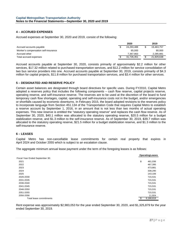# **4 – ACCRUED EXPENSES**

Accrued expenses at September 30, 2020 and 2019, consist of the following:

| 2020       | 2019       |
|------------|------------|
| 24.293.488 | 19,463,757 |
| 65.000     | 80,000     |
| 7.367.863  | 2.285.881  |
| 31.726.351 | 21.829.638 |
|            |            |

Accrued accounts payable at September 30, 2020, consists primarily of approximately \$2.2 million for other services, \$17.32 million related to purchased transportation services, and \$12.2 million for service consolidation of two bus service providers into one. Accrued accounts payable at September 30, 2019, consists primarily of \$4.3 million for capital projects, \$11.8 million for purchased transportation services, and \$3.4 million for other services.

# **5 – DESIGNATED AND RESERVE POLICY**

Certain asset balances are designated through board directives for specific uses. During FY2010, Capital Metro adopted a reserves policy that includes the following components – cash flow reserve, capital projects reserve, operating reserve, and self-insurance reserve. The reserves are to be used at the discretion of the board to fund temporary cash flow shortages, capital, operating and self-insurance costs not in the budget, and/or emergencies or shortfalls caused by economic downturns. In February 2015, the board adopted revisions to the reserves policy to incorporate language from Section 451.134 of the Transportation Code that requires Capital Metro to establish a reserve account by September 1, 2016, in an amount that is not less than two months of actual operating expenses. This new reserve is entitled the "statutory operating reserve" and replaces the cash flow reserve. As of September 30, 2020, \$40.1 million was allocated to the statutory operating reserve, \$20.5 million for a budget stabilization reserve, and \$1.3 million to the self-insurance reserve. As of September 30, 2019, \$39.7 million was allocated to the statutory operating reserve, \$21.5 million for a budget stabilization reserve, and \$1.3 million to the self-insurance reserve.

#### **6 – LEASES**

Capital Metro has non-cancellable lease commitments for certain real property that expires in April 2024 and October 2055 which is subject to an escalation clause.

The aggregate minimum annual lease payment under the term of the foregoing leases is as follows:

|                                 | <b>OperatingLeases</b> |
|---------------------------------|------------------------|
| Fiscal Year Ended September 30: |                        |
| 2021                            | \$<br>461,036          |
| 2022                            | 467,395                |
| 2023                            | 473,881                |
| 2024                            | 338,290                |
| 2025                            | 143,106                |
| 2026-2030                       | 715,531                |
| 2031-2035                       | 715,531                |
| 2036-2040                       | 715,531                |
| 2041-2045                       | 715,531                |
| 2046-2050                       | 715,531                |
| 2051-2055                       | 715,531                |
| 2056-2056                       | 11,924                 |
| Total lease commitments         | 6,188,818<br>-\$       |

Rent expense was approximately \$2,983,053 for the year ended September 30, 2020, and \$1,325,879 for the year ended September 30, 2019.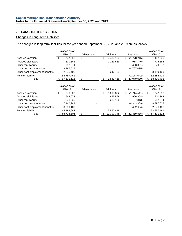# **7 – LONG-TERM LIABILITIES**

# Changes in Long-Term Liabilities:

The changes in long-term liabilities for the year ended September 30, 2020 and 2019 are as follows:

|                                |    | Balance as of |    |             |            |     |                |    | Balance as of |
|--------------------------------|----|---------------|----|-------------|------------|-----|----------------|----|---------------|
|                                |    | 9/30/19       |    | Adjustments | Additions  |     | Payments       |    | 9/30/20       |
| Accrued vacation               | \$ | 747,098       | \$ |             | 2,483,153  | \$  | (1,778,215)    |    | 1,452,036     |
| Accrued sick leave             |    | 500,842       |    |             | 1,123,559  |     | (918, 746)     |    | 705,655       |
| Other rent liability           |    | 952,274       |    |             |            |     | (403,001)      |    | 549,273       |
| Unearned grant revenue         |    | 8,797,035     |    |             |            |     | (8,797,035)    |    |               |
| Other post employment benefits |    | 2,876,406     |    |             | 242,703    |     |                |    | 3,119,109     |
| Pension liability              |    | 53,757,461    |    |             |            |     | (1, 173, 042)  |    | 52,584,419    |
| Total                          |    | 67,631,116    | S  |             | 3,849,415  | S.  | (13,070,039)   |    | 58,410,492    |
|                                |    |               |    |             |            |     |                |    |               |
|                                |    | Balance as of |    |             |            |     |                |    | Balance as of |
|                                |    | 9/30/18       |    | Adjustments | Additions  |     | Payments       |    | 9/30/19       |
| Accrued vacation               | S  | 770,807       | \$ |             | 1,690,832  | \$  | (1,714,541)    | \$ | 747,098       |
| Accrued sick leave             |    | 642,078       |    |             | 855,568    |     | (996, 804)     |    | 500,842       |
| Other rent liability           |    | 641,335       |    |             | 283,126    |     | 27,813         |    | 952,274       |
| Unearned grant revenue         |    | 17,140,344    |    |             |            |     | (8,343,309)    |    | 8,797,035     |
| Other post employment benefits |    | 3,339,100     |    |             |            |     | (462, 694)     |    | 2,876,406     |
| Pension liability              |    | 44,189,642    |    |             | 9,567,819  |     |                |    | 53,757,461    |
| Total                          | Ъ  | 66,723,306    | \$ |             | 12,397,345 | \$. | (11, 489, 535) | S. | 67,631,116    |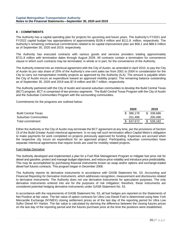# **8 – COMMITMENTS**

The Authority has a capital spending plan for projects for upcoming and future years. The Authority's FY2021 and FY2022 capital budget has appropriations of approximately \$106.4 million and \$111.8. million, respectively. The Authority's remaining contractual commitments related to its capital improvement plan are \$56.1 and \$88.6 million as of September 30, 2020 and 2019, respectively.

The Authority has executed contracts with various goods and services providers totaling approximately \$721.8 million with termination dates through August 2029. All contracts contain a termination for convenience clause in which such contracts may be terminated, in whole or in part, for the convenience of the Authority.

The Authority entered into an interlocal agreement with the City of Austin, as amended in April 2010, to pay the City of Austin its pro rata share of 25% of the Authority's one-cent sales tax from 2001 to 2004 in consideration for the City to carry out transportation mobility projects as approved by the Authority (ILA). The amount is payable when the City of Austin incurs an expenditure toward an approved mobility project. The remaining balance outstanding as of September 30, 2020 and 2019 was \$7.8 million and \$9.7 million, respectively.

The Authority partnered with the City of Austin and several suburban communities to develop the Build Central Texas (BCT) program. BCT is comprised of two primary segments: The Build Central Texas Program with the City of Austin and the Suburban Communities Program with the surrounding communities.

Commitments for the programs are outlined below:

|                             | 2020      | 2019       |
|-----------------------------|-----------|------------|
| <b>Build Central Texas</b>  | \$386.176 | \$ 338,686 |
| <b>Suburban Communities</b> | 251,496   | 200,496    |
| Total commitment            | 637.672   | \$539.182  |

Either the Authority or the City of Austin may terminate the BCT agreement at any time, per the provisions of Section 15 of the Build Greater Austin interlocal agreement. In no way will such termination affect Capital Metro's obligation to make payments for work completed on projects previously approved for funding. Expenses are accrued when the respective city incurs an expenditure for an approved project. Participating suburban communities have separate Interlocal agreements that require funds are used for mobility related projects.

#### Fuel Hedge Derivative:

The Authority developed and implemented a plan for a Fuel Risk Management Program to mitigate fuel price risk for diesel and gasoline, protect and manage budget objectives, and reduce price volatility and introduce price predictability. This may be accomplished by purchasing financial instruments known as swap and/or options and exchange-traded diesel fuel futures contracts. This program began in December 2008.

The Authority reports its derivative instruments in accordance with GASB Statement No. 53, *Accounting and Financial Reporting for Derivative Instruments*, which addresses recognition, measurement and disclosures related to derivative instruments. The Authority does not use derivative instruments for speculative purposes. The only derivative instruments entered into are for the purposes of risk mitigation; therefore, these instruments are considered potential hedging derivative instruments under GASB Statement No. 53.

In accordance with the requirements of GASB Statement No. 53, all fuel hedges are reported on the Statements of Net Position at fair value. The fair value of option contracts for Ultra Low Diesel Fuel is determined using New York Mercantile Exchange (NYMEX) closing settlement prices as of the last day of the reporting period for Ultra Low Sulfur Diesel NY Harbor. The fair value is calculated by deriving the difference between the closing futures prices on the last day of the reporting period and the futures purchase price at the time the positions were established.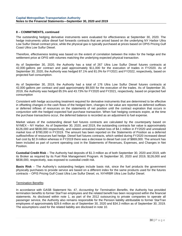# **8 – COMMITMENTS, continued**

The outstanding hedging derivative instruments were evaluated for effectiveness at September 30, 2020. The hedge instruments utilize diesel fuel forwards contracts that are priced based on the underlying NY Harbor Ultra Low Sulfur Diesel contract price, while the physical gas is typically purchased at prices based on OPIS Pricing Gulf Coast Ultra Low Sulfur Diesel.

Therefore, effectiveness testing was based on the extent of correlation between the index for the hedge and the settlement price at OPIS with volumes matching the underlying expected physical transaction.

As of September 30, 2020, the Authority has a total of 267 Ultra Low Sulfur Diesel futures contracts at 42,000 gallons per contract and paid approximately \$11,000 for the execution of trades in FY2020. As of September 30, 2020, the Authority was hedged 87.1% and 81.0% for FY2021 and FY2022, respectively, based on projected fuel consumption.

As of September 30, 2019, the Authority had a total of 176 Ultra Low Sulfur Diesel futures contracts at 42,000 gallons per contract and paid approximately \$9,500 for the execution of the trades. As of September 30, 2019, the Authority was hedged 85.5% and 43.73% for FY2020 and FY2021, respectively, based on projected fuel consumption

Consistent with hedge accounting treatment required for derivative instruments that are determined to be effective in offsetting changes in the cash flows of the hedged item, changes in fair value are reported as deferred outflows or deferred inflows of resources on the statements of net position until the contract expiration that occurs in conjunction with the hedged expected fuel purchase transaction. When fuel hedging contracts expire, at the time the purchase transactions occur, the deferred balance is recorded as an adjustment to fuel expense.

Market values of the outstanding diesel fuel futures contracts are calculated by the counterparty based on NYMEX – NY Harbor. As of September 30, 2020, and 2019, the outstanding contracts fair value is approximately \$126,000 and \$838,000 respectively, and related unrealized market loss of \$4.1 million in FY2020 and unrealized market loss of \$780,000 in FY2019. The amount has been reported on the Statements of Position as a deferred outflow/inflow of resources fuel hedge. Diesel fuel futures contracts, which settled during FY2020 increased diesel fuel cost by \$2.9 million whereas in FY2019 there was a decrease to diesel fuel cost of \$869,000. The amount has been included as part of current operating cost in the Statements of Revenues, Expenses, and Changes in Net Position.

**Custodial Credit Risk** – The Authority had deposits of \$1.3 million as of both September 30, 2020 and 2019, with its Broker as required by its Fuel Risk Management Program. At September 30, 2020 and 2019, \$126,000 and \$838,000, respectively, was exposed to custodial credit risk.

**Basis Risk** – The Authority's outstanding hedges include basis risk, since the fuel products the government physically purchases to provide service are based on a different index for the same products used for the futures contracts – OPIS Pricing Gulf Coast Ultra Low Sulfur Diesel, vs. NYHRBR Ultra Low Sulfur Diesel.

#### Termination Benefits:

In accordance with GASB Statement No. 47, *Accounting for Termination Benefits*, the Authority has provided termination benefits to former StarTran employees and the related benefit has been recognized within the financial statements. As disclosed within note 1, as part of the 2012 outsourcing to private companies to operate all passenger service, the Authority also remains responsible for the Pension liability attributable to former StarTran employees of approximately \$29.6 million as of September 30, 2020 and \$34.3 million as of September 30, 2019. The assumptions used for the related liability are disclosed in note 10.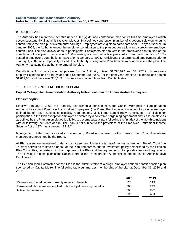# **9 – 401(k) PLANS**

The Authority has retirement benefits under a 401(k) defined contribution plan for its full-time employees which covers substantially all administrative employees. In a defined contribution plan, benefits depend solely on amounts contributed to the plan plus investments' earnings. Employees are eligible to participate after 30 days of service. In January 2005, the Authority ended the employer contribution to the plan but does allow for discretionary employer contributions. The plan allows loans to participants. Participants start to vest in the employer's contribution at the completion of one year of service with 100% vesting occurring after five years. All current participants are 100% vested in employer's contributions made prior to January 1, 2005. Participants that terminated employment prior to January 1, 2009 may be partially vested. The Authority's designated Plan Administrator administers the plan. The Authority maintains the authority to amend the plan.

Contributions from participating employees for the Authority totaled \$1,796,672 and \$31,277 in discretionary employer contributions for the year ended September 30, 2020. For the prior year, employee contributions totaled \$1,619,651 and there was \$50,109 in discretionary contributions from Capital Metro.

### **10 – DEFINED BENEFIT RETIREMENT PLANS**

#### **Capital Metropolitan Transportation Authority Retirement Plan for Administrative Employees**

#### *Plan Description*

Effective January 1, 2005, the Authority established a pension plan, the Capital Metropolitan Transportation Authority Retirement Plan for Administrative Employees, (the Plan). The Plan is a noncontributory single employer defined benefit plan. Subject to eligibility requirements, all full-time administrative employees are eligible for participation in the Plan except for employees covered by a collective bargaining agreement and lease employees as defined by the Plan. An employee is eligible to become a participant following the first day of the month coincident with or following their date of hire. The Plan is not subject to the provisions of the Employee Retirement Income Security Act of 1974, as amended (ERISA).

Management of the Plan is vested in the Authority Board and advised by the Pension Plan Committee whose members are appointed by the Board.

All Plan assets are maintained under a trust agreement. Under the terms of the trust agreement, Benefit Trust (the Trustee) serves as trustee on behalf of the Plan and carries out an investment policy established by the Pension Plan Committee, consistent with the purposes of the Plan and the requirements of applicable laws and regulations. The following is a description of the Capital Metropolitan Transportation Authority Retirement Plan for Administrative Employees:

The Pension Plan Committee for the Plan is the administrator of a single employer defined benefit pension plan sponsored by Capital Metro. The following table summarizes membership of the plan at December 31, 2020 and 2019.

|                                                                    | 2020 | 2019 |
|--------------------------------------------------------------------|------|------|
| Retirees and beneficiaries currently receiving benefits            | 125  | 113  |
| Terminated plan members entitled to but not yet receiving benefits | 266  | 249  |
| Active plan members                                                | 305  | 292  |
|                                                                    | 696  | 654  |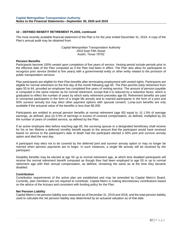The most recently available financial statement of the Plan is for the year ended December 31, 2019. A copy of the Plan's annual audit may be obtained from:

> Capital Metropolitan Transportation Authority 2910 East Fifth Street Austin, Texas 78702

### **Pension Benefits**

Participants become 100% vested upon completion of five years of service. Vesting period include periods prior to the effective date of the Plan computed as if the Plan had been in effect. The Plan also allow for participants to recognize prior service (limited to five years) with a governmental entity or other entity related to the provision of public transportation services.

Plan participants are eligible for their Plan benefits after terminating employment with vested rights. Participants are eligible for normal retirement on the first day of the month following age 65. The Plan permits early retirement from ages 55 to 64, provided an employee has completed five years of vesting service. The amount of pension payable is computed in the same manner as for normal retirement, except that it is reduced by a reduction factor, which is graduated to reflect the number of years by which early retirement precedes age 65. Retirement benefits are paid to unmarried participants in the form of a single life annuity and to married participants in the form of a joint and 50% survivor annuity but may elect other payment options with spousal consent. Lump-sum benefits are only available if the actuarial value of the benefits is less than \$5,000.

Participants are entitled to annual pension benefits at normal retirement (age 65) equal to: (i) 1.5% of average earnings, as defined, plus (ii) 0.5% of earnings in excess of covered compensation, as defined, multiplied by (iii) the number of years of credited service, as defined by the Plan.

If an active employee dies before reaching age 65, the surviving spouse or a designated beneficiary shall receive for his or her lifetime a deferred monthly benefit equals to the amount that the participant would have received based on service to the participant's date of death had the participant elected a 50% joint and survivor annuity option and died the next day.

A participant may elect not to be covered by the deferred joint and survivor annuity option or may no longer be married when pension payments are to begin. In such instances, a single life annuity will be received by the participant.

Disability benefits may be elected at age 55 up to normal retirement age, at which time disabled participants will receive the normal retirement benefit computed as though they had been employed to age 55 or up to normal retirement age with their annual compensation, as defined, remaining the same as at the time they became disabled.

#### **Contribution**

Contribution requirements of the active plan are established and may be amended by Capital Metro's Board. Currently, plan members are not required to contribute. Capital Metro is making discretionary contributions based on the advice of the Actuary and consistent with funding policy for the Plan.

#### **Net Pension Liability**

Capital Metro's net pension liability was measured as of December 31, 2019 and 2018, and the total pension liability used to calculate the net pension liability was determined by an actuarial valuation as of that date.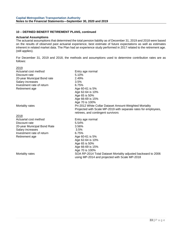#### **Actuarial Assumptions**

The actuarial assumptions that determined the total pension liability as of December 31, 2019 and 2018 were based on the results of observed past actuarial experience, best estimate of future expectations as well as estimates inherent in related market data. The Plan had an experience study performed in 2017 related to the retirement age. (still applies).

For December 31, 2019 and 2018, the methods and assumptions used to determine contribution rates are as follows:

| 2019                        |                                                                                                                 |
|-----------------------------|-----------------------------------------------------------------------------------------------------------------|
| Actuarial cost method       | Entry age normal                                                                                                |
| Discount rate               | 5.10%                                                                                                           |
| 20-year Municipal Bond rate | 2.49%                                                                                                           |
| Salary increases            | 3.5%                                                                                                            |
| Investment rate of return   | 6.75%                                                                                                           |
| Retirement age              | Age 60-61 is 5%                                                                                                 |
|                             | Age 62-64 is 10%                                                                                                |
|                             | Age 65 is 50%                                                                                                   |
|                             | Age 66-69 is 15%                                                                                                |
|                             | Age 70 is 100%                                                                                                  |
| Mortality rates             | Pri-2012 White Collar Dataset Amount-Weighted Mortality                                                         |
|                             | Projected with Scale MP-2019 with separate rates for employees,                                                 |
|                             | retirees, and contingent survivors                                                                              |
| 2018                        |                                                                                                                 |
| Actuarial cost method       | Entry age normal                                                                                                |
| Discount rate               | 5.54%                                                                                                           |
| 20-year Municipal Bond Rate | 3.56%                                                                                                           |
| Salary increases            | 3.5%                                                                                                            |
| Investment rate of return   | 6.75%                                                                                                           |
| Retirement age              | Age 60-61 is 5%                                                                                                 |
|                             | Age 62-64 is 10%                                                                                                |
|                             | Age 65 is 50%                                                                                                   |
|                             | Age 66-69 is 15%                                                                                                |
|                             | Age 70 is 100%                                                                                                  |
| Mortality rates             | SOA RP-2014 Total Dataset Mortality adjusted backward to 2006<br>using MP-2014 and projected with Scale MP-2018 |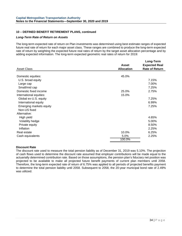#### *Long-Term Rate of Return on Assets*

The long-term expected rate of return on Plan investments was determined using best estimate ranges of expected future real rate of return for each major asset class. These ranges are combined to produce the long-term expected rate of return by weighting the expected future real rates of return by the target asset allocation percentage and by adding expected information. The long-term expected geometric real rates of return for 2019:

| <b>Asset Class</b>      | <b>Asset</b><br><b>Allocation</b> | Long-Term<br><b>Expected Real</b><br><b>Rate of Return</b> |
|-------------------------|-----------------------------------|------------------------------------------------------------|
|                         |                                   |                                                            |
| Domestic equities:      | 45.0%                             |                                                            |
| U.S. broad equity       |                                   | 7.15%                                                      |
| Large cap               |                                   | 7.00%                                                      |
| Small/mid cap           |                                   | 7.25%                                                      |
| Domestic fixed income   | 25.0%                             | 2.75%                                                      |
| International equities: | 15.0%                             |                                                            |
| Global ex-U.S. equity   |                                   | 7.25%                                                      |
| International equity    |                                   | 6.99%                                                      |
| Emerging markets equity |                                   | 7.25%                                                      |
| Non-US fixed            |                                   |                                                            |
| Alternative:            |                                   |                                                            |
| High yield              |                                   | 4.65%                                                      |
| <b>Volatility hedge</b> |                                   | 5.00%                                                      |
| Private equity          |                                   | 8.50%                                                      |
| Inflation               |                                   | 2.25%                                                      |
| Real estate             | 10.0%                             | 6.25%                                                      |
| Cash equivalents        | 5.0%                              | 2.25%                                                      |
|                         | 100.0%                            |                                                            |

#### **Discount Rate**

The discount rate used to measure the total pension liability as of December 31, 2019 was 5.10%. The projection of cash flows used to determine the discount rate assumed that employer contributions will be made equal to the actuarially determined contribution rate. Based on those assumptions, the pension plan's fiduciary net position was projected to be available to make all projected future benefit payments of current plan members until 2058. Therefore, the long-term expected rate of return of 6.75% was applied to all periods of projected benefits payment to determine the total pension liability until 2058. Subsequent to 2058, the 20-year municipal bond rate of 2.49% was utilized.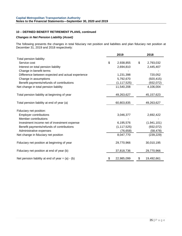# *Changes in Net Pension Liability (Asset)*

The following presents the changes in total fiduciary net position and liabilites and plan fiduciary net position at December 31, 2019 and 2018 respectively:

|                                                    | 2019             | 2018             |
|----------------------------------------------------|------------------|------------------|
| Total pension liability:                           |                  |                  |
| Service cost                                       | \$<br>2,938,855  | \$<br>2,793,032  |
| Interest on total pension liability                | 2,694,810        | 2,445,407        |
| Change in benefit terms                            |                  |                  |
| Difference between expected and actual experience  | 1,231,398        | 720,052          |
| Change in assumptions                              | 5,792,670        | (920, 415)       |
| Benefit payments/refunds of contributions          | (1, 117, 525)    | (932, 072)       |
| Net change in total pension liability              | 11,540,208       | 4,106,004        |
| Total pension liability at beginning of year       | 49,263,627       | 45, 157, 623     |
| Total pension liability at end of year (a)         | 60,803,835       | 49,263,627       |
| Fiduciary net position:                            |                  |                  |
| <b>Employer contributions</b>                      | 3,046,377        | 2,692,422        |
| Member contributions                               |                  |                  |
| Investment income net of investment expense        | 6,195,576        | (1,941,101)      |
| Benefit payments/refunds of contributions          | (1, 117, 525)    | (932,072)        |
| Administrative expenses                            | (76, 658)        | (58, 478)        |
| Net change in fiduciary net position               | 8,047,770        | (239, 229)       |
| Fiduciary net position at beginning of year        | 29,770,966       | 30,010,195       |
| Fiduciary net position at end of year (b)          | 37,818,736       | 29,770,966       |
| Net pension liability at end of year = $(a) - (b)$ | \$<br>22,985,099 | \$<br>19,492,661 |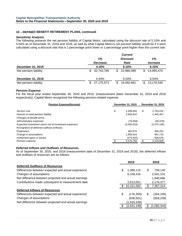#### *Sensitivity Analysis*

The following presents the net pension liability of Capital Metro, calculated using the discount rate of 5.10% and 5.54% as of December 31, 2019 and 2018, as well as what Capital Metro's net pension liability would be if it were calculated using a discount rate that is 1-percentage point lower or 1-percentage point higher than the current rate:

|                          | <b>Current</b>    |                   |                   |  |  |  |
|--------------------------|-------------------|-------------------|-------------------|--|--|--|
|                          | 1%                | <b>Discount</b>   | 1%                |  |  |  |
|                          | <b>Decrease</b>   | Rate              | <b>Increase</b>   |  |  |  |
| December 31, 2019        | 4.10%             | 5.10%             | 6.10%             |  |  |  |
| Net pension liability    | 32,743,785<br>SS. | 22,985,099<br>\$. | 14,995,470<br>\$. |  |  |  |
| <b>December 31, 2018</b> | 4.54%             | 5.54%             | 6.54%             |  |  |  |
| Net pension liability    | 27,175,973<br>\$. | 19,492,661<br>\$. | 13,176,540<br>SS. |  |  |  |

#### *Pension Expense*

For the fiscal year ended September 30, 2020 and 2019, (measurement dates December 31, 2019 and 2018 respectively), Capital Metro recognized the following pension-related expense:

| <b>Pension Expense/(Income)</b>                       | December 31, 2019 | December 31, 2018 |
|-------------------------------------------------------|-------------------|-------------------|
|                                                       |                   |                   |
| Service cost                                          | \$<br>2,938,855   | \$<br>2,793,032   |
| Interest on total pension liability                   | 2,694,810         | 2,445,407         |
| Changes of benefit terms                              |                   |                   |
| Administrative expenses                               | (76, 658)         | (58, 478)         |
| Expected investment return net of investment expenses | (2,065,016)       | (2,075,195)       |
| Recognition of deferred outflows (inflows)            |                   |                   |
| Experience                                            | 462.676           | 490.291           |
| Change in assumptions                                 | 1,895,616         | 951,715           |
| Investment gains or losses                            | (273,525)         | 609,076           |
| Pension expense                                       | 5,576,758         | 5,155,848         |

#### *Deferred Inflows and Outflows of Resources*

As of September 30, 2020, and 2019 (measurement date of December 31, 2019 and 2018), the deferred inflows and outflows of resources are as follows:

|                                                      | 2019             |   | 2018        |
|------------------------------------------------------|------------------|---|-------------|
| <b>Deferred Outflows of Resources</b>                |                  |   |             |
| Differences between expected and actual experience   | \$<br>1,390,115  | S | 709,140     |
| Changes of assumptions                               | 6,148,416        |   | 2,541,101   |
| Net difference between projected and actual earnings |                  |   | 1,940,696   |
| Contributions made subsequent to measurement date    | 2,613,051        |   | 2,176,377   |
|                                                      | 10,151,582       |   | 7,367,314   |
| <b>Deferred Inflows of Resources</b>                 |                  |   |             |
| Differences between expected and actual experience   | \$<br>(176, 359) | S | (264, 105)  |
| Changes of assumptions                               | (538, 501)       |   | (828, 239)  |
| Net difference between projected and actual earnings | (1,916,339)      |   |             |
|                                                      | (2,631,199)      |   | (1,092,344) |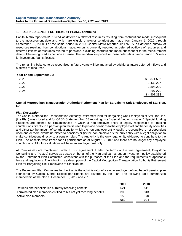Capital Metro reported \$2,613,051 as deferred outflow of resources resulting from contributions made subsequent to the measurement date and which are eligible employer contributions made from January 1, 2020 through September 30, 2020. For the same period in 2019, Capital Metro reported \$2,176,377 as deferred outflow of resources resulting from contributions made. Amounts currently reported as deferred outflows of resources and deferred inflows of resources related to pensions, excluding contributions made subsequent to the measurement date, will be recognized as pension expense. The amortization period for these deferrals is over a period of 5 years for investment (gains)/losses.

The remaining balance to be recognized in future years will be impacted by additional future deferred inflows and outflows of resources.

#### **Year ended September 30:**

| 2021 | \$1,371,536 |
|------|-------------|
| 2022 | 1,430,227   |
| 2023 | 1,898,290   |
| 2024 | 207,279     |
|      | \$4,907,332 |

**Capital Metropolitan Transportation Authority Retirement Plan for Bargaining Unit Employees of StarTran, Inc.**

#### *Plan Description*

The Capital Metropolitan Transportation Authority Retirement Plan for Bargaining Unit Employees of StarTran, Inc. (the Plan) was closed and for GASB Statement No. 68 reporting, is a "special funding situation." Special funding situations are defined as circumstances in which a non-employer entity is legally responsible for making contributions directly to a pension plan that is used to provide pensions to the employees of another entity or entities and either (1) the amount of contributions for which the non-employer entity legally is responsible is not dependent upon one or more events unrelated to pensions or (2) the non-employer is the only entity with a legal obligation to make contributions directly to a pension plan. The Authority is the only legal entity obligated to contribute to the Plan. The benefits were frozen for all participants as of August 18, 2012 and there are no longer any employee contributions. All future valuations will have an employer cost only.

All Plan assets are maintained under a trust agreement. Under the terms of the trust agreement, Graystone Consulting (the Trustee) serves as trustee on behalf of the Plan and carries out an investment policy established by the Retirement Plan Committee, consistent with the purposes of the Plan and the requirements of applicable laws and regulations. The following is a description of the Capital Metropolitan Transportation Authority Retirement Plan for Bargaining Unit Employees of StarTran Inc.

The Retirement Plan Committee for the Plan is the administrator of a single employer defined benefit pension plan sponsored by Capital Metro. Eligible participants are covered by the Plan. The following table summarizes membership of the plan at December 31, 2019 and 2018:

|                                                                    | 2019 | 2018 |
|--------------------------------------------------------------------|------|------|
| Retirees and beneficiaries currently receiving benefits            | 521  | 511  |
| Terminated plan members entitled to but not yet receiving benefits | 308  | 313  |
| Active plan members                                                | 153  | 170  |
|                                                                    | 982  | 994  |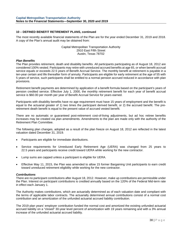The most recently available financial statements of the Plan are for the year ended December 31, 2019 and 2018. A copy of the Plan's annual audit may be obtained from:

> Capital Metropolitan Transportation Authority 2910 East Fifth Street Austin, Texas 78702

#### *Plan Benefits*

The Plan provides retirement, death and disability benefits. All participants participating as of August 18, 2012 are considered 100% vested. Participants may retire with unreduced accrued benefits at age 65, or when benefit accrual service equals or exceeds 22.5 years of Benefit Accrual Service. The monthly benefit at retirement is payable in a ten-year certain and life thereafter form of annuity. Participants are eligible for early retirement at the age of 55 with 5 years of service, such participants shall be entitled to a normal pension accrued reduced in accordance with plan provisions.

Retirement benefit payments are determined by application of a benefit formula based on the participant's years of pension credited service. Effective July 1, 2000, the monthly retirement benefit for each year of benefit accrual service is \$60.00 per month per year of Benefit Accrual Service for years earned.

Participants with disability benefits have no age requirement must have 15 years of employment and the benefit is equal to the actuarial greater of 1) two times the participant derived benefit, or 2) the accrued benefit. The preretirement death benefit is equal to the present value of accrued vested benefit.

There are no automatic or guaranteed post-retirement cost-of-living adjustments, but ad hoc retiree benefits increases may be created via plan amendments. Amendments to the plan are made only with the authority of the Retirement Plan Committee.

The following plan changes, adopted as a result of the plan freeze on August 18, 2012 are reflected in the latest valuation dated December 31, 2019.

- Participants are eligible for immediate distributions.
- Service requirements for Unreduced Early Retirement Age (UERA) was changed from 25 years to 22.5 years and participants receive credit toward UERA while working for the new contractor.
- Lump sums are capped unless a participant is eligible for UERA.
- Effective May 11, 2015, the Plan was amended to allow 15 former Bargaining Unit participants to earn credit toward unreduced retirement eligibility while working for the new contractor.

#### *Contributions*

There are no participant contributions after August 18, 2012. However, make up contributions are permissible under the Plan. Interest on participant contributions is credited annually based on the 120% of the Federal Mid-term rate in effect each January 1.

The Authority makes contributions, which are actuarially determined as of each valuation date and compliant with the terms of applicable labor contracts. The actuarially determined annual contributions consist of a normal cost contribution and an amortization of the unfunded actuarial accrued liability contribution.

The 2019 plan years' employer contribution funded the normal cost and amortized the existing unfunded actuarial accrued liability on a "closed" 30-year level percent of amortization with 19 years remaining and with a 3% annual increase of the unfunded actuarial accrued liability.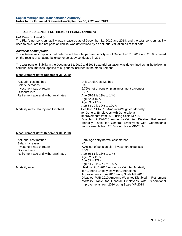#### *Net Pension Liability*

The Plan's net pension liability was measured as of December 31, 2019 and 2018, and the total pension liability used to calculate the net pension liability was determined by an actuarial valuation as of that date.

#### *Actuarial Assumptions*

The actuarial assumptions that determined the total pension liability as of December 31, 2019 and 2018 is based on the results of an actuarial experience study conducted in 2017.

The total pension liability in the December 31, 2019 and 2018 actuarial valuation was determined using the following actuarial assumptions, applied to all periods included in the measurement:

#### **Measurement date: December 31, 2019**

| Actuarial cost method                | Unit Credit Cost Method                                 |
|--------------------------------------|---------------------------------------------------------|
| Salary increases                     | NA.                                                     |
| Investment rate of return            | 6.75% net of pension plan investment expenses           |
| Discount rate                        | $6.75\%$                                                |
| Retirement age and withdrawal rates  | Age 55-61 is 13% to 14%                                 |
|                                      | Age 62 is 15%                                           |
|                                      | Age 63 is 17%                                           |
|                                      | Age 64-70 is 30% to 100%                                |
| Mortality rates Healthy and Disabled | Healthy: PUB-2010 Amounts-Weighted Mortality            |
|                                      | for General Employees with Generational                 |
|                                      | Improvements from 2010 using Scale MP-2019              |
|                                      | Disabled: PUB-2010 Amounts-Weighted Disabled Retirement |
|                                      | Mortality Table for General Employees with Generational |
|                                      | Improvements from 2010 using Scale MP-2019              |

#### **Measurement date: December 31, 2018**

| Actuarial cost method               | Early age entry normal cost method                         |
|-------------------------------------|------------------------------------------------------------|
| Salary increases                    | NA.                                                        |
| Investment rate of return           | 7.0% net of pension plan investment expenses               |
| Discount rate                       | 7.0%                                                       |
| Retirement age and withdrawal rates | Age 55-61 is 13% to 14%                                    |
|                                     | Age 62 is 15%                                              |
|                                     | Age 63 is 17%                                              |
|                                     | Age 64-70 is 30% to 100%                                   |
| Mortality rates                     | Healthy: PUB-2010 Amounts-Weighted Mortality               |
|                                     | for General Employees with Generational                    |
|                                     | Improvements from 2010 using Scale MP-2018                 |
|                                     | Disabled: PUB-2010 Amounts-Weighted Disabled<br>Retirement |
|                                     | Mortality Table for General Employees with Generational    |
|                                     | Improvements from 2010 using Scale MP-2018                 |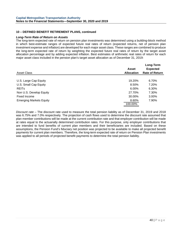#### *Long-Term Rate of Return on Assets*

The long-term expected rate of return on pension plan investments was determined using a building-block method in which best-estimate ranges of expected future real rates of return (expected returns, net of pension plan investment expense and inflation) are developed for each major asset class. These ranges are combined to produce the long-term expected rate of return by weighting the expected future real rates of return by the target asset allocation percentage and by adding expected inflation. Best estimates of arithmetic real rates of return for each major asset class included in the pension plan's target asset allocation as of December 31, 2019:

|                                |                   | Long-Term             |
|--------------------------------|-------------------|-----------------------|
|                                | <b>Asset</b>      | <b>Expected</b>       |
| Asset Class                    | <b>Allocation</b> | <b>Rate of Return</b> |
|                                |                   |                       |
| U.S. Large Cap Equity          | 19.20%            | 6.70%                 |
| U.S. Small Cap Equity          | 8.50%             | 7.20%                 |
| <b>REITS</b>                   | $6.00\%$          | 6.30%                 |
| Non U.S. Develop Equity        | 27.70%            | 7.30%                 |
| Fixed Income                   | 30.00%            | 3.00%                 |
| <b>Emerging Markets Equity</b> | 8.60%             | 7.90%                 |
|                                | 100.00%           |                       |

*Discount rate* – The discount rate used to measure the total pension liability as of December 31, 2019 and 2018 was 6.75% and 7.0% respectively. The projection of cash flows used to determine the discount rate assumed that plan member contributions will be made at the current contribution rate and that employer contribution will be made at rates equal to the actuarially determined contribution rates. For this purpose, only employer contributions that are intended to fund benefits of current plan members and their beneficiaries are included. Based on these assumptions, the Pension Fund's fiduciary net position was projected to be available to make all projected benefit payments for current plan members. Therefore, the long-term expected rate of return on Pension Plan investments was applied to all periods of projected benefit payments to determine the total pension liability.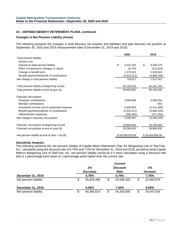#### **Changes in Net Pension Liability (Asset)**

The following presents the changes in total fiduciary net position and liabilities and plan fiduciary net position at September 30, 2020 and 2019 (measurement date of December 31, 2019 and 2018):

|                                                  | 2020            | 2019            |
|--------------------------------------------------|-----------------|-----------------|
| Total pension liability:                         |                 |                 |
| Service cost                                     |                 |                 |
| Interest on total pension liability              | \$<br>4,322,203 | \$<br>4,346,270 |
| Effect of experience changes or inputs           | 32,703          | (213, 616)      |
| Change in benefit term                           | 1,279,922       | 2,453,043       |
| Benefit payments/refunds of contributions        | (4,910,211)     | (4,668,156)     |
| Net change in total pension liability            | 724,617         | 1,917,541       |
| Total pension liability at beginning of year     | 64,159,335      | 62,241,794      |
| Total pension liability at end of year (a)       | 64,883,952      | 64,159,335      |
| Fiduciary net position:                          |                 |                 |
| <b>Employer contributions</b>                    | 3,999,996       | 4,000,556       |
| Member contributions                             |                 | 654             |
| Investment income net of investment expense      | 6,505,803       | (2,411,068)     |
| Benefit payments/refunds of contributions        | (4,910,211)     | (4,668,156)     |
| Administrative expenses                          | (205, 491)      | (227, 031)      |
| Net change in fiduciary net position             | 5,390,097       | (3,305,045)     |
| Fiduciary net position at beginning of year      | 29,894,535      | 33,199,580      |
| Fiduciary net position at end of year (b)        | 35,284,632      | 29,894,535      |
| Net pension liability at end of year $= (a)-(b)$ | \$29,599,320.00 | \$34,264,800.00 |

#### *Sensitivity Analysis*

The following presents the net pension liability of Capital Metro Retirement Plan for Bargaining Unit of StarTran, Inc., calculated using the discount rate of 6.75% and 7.0% for December 31, 2019 and 2018, as well as what Capital Metro's Bargaining Unit of StarTran, Inc. net pension liability would be if it were calculated using a discount rate that is 1-percentage point lower or 1-percentage point higher than the current rate.

|                          | <b>Current</b> |                 |    |                 |    |                 |
|--------------------------|----------------|-----------------|----|-----------------|----|-----------------|
|                          |                | $1\%$           |    | <b>Discount</b> |    | 1%              |
|                          |                | <b>Decrease</b> |    | Rate            |    | <b>Increase</b> |
| December 31, 2019        |                | 5.75%           |    | 6.75%           |    | 7.75%           |
| Net pension liability    | \$             | 35,826,496      | \$ | 29,599,320      | \$ | 24,300,976      |
| <b>December 31, 2018</b> |                | $6.00\%$        |    | 7.00%           |    | $8.00\%$        |
| Net pension liability    |                | 40,365,614      | \$ | 34,264,800      | \$ | 29,047,634      |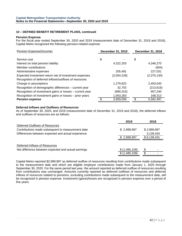#### **Pension Expense**

For the fiscal year ended September 30, 2020 and 2019 (measurement date of December 31, 2019 and 2018), Capital Metro recognized the following pension-related expense:

| Pension Expense/(Income)                                 | December 31, 2019 |             | December 31, 2018 |             |  |
|----------------------------------------------------------|-------------------|-------------|-------------------|-------------|--|
| Service cost                                             | \$                |             | \$                |             |  |
| Interest on total pension liability                      |                   | 4,322,203   |                   | 4,346,270   |  |
| Member contributions                                     |                   |             |                   | (654)       |  |
| Administrative expenses                                  |                   | 205,491     |                   | 227,031     |  |
| Expected investment return net of investment expenses    |                   | (2,054,228) |                   | (2,375,130) |  |
| Recognition of deferred inflows/outflows of resources    |                   |             |                   |             |  |
| Change in assumptions                                    |                   | 1,279,922   |                   | 2,453,043   |  |
| Recognition of demographic differences - current year    |                   | 32.703      |                   | (213, 616)  |  |
| Recognition of investment gains or losses - current year |                   | (890, 315)  |                   | 957,240     |  |
| Recognition of investment gains or losses – prior years  |                   | 1,063,283   |                   | 168,313     |  |
| <b>Pension expense</b>                                   | 3,959,059         |             | \$.               | 5,562,497   |  |

#### **Deferred Inflows and Outflows of Resources**

As of September 30, 2020, and 2019 (measurement date of December 31, 2019 and 2018), the deferred inflows and outflows of resources are as follows:

|                                                     | 2019          | 2018        |
|-----------------------------------------------------|---------------|-------------|
| Deferred Outflows of Resources                      |               |             |
| Contributions made subsequent to measurement date   | \$2,999,997   | \$2,999,997 |
| Differences between expected and actual experience  |               | 3,139,434   |
|                                                     | \$2,999,997   | \$6,139,431 |
|                                                     |               |             |
| Deferred Inflows of Resources                       |               |             |
| Net difference between expected and actual earnings | \$(1,485,109) | S           |
|                                                     | \$(1,485,109) |             |

Capital Metro reported \$2,999,997 as deferred outflow of resources resulting from contributions made subsequent to the measurement date and which are eligible employer contributions made from January 1, 2020 through September 30, 2020. For the same period last year, the amount reported as deferred outflow of resources resulting from contributions was unchanged. Amounts currently reported as deferred outflows of resources and deferred inflows of resources related to pensions, excluding contributions made subsequent to the measurement date, will be recognized in pension expense. Investment (gains)/losses are recognized in pension expense over a period of five years.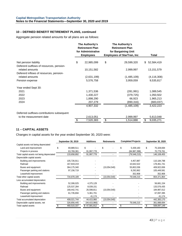Aggregate pension related amounts for all plans are as follows:

|                                            | The Authority's<br><b>Retirement Plan</b><br>for Administrative<br><b>Employees</b> |             | The Authority's<br><b>Retirement Plan</b><br>for Bargaining Unit<br><b>Employees of StarTran, Inc</b> |             |    | Total         |
|--------------------------------------------|-------------------------------------------------------------------------------------|-------------|-------------------------------------------------------------------------------------------------------|-------------|----|---------------|
| Net pension liability                      | \$                                                                                  | 22,985,099  | \$                                                                                                    | 29,599,320  | \$ | 52,584,419    |
| Defererd outflows of resources, pension-   |                                                                                     |             |                                                                                                       |             |    |               |
| related amounts                            |                                                                                     | 10,151,582  |                                                                                                       | 2,999,997   |    | 13, 151, 579  |
| Defererd inflows of resources, pension-    |                                                                                     |             |                                                                                                       |             |    |               |
| related amounts                            |                                                                                     | (2,631,199) |                                                                                                       | (1,485,109) |    | (4, 116, 308) |
| Pension expense                            |                                                                                     | 5,576,758   |                                                                                                       | 3,959,059   |    | 9,535,817     |
| Year ended Sept 30:                        |                                                                                     |             |                                                                                                       |             |    |               |
| 2021                                       |                                                                                     | 1,371,536   |                                                                                                       | (281, 991)  |    | 1,089,545     |
| 2022                                       |                                                                                     | 1,430,227   |                                                                                                       | (379, 725)  |    | 1,050,502     |
| 2023                                       |                                                                                     | 1,898,290   |                                                                                                       | 66,923      |    | 1,965,213     |
| 2024                                       |                                                                                     | 207,279     |                                                                                                       | (890,316)   |    | (683, 037)    |
|                                            |                                                                                     | 4,907,332   |                                                                                                       | (1,485,109) |    | 3,422,223     |
| Deferred outflows-contributions subsequent |                                                                                     |             |                                                                                                       |             |    |               |
| to the measurement date                    |                                                                                     | 2,613,051   |                                                                                                       | 2,999,997   |    | 5,613,048     |
|                                            | \$                                                                                  | 7,520,383   | \$                                                                                                    | 1,514,888   | \$ | 9,035,271     |

# **11 – CAPITAL ASSETS**

Changes in capital assets for the year ended September 30, 2020 were:

|                                            | September 30, 2019 |             | <b>Additions</b> | <b>Retirements</b> |              | <b>Completed Projects</b> | September 30, 2020 |
|--------------------------------------------|--------------------|-------------|------------------|--------------------|--------------|---------------------------|--------------------|
| Capital assets not being depreciated       |                    |             |                  |                    |              |                           |                    |
| Land and improvement                       | \$                 | 69,889,511  | \$               |                    |              | 5,439,183                 | \$<br>75,328,694   |
| Projects in process                        |                    | 63,769,381  | 91,997,778       |                    |              | (84, 987, 398)            | 70,779,761         |
| Total capital assets not being depreciated |                    | 133,658,892 | 91,997,778       |                    |              | (79, 548, 215)            | 146,108,455        |
| Depreciable capital assets:                |                    |             |                  |                    |              |                           |                    |
| Building and improvements                  |                    | 105,726,911 |                  |                    |              | 4,457,887                 | 110,184,798        |
| Railroad                                   |                    | 167,819,219 |                  |                    |              | 10,642,522                | 178,461,741        |
| Buses and equipment                        |                    | 364,175,340 |                  |                    | (10,054,540) | 55,802,036                | 409,922,836        |
| Passenger parking and stations             |                    | 97,156,719  |                  |                    |              | 8,292,862                 | 105,449,581        |
| Leasehold improvement                      |                    |             |                  |                    |              | 352,908                   | 352,908            |
| Total other capital assets                 |                    | 734,878,189 |                  |                    | (10,054,540) | 79,548,215                | 804,371,864        |
| Less accumulated depreciation:             |                    |             |                  |                    |              |                           |                    |
| Building and improvements                  |                    | 52,306,025  | 4,375,129        |                    |              |                           | 56,681,154         |
| Railroad                                   |                    | 125,537,284 | 8,039,151        |                    |              |                           | 133,576,435        |
| Buses and equipment                        |                    | 168,442,741 | 26,598,811       |                    | (10,054,540) |                           | 184,987,012        |
| Passenger parking and stations             |                    | 61,735,694  | 5,361,701        |                    |              |                           | 67,097,395         |
| Leasehold improvement                      |                    |             | 41,174           |                    |              |                           | 41,174             |
| Total accumulated depreciation             |                    | 408,021,744 | 44,415,966       |                    | (10,054,540) |                           | 442,383,170        |
| Depreciable capital assets, net            |                    | 326,856,445 | (44,415,966)     |                    |              | 79,548,215                | 361,988,694        |
| Total capital assets                       |                    | 460,515,337 | \$47,581,812     |                    |              |                           | 508,097,149        |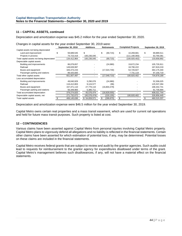# **11 – CAPITAL ASSETS, continued**

Depreciation and amortization expense was \$45.2 million for the year ended September 30, 2020.

| Undigoo in capital acceleror the year chaca coptonnect co, Loro Moro. | September 30, 2018 | <b>Additions</b> |   | <b>Retirements</b> | <b>Completed Projects</b> | September 30, 2019 |
|-----------------------------------------------------------------------|--------------------|------------------|---|--------------------|---------------------------|--------------------|
| Capital assets not being depreciated                                  |                    |                  |   |                    |                           |                    |
| Land and improvement                                                  | 59,689,545         | \$.              | S | (69, 715)          | \$<br>10,269,681          | \$<br>69,889,511   |
| Projects in process                                                   | 74,723,419         | 100,236,045      |   |                    | (111,190,083)             | 63,769,381         |
| Total capital assets not being depreciated                            | 134,412,964        | 100,236,045      |   | (69, 715)          | (100,920,402)             | 133,658,892        |
| Depreciable capital assets:                                           |                    |                  |   |                    |                           |                    |
| Building and improvements                                             | 86,079,657         |                  |   | (24,980)           | 19,672,234                | 105,726,911        |
| Railroad                                                              | 149,028,997        |                  |   |                    | 18,790,222                | 167,819,219        |
| Buses and equipment                                                   | 326,473,243        |                  |   | (17,024,730)       | 54,726,827                | 364,175,340        |
| Passenger parking and stations                                        | 89,425,600         |                  |   |                    | 7,731,119                 | 97,156,719         |
| Total other capital assets                                            | 651,007,497        |                  |   | (17,049,710)       | 100,920,402               | 734,878,189        |
| Less accumulated depreciation:                                        |                    |                  |   |                    |                           |                    |
| Building and improvements                                             | 49,040,929         | 3,290,076        |   | (24,980)           |                           | 52,306,025         |
| Railroad                                                              | 116,412,803        | 9,124,577        |   | (96)               |                           | 125,537,284        |
| Buses and equipment                                                   | 157,471,110        | 27,776,110       |   | (16,804,479)       |                           | 168,442,741        |
| Passenger parking and stations                                        | 56,349,983         | 5,385,711        |   |                    |                           | 61,735,694         |
| Total accumulated depreciation                                        | 379,274,825        | 45,576,474       |   | (16, 829, 555)     |                           | 408,021,744        |
| Depreciable capital assets, net                                       | 271,732,672        | (45,576,474)     |   | (220,155)          | 100,920,402               | 326,856,445        |
| Total capital assets                                                  | 406,145,636        | 54,659,571       |   | (289, 870)         |                           | 460,515,337        |

#### Changes in capital assets for the year ended September 30, 2019 were:

Depreciation and amortization expense were \$46.5 million for the year ended September 30, 2019.

Capital Metro owns certain real properties and a mass transit easement, which are used for current rail operations and held for future mass transit purposes. Such property is listed at cost.

#### **12 – CONTINGENCIES**

Various claims have been asserted against Capital Metro from personal injuries involving Capital Metro property. Capital Metro plans to vigorously defend all allegations and no liability is reflected in the financial statements. Certain other claims have been asserted for which estimation of potential loss, if any, may be determined. Potential losses on these claims are included in the financial statements.

Capital Metro receives federal grants that are subject to review and audit by the grantor agencies. Such audits could lead to requests for reimbursement to the grantor agency for expenditures disallowed under terms of the grant. Capital Metro's management believes such disallowances, if any, will not have a material effect on the financial statements.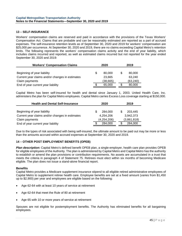### **13 – SELF-INSURANCE**

Workers' compensation claims are reserved and paid in accordance with the provisions of the Texas Workers' Compensation Act. Claims that are probable and can be reasonably estimated are reported as a part of accrued expenses. The self-insurance retention levels as of September 30, 2020 and 2019 for workers' compensation are \$25,000 per occurrence. At September 30, 2020 and 2019, there are no claims exceeding Capital Metro's retention limits. The following represents the workers' compensation claims activity and the end of year liability, which includes claims incurred and reported, as well as estimated claims incurred but not reported for the year ended September 30, 2020 and 2019:

| <b>Workers' Compensation Claims</b>             | 2020     | 2019 |           |  |
|-------------------------------------------------|----------|------|-----------|--|
|                                                 |          |      |           |  |
| Beginning of year liability                     | 80.000   |      | 80,000    |  |
| Current year claims and/or changes in estimates | 23.665   |      | 63.240    |  |
| Claim payments                                  | (38,665) |      | (63, 240) |  |
| End of year current year liability              | 65.000   |      | 80,000    |  |

Capital Metro has been self-insured for health and dental since January 1, 2003. United Health Care, Inc. administers the plan for Capital Metro employees. Capital Metro carries Excess Loss coverage starting at \$150,000.

| <b>Health and Dental Self-Insurance</b>         | 2020        | 2019        |
|-------------------------------------------------|-------------|-------------|
|                                                 |             |             |
| Beginning of year liability                     | 284.000     | 203.445     |
| Current year claims and/or changes in estimates | 4.254.206   | 3.942.373   |
| Claim payments                                  | (4,254,206) | (3,861,818) |
| End of year current year liability              | 284.000     | 284,000     |

Due to the types of risk associated with being self-insured, the ultimate amount to be paid out may be more or less than the amounts accrued within accrued expenses at September 30, 2020 and 2019.

# **14 – OTHER POST EMPLOYMENT BENEFITS (OPEB)**

*Plan description***:** Capital Metro's defined benefit OPEB plan, a single-employer, health care plan provides OPEB for eligible employees of the Authority. The plan is administered by Capital Metro and Capital Metro has the authority to establish or amend the plan provisions or contribution requirements. No assets are accumulated in a trust that meets the criteria in paragraph 4 of Statement 75. Retirees must elect within six months of becoming Medicare eligible. The plan does not issue a stand-alone financial report.

#### **Benefits**

Capital Metro provides a Medicare supplement insurance stipend to all eligible retired administrative employees of Capital Metro to supplement retiree health care. Employee benefits are set at a fixed amount (varies from \$1,450 up to \$2,900) per year and employees are eligible based on the following:

- Age 62-64 with at least 10 years of service at retirement
- Age 62-64 that meet the Rule of 80 at retirement
- Age 65 with 10 or more years of service at retirement

Spouses are not eligible for postemployment benefits. The Authority has eliminated benefits for all bargaining employees.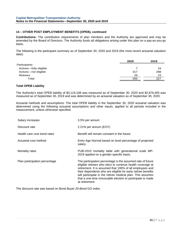# **14 – OTHER POST EMPLOYMENT BENEFITS (OPEB), continued**

**Contributions:** The contribution requirements of plan members and the Authority are approved and may be amended by the Board of Directors. The Authority funds all obligations arising under this plan on a pay-as-you-go basis.

The following is the participant summary as of September 30, 2020 and 2019 (the most recent actuarial valuation date):

|                        | 2020 | 2019 |
|------------------------|------|------|
| Participants:          |      |      |
| Actives-fully eligible |      | 16   |
| Actives-not eligible   | 317  | 288  |
| <b>Retirees</b>        | 26   | 23   |
| Total                  | 350  | 327  |

# **Total OPEB Liability**

The Authority's total OPEB liability of \$3,119,108 was measured as of September 30, 2020 and \$2,876,405 was measured as of September 30, 2019 and was determined by an actuarial valuation as of September 30, 2020.

Actuarial methods and assumptions: The total OPEB liability in the September 30, 2020 actuarial valuation was determined using the following actuarial assumptions and other inputs, applied to all periods included in the measurement, unless otherwise specified:

| Salary increases              | 3.5% per annum                                                                                                                                                                                                                                                                                                                                                                                      |
|-------------------------------|-----------------------------------------------------------------------------------------------------------------------------------------------------------------------------------------------------------------------------------------------------------------------------------------------------------------------------------------------------------------------------------------------------|
| Discount rate                 | 2.21% per annum (EOY)                                                                                                                                                                                                                                                                                                                                                                               |
| Health care cost trend rates  | Benefit will remain constant in the future.                                                                                                                                                                                                                                                                                                                                                         |
| Actuarial cost method         | Entry Age Normal based on level percentage of projected<br>salary.                                                                                                                                                                                                                                                                                                                                  |
| Mortality rates               | PUB-2010 mortality table with generational scale MP-<br>2019 applied on a gender-specific basis.                                                                                                                                                                                                                                                                                                    |
| Plan participation percentage | The participation percentage is the assumed rate of future<br>eligible retirees who elect to continue health coverage at<br>retirement. It is assumed that 100% of all employees and<br>their dependents who are eligible for early retiree benefits<br>will participate in the retiree medical plan. This assumes<br>that a one-time irrevocable election to participate is made<br>at retirement. |

The discount rate was based on *Bond Buyer 20-Bond GO index*.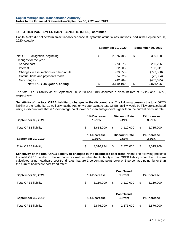# **14 – OTHER POST EMPLOYMENT BENEFITS (OPEB), continued**

Capital Metro did not perform an actuarial experience study for the actuarial assumptions used in the September 30, 2020 valuation.

|                                        | <b>September 30, 2020</b> | <b>September 30, 2019</b> |           |  |
|----------------------------------------|---------------------------|---------------------------|-----------|--|
| Net OPEB obligation, beginning         | \$<br>2,876,405           | \$                        | 3,339,100 |  |
| Changes for the year:                  |                           |                           |           |  |
| Service cost                           | 273,875                   |                           | 256,296   |  |
| Interest                               | 82,805                    |                           | 150,911   |  |
| Changes in assumptions or other inputs | (39, 350)                 |                           | (797,538) |  |
| Contributions and payments made        | (74, 626)                 |                           | (72, 364) |  |
| Net changes                            | 242,704                   |                           | (462,695) |  |
| <b>Net OPEB Obligation, ending</b>     | 3,119,109                 | £.                        | 2,876,405 |  |
|                                        |                           |                           |           |  |

The total OPEB liability as of September 30, 2020 and 2019 assumes a discount rate of 2.21% and 2.66%, respectively.

**Sensitivity of the total OPEB liability to changes in the discount rate:** The following presents the total OPEB liability of the Authority, as well as what the Authority's approximate total OPEB liability would be if it were calculated using a discount rate that is 1-percentage-point lower or 1-percentage-point higher than the current discount rate:

|                             | 1% Decrease |             | <b>Discount Rate</b> | 1% Increase          |       |             |  |
|-----------------------------|-------------|-------------|----------------------|----------------------|-------|-------------|--|
| <b>September 30, 2020</b>   |             | 1.21%       |                      | 2.21%                | 3.21% |             |  |
| <b>Total OPEB liability</b> | \$          | 3.614.000   | \$                   | 3.119.000            | \$    | 2,715,000   |  |
|                             |             | 1% Decrease |                      | <b>Discount Rate</b> |       | 1% Increase |  |
| <b>September 30, 2019</b>   |             | 1.66%       |                      | 2.66%                |       | 3.66%       |  |
| <b>Total OPEB liability</b> | \$          | 3,316,724   | \$                   | 2,876,000            | \$    | 2,515,209   |  |

**Sensitivity of the total OPEB liability to changes in the healthcare cost trend rates:** The following presents the total OPEB liability of the Authority, as well as what the Authority's total OPEB liability would be if it were calculated using healthcare cost trend rates that are 1-percentage-point lower or 1-percentage-point higher than the current healthcare cost trend rates:

| <b>September 30, 2020</b>   | <b>Cost Trend</b><br>1% Decrease<br>Current |           |    | 1% Increase                         |             |           |  |
|-----------------------------|---------------------------------------------|-----------|----|-------------------------------------|-------------|-----------|--|
| <b>Total OPEB liability</b> | \$                                          | 3,119,000 | \$ | 3,119,000                           | \$          | 3,119,000 |  |
| <b>September 30, 2019</b>   | 1% Decrease                                 |           |    | <b>Cost Trend</b><br><b>Current</b> | 1% Increase |           |  |
| <b>Total OPEB liability</b> | \$                                          | 2,876,000 | \$ | 2,876,000                           | \$          | 2,876,000 |  |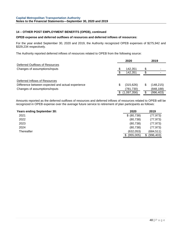# **14 – OTHER POST EMPLOYMENT BENEFITS (OPEB), continued**

### **OPEB expense and deferred outflows of resources and deferred inflows of resources:**

For the year ended September 30, 2020 and 2019, the Authority recognized OPEB expenses of \$275,942 and \$329,234 respectively.

The Authority reported deferred inflows of resources related to OPEB from the following source:

|                                                   |   | 2020        |    | 2019       |
|---------------------------------------------------|---|-------------|----|------------|
| Deferred Outflows of Resources                    |   |             |    |            |
| Changes of assumptions/inputs                     |   | 142.351     | \$ |            |
|                                                   |   | 142.351     |    |            |
| Deferred Inflows of Resources                     |   |             |    |            |
| Difference between expected and actual experience | S | (315,626)   | S  | (148, 215) |
| Changes of assumptions/inputs                     |   | (781, 730)  |    | (848, 188) |
|                                                   |   | (1,097,356) |    | (996, 403) |

Amounts reported as the deferred outflows of resources and deferred inflows of resources related to OPEB will be recognized in OPEB expense over the average future service to retirement of plan participants as follows:

| <b>Years ending September 30:</b> | 2020        | 2019            |
|-----------------------------------|-------------|-----------------|
| 2021                              | \$ (80,738) | (77, 973)       |
| 2022                              | (80, 738)   | (77, 973)       |
| 2023                              | (80, 738)   | (77, 973)       |
| 2024                              | (80, 738)   | (77, 973)       |
| Thereafter                        | (632,053)   | (684, 511)      |
|                                   | (955,005)   | \$<br>(996,403) |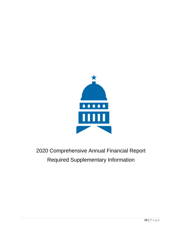

2020 Comprehensive Annual Financial Report Required Supplementary Information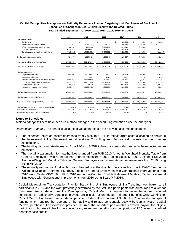# **Capital Metropolitan Transportation Authority Retirement Plan for Bargaining Unit Employees of StarTran, Inc. Schedules of Changes in Net Pension Liability and Related Ratios Years Ended September 30, 2020, 2019, 2018, 2017, 2016 and 2015**

|                                                            | 2020            |    | 2019        |    | 2018        | 2017            | 2016             |    | 2015          |
|------------------------------------------------------------|-----------------|----|-------------|----|-------------|-----------------|------------------|----|---------------|
| Total pension liability:                                   |                 |    |             |    |             |                 |                  |    |               |
| Service cost                                               | \$              | \$ |             | \$ |             | \$<br>303.363   | \$<br>486,248    | \$ | 391.902       |
| Interest on total pension liability                        | 4.322.203       |    | 4.346.270   |    | 4.287.202   | 4.206.646       | 4,226,699        |    | 4,221,102     |
| Effect of assumption changes or inputs                     | 32,703          |    | (213, 616)  |    | (1,769,787) | 1,878,042       | (730, 963)       |    |               |
| Change in benefit term                                     | 1,279,922       |    | 2,453,043   |    | 3,305,720   | 934,709         |                  |    | 302,377       |
| Benefits payment/refunds of contributions                  | (4,910,211)     |    | (4,668,156) |    | (4,540,291) | (4, 221, 793)   | (4,959,966)      |    | (4,721,559)   |
| Net change in total pension liability                      | 724,617         |    | 1,917,541   |    | 1,282,844   | 3,100,967       | (977, 982)       |    | 193,822       |
| Total pension liability at beginning of year               | 64,159,335      |    | 62,241,794  |    | 60,958,950  | 57,857,983      | 58,835,965       |    | 58,642,143    |
| Total pension liability at end of year (a)                 | 64,883,952      |    | 64,159,335  |    | 62,241,794  | 60,958,950      | \$<br>57,857,983 |    | 58,835,965    |
| Fiduciary net position:                                    |                 |    |             |    |             |                 |                  |    |               |
| <b>Employer contributions</b>                              | \$<br>3,999,996 | S  | 4.000.556   | S  | 4,004,599   | \$<br>4.005.413 | \$<br>4,010,205  | \$ | 3,915,395     |
| Member contributions                                       |                 |    | 654         |    | 4,578       | 5,417           | 5,760            |    | 6,322         |
| Investment income net of investment expense                | 6,505,803       |    | (2,411,068) |    | 4,420,550   | 1,621,196       | (98,010)         |    | 1,813,047     |
| Benefit payments/refunds of contributions                  | (4,910,211)     |    | (4,668,156) |    | (4,540,291) | (4,221,793)     | (4,959,966)      |    | (4, 721, 559) |
| Administrative expenses                                    | (205, 491)      |    | (227, 031)  |    | (225, 052)  | (216, 313)      | (225, 290)       |    | (259, 705)    |
| Net change in fiduciary net position                       | 5,390,097       |    | (3,305,045) |    | 3,664,384   | 1,193,920       | (1, 267, 301)    |    | 753,500       |
| Fiduciary net position at beginning of year                | 29,894,535      |    | 33,199,580  |    | 29,535,196  | 28,341,276      | 29,608,577       |    | 28,855,077    |
| Fiduciary net position at end of year (b)                  | 35,284,632      |    | 29,894,535  |    | 33,199,580  | 29,535,196      | 28,341,276       |    | 29,608,577    |
| Net pension liability/(asset) at end of year = $(a) - (b)$ | 29,599,320      |    | 34,264,800  |    | 29,042,214  | 31,423,754      | 29,516,707       |    | 29,227,388    |
| Fiduciary net position as a % of total pension liability   | 54.38%          |    | 46.59%      |    | 53.34%      | 48.45%          | 48.98%           |    | 50.32%        |
| Pensionable covered pavroll*                               | \$<br>7,612,940 | S. | 8,732,490   | S  | 9,672,912   | \$<br>9,807,345 | \$<br>10,882,123 | S. | 12,270,378    |
| Net pension liability as a % of covered payroll            | 388.8%          |    | 392.4%      |    | 300.2%      | 320.4%          | 271.2%           |    | 238.2%        |

### **Notes to Schedule:**

*Method changes:* There have been no method changes in the accounting valuation since the prior year.

*Assumption Changes:* The financial accounting valuation reflects the following assumption changes:

- The expected return on assets decreased from 7.00% to 6.75% to reflect target asset allocation as shown in the Investment Policy Statement and Graystone Consulting and Aon capital markets long term return expectations.
- The funding discount rate decreased from 7.00% to 6.75% to be consistent with changes in the expected return on assets.
- The mortality assumption for healthy lives changed from PUB-2010 Amounts-Weighted Mortality Table from General Employees with Generational Improvements from 2010 using Scale MP-2018, to the PUB-2010 Amounts-Weighted Mortality Table for General Employees with Generational Improvements from 2010 using Scale MP-2019.
- The mortality assumption for disabled lives changed from the disabled base rates from the PUB-2010 Amounts-Weighted Disabled Retirement Mortality Table for General Employees with Generational Improvements from 2010 using Scale MP-2018 to PUB-2010 Amounts-Weighted Disable Retirement Mortality Table for General Employees with Generational Improvements from 2010 using Scale MP-2019.
- \* Capital Metropolitan Transportation Plan for Bargaining Unit Employees of StarTran, Inc. was frozen to all participants in 2012 and the work previously performed by the StarTran participants was outsourced to a vendor (purchased transportation). As the Plan sponsor, Capital Metro is required to make the annual required contributions. Additionally, certain employees are eligible for unreduced retirement benefits while working for Capital Metro's Purchased Transportation provider. Under GASB Statement No. 68, the Plan qualifies for special funding which requires the reporting of the liability and related pensionable activity by Capital Metro. Capital Metro's purchased transportation provider incurred the reported pensionable covered payroll for eligible participants who are eligible for unreduced early retirement benefits upon completion of 22.5 years of credited benefit service credits.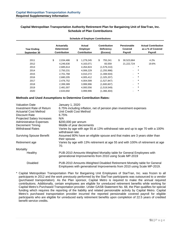# **Capital Metropolitan Transportation Authority Retirement Plan for Bargaining Unit of StarTran, Inc. Schedule of Plan Contributions**

|    |           |                                                         | Actual    |                                        |         |                                                                                                                                                                                                                           | Covered<br>Payroll |                    | <b>Actual Contribution</b><br>as a % of Covered<br>Payroll |
|----|-----------|---------------------------------------------------------|-----------|----------------------------------------|---------|---------------------------------------------------------------------------------------------------------------------------------------------------------------------------------------------------------------------------|--------------------|--------------------|------------------------------------------------------------|
| \$ | 2,034,486 | \$                                                      | 1,279,245 | \$                                     | 755.241 | \$                                                                                                                                                                                                                        | 30,523,684         |                    | 4.2%                                                       |
|    | 4,246,630 |                                                         | 4,163,071 |                                        | 83,559  |                                                                                                                                                                                                                           | 21,222,724         |                    | 19.6%                                                      |
|    | 2,685,614 |                                                         | 4,264,824 |                                        |         |                                                                                                                                                                                                                           |                    | $\ast$             |                                                            |
|    | 2,750,231 |                                                         | 4,006,229 |                                        |         |                                                                                                                                                                                                                           |                    | $\ast$             |                                                            |
|    | 2,701,768 |                                                         | 4,010,272 |                                        |         |                                                                                                                                                                                                                           |                    | $\ast$             |                                                            |
|    | 2,680,205 |                                                         | 4,005,412 |                                        |         |                                                                                                                                                                                                                           |                    | $\ast$             |                                                            |
|    | 2,476,752 |                                                         | 4,004,599 |                                        |         |                                                                                                                                                                                                                           |                    | $\ast$             |                                                            |
|    | 2,399,389 |                                                         | 3,999,996 |                                        |         |                                                                                                                                                                                                                           |                    | $\star$            |                                                            |
|    | 2,481,007 |                                                         | 4,000,556 |                                        |         |                                                                                                                                                                                                                           |                    | $\ast$             |                                                            |
|    | 2,633,692 |                                                         | 3,999,996 |                                        |         |                                                                                                                                                                                                                           |                    | $^\star$           |                                                            |
|    |           | Actuarially<br><b>Determined</b><br><b>Contribution</b> |           | <b>Employer</b><br><b>Contribution</b> |         | <b>Schedule of Employer Contributions</b><br><b>Contribution</b><br><b>Deficiency</b><br>(Excess)<br>(1,579,210)<br>(1,255,998)<br>(1,308,504)<br>(1,325,207)<br>(1,527,847)<br>(1,600,607)<br>(1,519,549)<br>(1,366,304) |                    | <b>Pensionable</b> |                                                            |

#### **Methods and Used Assumptions to Determine Contribution Rates:**

| <b>Valuation Date</b>             | January 1, 2020                                                                                                                                      |
|-----------------------------------|------------------------------------------------------------------------------------------------------------------------------------------------------|
| Investment Rate of Return         | 6.75% including inflation, net of pension plan investment expenses                                                                                   |
| <b>Actuarial Cost Method</b>      | Unit Credit Cost Method                                                                                                                              |
| Discount Rate                     | 6.75%                                                                                                                                                |
| <b>Projected Salary Increases</b> | N/A                                                                                                                                                  |
| <b>Administrative Expenses</b>    | \$200,000 per annum                                                                                                                                  |
| <b>Decrement Timing</b>           | Middle of year decrements                                                                                                                            |
| <b>Withdrawal Rates</b>           | Varies by age with age 55 at 13% withdrawal rate and up to age 70 with a 100%<br>withdrawal rate.                                                    |
| <b>Surviving Spouse Benefit</b>   | Assumed 80% have an eligible spouse and that males are 3 years older than<br>their spouse.                                                           |
| Retirement age                    | Varies by age with 13% retirement at age 55 and with 100% of retirement at age<br>70.                                                                |
| Mortality                         |                                                                                                                                                      |
| Healthy                           | PUB-2010 Amounts-Weighted Mortality table for General Employees with<br>generational Improvements from 2010 using Scale MP-2019                      |
| <b>Disabled</b>                   | PUB-2010 Amounts-Weighted Disabled Retirement Mortality table for General<br>Employees with generational Improvements from 2010 using Scale MP-2019. |

Capital Metropolitan Transportation Plan for Bargaining Unit Employees of StarTran, Inc. was frozen to all participants in 2012 and the work previously performed by the StarTran participants was outsourced to a vendor (purchased transportation). As the Plan sponsor, Capital Metro is required to make the annual required contributions. Additionally, certain employees are eligible for unreduced retirement benefits while working for Capital Metro's Purchased Transportation provider. Under GASB Statement No. 68, the Plan qualifies for special funding which requires the reporting of the liability and related pensionable activity by Capital Metro. Capital Metro's purchased transportation provider incurred the reported pensionable covered payroll for eligible participants who are eligible for unreduced early retirement benefits upon completion of 22.5 years of credited benefit service credits.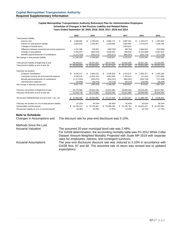#### **Capital Metropolitan Transportation Authority Retirement Plan for Administrative Employees Schedules of Changes in Net Pension Liability and Related Ratios Years Ended September 30, 2020, 2019, 2018, 2017, 2016 and 2015**

|                                                            | 2020             | 2019             | 2018             | 2017             | 2016              | 2015              |
|------------------------------------------------------------|------------------|------------------|------------------|------------------|-------------------|-------------------|
| Total pension liability:                                   |                  |                  |                  |                  |                   |                   |
| Service cost                                               | 2,938,855<br>S   | \$<br>2,793,032  | 2,964,773<br>S   | 2,087,251<br>S   | 2,225,673<br>S    | 1,453,304<br>\$   |
| Interest on total pension liability                        | 2,694,810        | 2,445,407        | 2,235,084        | 1,863,897        | 1,573,679         | 1,538,740         |
| Changes of benefit terms                                   |                  |                  |                  | 2,054,914        |                   |                   |
| Difference between expected and actual experience          | 1.231.398        | 720.052          | (288, 769)       | (86, 781)        | 1.984.816         | (319, 936)        |
| Change in assumptions                                      | 5,792,670        | (920, 415)       | 3,035,050        | 209,630          | (1,415,858)       | 5,067,915         |
| Benefits payment/refunds of contributions                  | (1, 117, 525)    | (932,072)        | (916, 317)       | (892, 937)       | (833,716)         | (717, 439)        |
| Net change in total pension liability                      | 11,540,208       | 4,106,004        | 7,029,821        | 5,235,974        | 3,534,594         | 7,022,584         |
| Total pension liability at beginning of year               | 49,263,627       | 45,157,623       | 38,127,802       | 32,891,828       | 29,357,234        | 22,334,650        |
| Total pension liability at end of year (a)                 | 60,803,835       | 49,263,627<br>S. | \$45,157,623     | \$<br>38,127,802 | \$ 32,891,828     | \$29,357,234      |
| Fiduciary net position:                                    |                  |                  |                  |                  |                   |                   |
| <b>Employer contributions</b>                              | \$.<br>3.046.377 | \$<br>2,692,422  | 3,106,829<br>S   | 1.974.973<br>\$  | 1,882,377<br>\$   | \$<br>1,600,160   |
| Investment income net of investment expense                | 6,195,576        | (1,941,101)      | 4,081,936        | 1,795,013        | (11, 187)         | 1,017,006         |
| Benefit payments/refunds of contributions                  | (1, 117, 525)    | (932,072)        | (916, 317)       | (892, 937)       | (833,716)         | (717, 439)        |
| Administrative expenses                                    | (76, 658)        | (58, 478)        | (74, 118)        | (58, 222)        | (63, 645)         | (38, 209)         |
| Net change in fiduciary net position                       | 8,047,770        | (239, 229)       | 6,198,330        | 2,818,827        | 973,829           | 1,861,518         |
| Fiduciary net position at beginning of year                | 29,770,966       | 30,010,195       | 23,811,865       | 20,993,038       | 20,019,209        | 18,157,691        |
| Fiduciary net position at end of year (b)                  | 37,818,736       | 29,770,966       | 30,010,195       | 23,811,865       | 20,993,038        | 20,019,209        |
| Net pension liability/(asset) at end of year = $(a) - (b)$ | 22,985,099       | \$19,492,661     | \$15,147,428     | 14,315,937<br>\$ | \$11,898,790      | 9,338,025<br>\$   |
| Fiduciary net position as a % of total pension liability   | 62.20%           | 60.43%           | 66.46%           | 62.45%           | 63.82%            | 68.19%            |
| Pensionable covered payroll                                | 24,700,473<br>\$ | \$<br>22,758,461 | \$<br>20,966,199 | 22,195,764       | 18,663,437<br>\$. | 16,183,596<br>\$. |
| Net pension liability as a % of covered payroll            | 93.06%           | 85.65%           | 72.25%           | 64.50%           | 63.75%            | 57.70%            |

**Note to Schedule:** 

The discount rate for year-end disclosure was 5.10%.

# Methods Since the Last<br>Actuarial Valuation

The assumed 20-year municipal bond rate was 2.49%.

 For GASB determination, the accounting mortality table was Pri-2012 White Collar Dataset Amount-Weighted Mortality Projected with Scale MP-2019 with separate rates for employees, retirees, and contingent survivors.

Actuarial Assumptions The year-end disclosure discount rate was reduced to 5.10% in accordance with GASB Nos. 67 and 68. The assumed rate of return was revised due to updated expectations.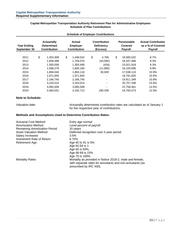# **Capital Metropolitan Transportation Authority Retirement Plan for Administrative Employees Schedule of Plan Contributions**

|                                    |                                                                | <b>Poncadio of Employer Continuations</b>               |                                                      |                                          |                                                                   |
|------------------------------------|----------------------------------------------------------------|---------------------------------------------------------|------------------------------------------------------|------------------------------------------|-------------------------------------------------------------------|
| <b>Year Ending</b><br>September 30 | <b>Actuarially</b><br><b>Determined</b><br><b>Contribution</b> | <b>Actual</b><br><b>Employer</b><br><b>Contribution</b> | <b>Contribution</b><br><b>Deficiency</b><br>(Excess) | Pensionable<br>Covered<br><b>Payroll</b> | <b>Actual Contribution</b><br>as a % of Covered<br><b>Payroll</b> |
| 2011                               | \$<br>1,453,308                                                | \$<br>1,448,542                                         | \$<br>4,766                                          | \$<br>16,565,032                         | 8.7%                                                              |
| 2012                               | 1,659,488                                                      | 1,704,070                                               | (44, 582)                                            | 18,347,486                               | 9.3%                                                              |
| 2013                               | 1,393,056                                                      | 1,393,490                                               | (434)                                                | 15,021,918                               | 9.3%                                                              |
| 2014                               | 1,588,278                                                      | 1,600,160                                               | (11,882)                                             | 16,183,596                               | $9.9\%$                                                           |
| 2015                               | 1.894.044                                                      | 1,863,116                                               | 30,928                                               | 17,038,110                               | 10.9%                                                             |
| 2016                               | 1,971,655                                                      | 1,971,655                                               |                                                      | 18,791,825                               | 10.5%                                                             |
| 2017                               | 2.166.745                                                      | 2,166,745                                               |                                                      | 19,911,349                               | 10.9%                                                             |
| 2018                               | 3,243,014                                                      | 3,243,014                                               |                                                      | 20,757,338                               | 15.6%                                                             |
| 2019                               | 3,065,508                                                      | 3,065,508                                               |                                                      | 22,758,461                               | 13.5%                                                             |
| 2020                               | 3,483,051                                                      | 3,192,712                                               | 290,339                                              | 24,700,473                               | 12.9%                                                             |

#### **Schedule of Employer Contributions**

### **Note to Schedule:**

Valuation date:  $\blacksquare$  Actuarially determined contribution rates are calculated as of January 1 for the respective year of contributions.

# **Methods and Assumptions Used to Determine Contribution Rates:**

| <b>Actuarial Cost Method</b>         | Entry age normal                                                                                                                                 |
|--------------------------------------|--------------------------------------------------------------------------------------------------------------------------------------------------|
| <b>Amortization Method</b>           | Level percent of payroll                                                                                                                         |
| <b>Remaining Amortization Period</b> | 20 years                                                                                                                                         |
| <b>Asset Valuation Method</b>        | Deferred recognition over 5 year period                                                                                                          |
| Salary Increases                     | 3.5%                                                                                                                                             |
| Investment Rate of Return            | 6.75%                                                                                                                                            |
| Retirement Age                       | Age 60 to 61 is 5%                                                                                                                               |
|                                      | Age 62-64 is 1                                                                                                                                   |
|                                      | Age 65 is 50%,                                                                                                                                   |
|                                      | Age 66-69 is 15%                                                                                                                                 |
|                                      | Age 70 is 100%                                                                                                                                   |
| <b>Mortality Rates</b>               | Mortality as provided in Notice 2018-2, male and female,<br>with separate rates for annuitants and non-annuitants (as<br>prescribed by IRC 430). |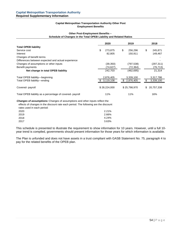#### **Capital Metropolitan Transportation Authority Other Post Employment Benefits**

#### **Schedule of Changes in the Total OPEB Liability and Related Ratios Other Post-Employment Benefits –**

|                                                          | 2020          |    | 2019         |    | 2018       |
|----------------------------------------------------------|---------------|----|--------------|----|------------|
| <b>Total OPEB liability</b>                              |               |    |              |    |            |
| Service cost                                             | \$<br>273,875 | \$ | 256,296      | \$ | 245,871    |
| Interest                                                 | 82,805        |    | 150,911      |    | 149,467    |
| Changes of benefit terms                                 |               |    |              |    |            |
| Differences between expected and actual experience       |               |    |              |    |            |
| Changes of assumptions or other inputs                   | (39, 350)     |    | (797, 538)   |    | (297, 311) |
| Benefit payments                                         | (74, 627)     |    | (72, 364)    |    | (76, 713)  |
| Net change in total OPEB liability                       | 242,703       |    | (462, 695)   |    | 21,314     |
| Total OPEB liability-beginning                           | 2,876,405     |    | 3,339,100    |    | 3,317,786  |
| Total OPEB liability-ending                              | \$3,119,108   | S. | 2,876,405    |    | 3,339,100  |
| Covered-payroll                                          | \$28,224,000  |    | \$25,798,970 | S. | 20,757,338 |
| Total OPEB liability as a percentage of covered- payroll | 11%           |    | 11%          |    | 16%        |

#### *Changes of assumptions:* Changes of assumptions and other inputs reflect the

effects of changes in the discount rate each period. The following are the discount rates used in each period: 2020 2.21%

| ZUZU | $2.2 \times 170$ |
|------|------------------|
| 2019 | 2.66%            |
| 2018 | 4.24%            |
| 2017 | 3.63%            |

This schedule is presented to illustrate the requirement to show information for 10 years. However, until a full 10 year trend is compiled, governments should present information for those years for which information is available.

The Plan is unfunded and does not have assets in a trust compliant with GASB Statement No. 75, paragraph 4 to pay for the related benefits of the OPEB plan.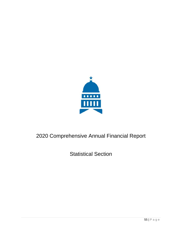

# 2020 Comprehensive Annual Financial Report

Statistical Section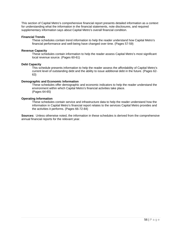This section of Capital Metro's comprehensive financial report presents detailed information as a context for understanding what the information in the financial statements, note disclosures, and required supplementary information says about Capital Metro's overall financial condition.

### **Financial Trends**

These schedules contain trend information to help the reader understand how Capital Metro's financial performance and well-being have changed over time. (Pages 57-59)

#### **Revenue Capacity**

These schedules contain information to help the reader assess Capital Metro's most significant local revenue source. (Pages 60-61)

#### **Debt Capacity**

This schedule presents information to help the reader assess the affordability of Capital Metro's current level of outstanding debt and the ability to issue additional debt in the future. (Pages 62- 63)

#### **Demographic and Economic Information**

These schedules offer demographic and economic indicators to help the reader understand the environment within which Capital Metro's financial activities take place. (Pages 64-65)

## **Operating Information**

These schedules contain service and infrastructure data to help the reader understand how the information in Capital Metro's financial report relates to the services Capital Metro provides and the activities it performs. (Pages 66-72-84)

**Sources:** Unless otherwise noted, the information in these schedules is derived from the comprehensive annual financial reports for the relevant year.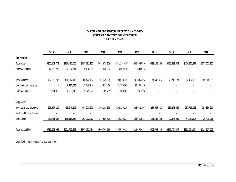## **CAPITAL METROPOLITAN TRANSPORTATION AUTHORITY CONDENSED STATEMENT OF NET POSITIONLAST TEN YEARS**

|                             | 2020          | 2019          | 2018          | 2017          | 2016          | 2015          | 2014          | 2013          | 2012          | 2011          |
|-----------------------------|---------------|---------------|---------------|---------------|---------------|---------------|---------------|---------------|---------------|---------------|
| <b>Net Position</b>         |               |               |               |               |               |               |               |               |               |               |
| Total assets                | \$850,601,773 | \$736,412,006 | \$687,181,390 | \$631,671,906 | \$581,284,435 | \$549,866,540 | \$483,139,154 | \$456,513,478 | \$424,222,373 | \$377,672,823 |
| Deferred Outflow            | 17,229,238    | 14,287,244    | 9,416,391     | 11,040,533    | 14,502,678    | 13,394,914    |               |               |               |               |
| <b>Total liabilities</b>    | 127,150,737   | 118,047,916   | 106,423,127   | 121,349,555   | 98,573,715    | 100,896,496   | 74,546,316    | 79,719,171    | 92,197,909    | 59,345,298    |
| Unearned grant revenue      |               | 8,797,035     | 17,140,344    | 18,828,476    | 41,375,065    | 45,450,146    |               |               |               |               |
| Deferred Inflow             | 5,071,313     | 2,088,748     | 5,841,826     | 1,765,739     | 1,288,901     | 261,124       |               |               |               |               |
| Net position                |               |               |               |               |               |               |               |               |               |               |
| Invested in capital assets  | 503,897,130   | 455,646,696   | 403,270,271   | 356,182,839   | 292,329,115   | 282,032,104   | 287,038,610   | 286,448,356   | 287,763,068   | 288,856,610   |
| Restricted for construction |               |               |               |               |               |               |               |               |               |               |
| Unrestricted                | 231,711,832   | 166,118,857   | 163,922,213   | 144,585,830   | 162,220,317   | 134,621,584   | 121,554,228   | 90,345,951    | 44,261,396    | 29,470,915    |
| Total net position          | \$735,608,962 | \$621,765,553 | \$567,192,484 | \$500,768,669 | \$454,549,432 | \$416,653,688 | \$408,592,838 | \$376,794,307 | \$332,024,464 | \$318,327,525 |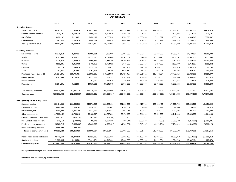|                                         | 2020            | 2019            | 2018            | 2017            | 2016            | 2015            | 2014            | 2013            | 2012                     | 2011            |
|-----------------------------------------|-----------------|-----------------|-----------------|-----------------|-----------------|-----------------|-----------------|-----------------|--------------------------|-----------------|
| <b>Operating Revenue</b>                |                 |                 |                 |                 |                 |                 |                 |                 |                          |                 |
| <b>Transportation fares</b>             | \$8,361,017     | \$11,903,616    | \$12,031,326    | \$13,455,755    | \$14,124,211    | \$13,594,470    | \$12,104,556    | \$11,142,027    | \$10,967,223             | \$9,928,579     |
| Contract revenue and fares              | 6,519,695       | 9,083,445       | 8,968,191       | 8,151,879       | 7,286,377       | 6,834,345       | 7,263,506       | 7,425,924       | 7,150,215                | 6,820,131       |
| Rail - freight                          | 6,486,192       | 5,110,051       | 5,453,100       | 4,522,523       | 4,756,093       | 5,063,456       | 5,119,927       | 5,030,110       | 4,998,943                | 7,550,692       |
| Commuter rail                           | 1,587,322       | 3,281,916       | 2,589,108       | 2,541,925       | 2,656,212       | 3,301,561       | 3,778,188       | 3,358,278       | 2,265,523                | 954,666         |
| Total operating revenue                 | 22,954,226      | 29,379,028      | 29,041,725      | 28,672,082      | 28,822,893      | 28,793,832      | 28,266,177      | 26,956,339      | 25,381,904               | 25,254,068      |
|                                         |                 |                 |                 |                 |                 |                 |                 |                 |                          |                 |
| <b>Operating Expenses</b>               |                 |                 |                 |                 |                 |                 |                 |                 |                          |                 |
| Labor/fringe benefits (1)               | 46,376,213      | 45,237,327      | 42,698,314      | 44,196,009      | 35,894,236      | 33,972,657      | 30,627,326      | 27,550,575      | 84,599,834               | 82,985,900      |
| Services                                | 23,521,469      | 18,360,137      | 19,113,196      | 18,619,086      | 19,249,051      | 21,697,474      | 25,298,173      | 20,701,207      | 19,651,851               | 18,015,338      |
| Materials                               | 13,018,975      | 13,696,518      | 14,099,827      | 14,564,759      | 16,459,622      | 17,141,586      | 18,425,437      | 18,250,925      | 23,529,099               | 24,340,524      |
| Utilities                               | 3,131,335       | 3,016,639       | 2,768,950       | 2,784,922       | 2,678,320       | 2,595,727       | 2,278,593       | 2,185,680       | 2,052,397                | 2,021,342       |
| Insurance                               | 386,174         | 640,414         | 1,279,723       | 517,691         | 681,159         | 2,321,705       | 1,748,556       | 2,461,415       | 1,367,652                | 1,329,780       |
| Taxes                                   | 1,081,957       | 1,218,503       | 1,107,702       | 1,056,256       | 1,045,710       | 1,088,166       | 983,295         | 983,894         | 949,247                  | 990,353         |
| Purchased transportation (1)            | 165,234,291     | 158,795,657     | 152,361,385     | 143,514,968     | 145,026,467     | 123,661,911     | 113,472,564     | 103,479,414     | 35,326,960               | 28,316,877      |
| Other expenses                          | 5,561,594       | 4,783,567       | 4,537,502       | 3,759,197       | 4,385,484       | 2,703,674       | 3,198,500       | 2,337,366       | 2,003,727                | 1,975,810       |
| Interest expense                        |                 |                 | 252,919         | 369,935         | 480,141         | 589,510         | 697,383         | 800,365         | 750,835                  | 975,403         |
| Depreciation                            | 45,204,201      | 46,522,354      | 44,010,538      | 39,145,873      | 35,561,903      | 33,553,776      | 33,742,878      | 31,579,554      | 33,229,888               | 34,680,209      |
|                                         |                 |                 |                 |                 |                 |                 |                 |                 |                          |                 |
| Total operating expenses                | 303,516,209     | 292,271,116     | 282,230,056     | 268,528,696     | 261,462,093     | 239,326,186     | 230,472,705     | 210,330,395     | 203,461,490              | 195,631,536     |
| <b>Operating Loss</b>                   | (280, 561, 983) | (262, 892, 088) | (253, 188, 331) | (239, 856, 614) | (232, 639, 200) | (210, 532, 354) | (202, 206, 528) | (183, 374, 056) | (178,079,586)            | (170, 377, 468) |
| <b>Non-Operating Revenue (Expenses)</b> |                 |                 |                 |                 |                 |                 |                 |                 |                          |                 |
| Sales and use tax                       | 262,434,630     | 261,540,589     | 243,571,292     | 228,545,196     | 221,298,639     | 210,413,738     | 193,818,456     | 179,022,794     | 165,248,523              | 151,156,042     |
| Investment income                       | 4,440,688       | 5,659,749       | 1,990,000       | 1,395,002       | 1,386,061       | 54,646          | 92,949          | 99,480          | 86,006                   | 24,616          |
| Other income, net                       | 3,899,394       | 2,221,765       | 2,147,901       | 2,407,217       | 2,964,311       | 3,183,851       | 2,343,535       | 2,282,734       | 805,412                  | 1,201,994       |
| Other federal grants                    | 117,090,152     | 40,798,618      | 53,422,347      | 30,797,301      | 29,172,453      | 29,944,881      | 28,569,256      | 33,747,010      | 15,643,959               | 11,664,109      |
| Capital Contribution - Other Juriso     | (4, 497, 317)   | (420, 730)      | (542, 830)      | (57, 160)       |                 |                 |                 |                 | $\overline{\phantom{a}}$ |                 |
| <b>Build Central Texas Program</b>      | (148, 510)      | (570, 966)      | (409, 978)      | (2,927,158)     | (180, 544)      | (563, 293)      | (756,097)       | (1,808,588)     | (1, 216, 386)            | (1,090,985)     |
| Mobility interlocal agreements          | (3,508,715)     | (7,066,622)     | (5,669,095)     | (3,998,451)     | (1,709,281)     | (2,342,069)     | (4,975,704)     | (7,764,324)     | (4,598,153)              | (8,398,120)     |
| Long-term mobility planning             | (6,699,699)     | (3,895,780)     |                 |                 |                 |                 |                 |                 |                          |                 |
| Total non-operating revenue (           | 373,010,623     | 298,266,623     | 294,509,637     | 256,161,947     | 252,931,639     | 240,691,754     | 219,092,395     | 205,579,106     | 175,969,361              | 154,557,656     |
|                                         |                 |                 |                 |                 |                 |                 |                 |                 |                          |                 |
| Income (loss) before contributions      | 92,448,640      | 35,374,535      | 41,321,306      | 16,305,333      | 20,292,439      | 30,159,400      | 16,885,867      | 22,205,050      | (2, 110, 225)            | (15,819,812)    |
| Capital contributions                   | 21,398,445      | 19,198,534      | 27,441,971      | 29,913,904      | 17,603,305      | 8,830,998       | 14,912,664      | 22,564,793      | 15,807,164               | 11,623,579      |
| Change in net position                  | \$113,847,085   | \$54,573,069    | \$68,763,277    | \$46,219,237    | \$37,895,744    | \$38,990,398    | \$31,798,531    | \$44,769,843    | \$13,696,939             | (\$4,196,233)   |

#### **CHANGES IN NET POSITION LAST TEN YEARS**

(1) Captial Metro changed its business model to one that contracted out all transit operations and collections of fares in August 2012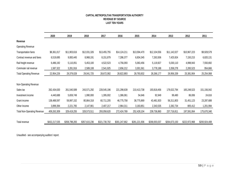## **CAPITAL METROPOLITAN TRANSPORTATION AUTHORITY REVENUE BY SOURCELAST TEN YEARS**

|                                    | 2020          | 2019          | 2018          | 2017          | 2016          | 2015          | 2014          | 2013          | 2012          | 2011          |
|------------------------------------|---------------|---------------|---------------|---------------|---------------|---------------|---------------|---------------|---------------|---------------|
| Revenue                            |               |               |               |               |               |               |               |               |               |               |
| <b>Operating Revenue</b>           |               |               |               |               |               |               |               |               |               |               |
| Transportation fares               | \$8,361,017   | \$11,903,616  | \$12,031,326  | \$13,455,755  | \$14,124,211  | \$13,594,470  | \$12,104,556  | \$11,142,027  | \$10,967,223  | \$9,928,579   |
| Contract revenue and fares         | 6,519,695     | 9,083,445     | 8,968,191     | 8,151,879     | 7,286,377     | 6,834,345     | 7,263,506     | 7,425,924     | 7,150,215     | 6,820,131     |
| Rail freight revenue               | 6,486,192     | 5,110,051     | 5,453,100     | 4,522,523     | 4,756,093     | 5,063,456     | 5,119,927     | 5,030,110     | 4,998,943     | 7,550,692     |
| Commuter rail revenue              | 1,587,322     | 3,281,916     | 2,589,108     | 2,541,925     | 2,656,212     | 3,301,561     | 3,778,188     | 3,358,278     | 2,265,523     | 954,666       |
| <b>Total Operating Revenue</b>     | 22,954,226    | 29,379,028    | 29,041,725    | 28,672,082    | 28,822,893    | 28,793,832    | 28,266,177    | 26,956,339    | 25,381,904    | 25,254,068    |
|                                    |               |               |               |               |               |               |               |               |               |               |
| Non-Operating Revenue              |               |               |               |               |               |               |               |               |               |               |
| Sales tax                          | 262,434,630   | 261,540,589   | 243,571,292   | 228,545,196   | 221,298,639   | 210,413,738   | 193,818,456   | 179,022,794   | 165,248,523   | 151,156,042   |
| Investment income                  | 4,440,688     | 5,659,749     | 1,990,000     | 1,395,002     | 1,386,061     | 54,646        | 92,949        | 99,480        | 86,006        | 24,616        |
| Grant income                       | 138,488,597   | 59,997,152    | 80,864,318    | 60,711,205    | 46,775,758    | 38,775,869    | 43,481,920    | 56,311,803    | 31,451,123    | 23,287,688    |
| Other Income                       | 3,899,394     | 2,221,765     | 2,147,901     | 2,407,217     | 2,964,311     | 3,183,851     | 2,343,535     | 2,282,734     | 805,412       | 1,201,994     |
| <b>Total Non-Operating Revenue</b> | 409,263,309   | 329,419,255   | 328,573,511   | 293,058,620   | 272,424,769   | 252,428,104   | 239,736,860   | 237,716,811   | 197,591,064   | 175,670,340   |
|                                    |               |               |               |               |               |               |               |               |               |               |
| Total revenue                      | \$432,217,535 | \$358,798,283 | \$357,615,236 | \$321,730,702 | \$301,247,662 | \$281,221,936 | \$268,003,037 | \$264,673,150 | \$222,972,968 | \$200,924,408 |
|                                    |               |               |               |               |               |               |               |               |               |               |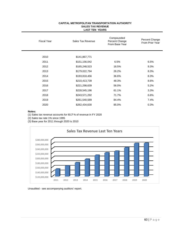| <b>Fiscal Year</b> | Sales Tax Revenue | Compounded<br>Percent Change<br>From Base Year | Percent Change<br>From Prior Year |
|--------------------|-------------------|------------------------------------------------|-----------------------------------|
| 2010               | \$141,867,771     |                                                |                                   |
| 2011               | \$151,156,042     | 6.5%                                           | 6.5%                              |
| 2012               | \$165,248,523     | 16.5%                                          | 9.3%                              |
| 2013               | \$179,022,794     | 26.2%                                          | 8.3%                              |
| 2014               | \$193,818,456     | 36.6%                                          | 8.3%                              |
| 2015               | \$210,413,739     | 48.3%                                          | 8.6%                              |
| 2016               | \$221,298,639     | 56.0%                                          | 5.2%                              |
| 2017               | \$228,545,196     | 61.1%                                          | 3.3%                              |
| 2018               | \$243,571,292     | 71.7%                                          | 6.6%                              |
| 2019               | \$261,540,589     | 84.4%                                          | 7.4%                              |
| 2020               | \$262,434,630     | 85.0%                                          | 0.3%                              |

#### **CAPITAL METROPOLITAN TRANSPORTATION AUTHORITY SALES TAX REVENUE LAST TEN YEARS**

## **Notes:**

(1) Sales tax revenue accounts for 60**.7** % of revenue in FY 2020

(2) Sales tax rate 1% since 1995

(3) Base year for 2011 through 2020 is 2010



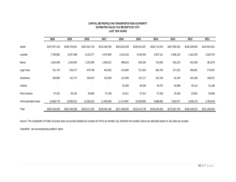|                      | 2020          | 2019          |               | 2017          | 2016          | 2015          | 2014          | 2013          | 2012          | 2011          |
|----------------------|---------------|---------------|---------------|---------------|---------------|---------------|---------------|---------------|---------------|---------------|
| Austin               | \$237,947,136 | \$239,726,641 | \$223,315,718 | \$210,339,780 | \$203,818,259 | \$195,031,837 | \$180,714,534 | \$167,830,291 | \$156,339,645 | \$143,501,921 |
| Leander              | 7,780,850     | 6,037,488     | 5,133,277     | 4,575,949     | 4,132,318     | 3,443,493     | 2,957,311     | 2,586,120     | 2,181,535     | 2,029,704     |
| Manor                | 1,624,939     | 1,344,004     | 1,155,286     | 1,068,012     | 998,823       | 818,330       | 716,592       | 526,223       | 431,028       | 381,878       |
| Lago Vista           | 731,745       | 528,727       | 478,798       | 443,462       | 413,984       | 371,054       | 364,704       | 317,522       | 286,891       | 279,397       |
| Jonestown            | 185,860       | 152,737       | 160,874       | 123,936       | 115,269       | 101,117       | 102,155       | 91,234        | 102,180       | 108,337       |
| Volente              |               |               |               |               | 62,280        | 46,538        | 46,767        | 62,989        | 45,214        | 41,188        |
| Point Venture        | 97,322        | 65,181        | 59,006        | 57,198        | 42,811        | 37,414        | 27,500        | 25,538        | 23,851        | 30,068        |
| Unincorporated Areas | 14,066,778    | 13,685,812    | 13,268,333    | 11,936,859    | 11,714,897    | 10,563,956    | 8,888,893     | 7,582,877     | 5,838,179     | 4,783,549     |
| Total                | \$262,434,630 | \$261,540,589 | \$243,571,292 | \$228,545,196 | \$221,298,639 | \$210,413,739 | \$193,818,456 | \$179,022,794 | \$165,248,523 | \$151,156,042 |

## **CAPITAL METROPOLITAN TRANSPORTATION AUTHORITYESTIMATED SALES TAX RECEIPTS BY CITYLAST TEN YEARS**

Source: The Comptroller of Public Accounts does not provide detailed tax receipts for MTAs by member city; therefore the numbers above are allocated based on city sales tax receipts.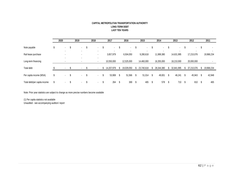## **CAPITAL METROPOLITAN TRANSPORTATION AUTHORITYLONG-TERM DEBT LAST TEN YEARS**

|                              | 2020                     |      | 2019                     |    | 2018                             |      | 2017                     |    | 2016                     |   | 2015           |     | 2014           |    | 2013       |    | 2012       |    | 2011                                   |
|------------------------------|--------------------------|------|--------------------------|----|----------------------------------|------|--------------------------|----|--------------------------|---|----------------|-----|----------------|----|------------|----|------------|----|----------------------------------------|
| Note payable                 | $\blacksquare$           | - 30 | $\overline{\phantom{a}}$ | \$ | $\sim$                           |      | $\overline{\phantom{a}}$ | S  | $\overline{\phantom{a}}$ | υ | $\sim$         | . ა | $\blacksquare$ | S  | $\sim$     | Φ  | $\sim$     | J. |                                        |
| Rail lease purchase          |                          |      | $\blacksquare$           |    | ۰                                |      | 3,657,979                |    | 6,504,050                |   | ۰<br>9,280,618 |     | 11,989,380     |    | 14,631,995 |    | 17,210,076 |    | $\overline{\phantom{a}}$<br>19,968,234 |
| Long-term financing          | $\overline{\phantom{a}}$ |      | $\blacksquare$           |    | $\blacksquare$<br>$\blacksquare$ |      | 10,550,000               |    | 12,525,000               |   | 14,460,000     |     | 16,355,000     |    | 18,210,000 |    | 20,000,000 |    |                                        |
| Total debt                   |                          |      |                          |    |                                  |      | 14,207,979               | Æ, | 19,029,050               |   | 23,740,618     |     | 28,344,380     | \$ | 32,841,995 |    | 37,210,076 |    | 19,968,234                             |
| Per capita income (MSA)      | \$<br>$\blacksquare$     | ა    | $\overline{\phantom{a}}$ | \$ | $\sim$                           | S    | 53,908                   | \$ | 51,566                   | S | 51,014         | -S  | 49,001         | \$ | 46,241     | \$ | 45,943     |    | 42,948                                 |
| Total debt/per capita income |                          | J.   | $\overline{\phantom{a}}$ | S  |                                  | - 30 | 264                      | \$ | 369                      | S | 465            |     | 578            | S  | 710        | J  | 810        |    | 465                                    |

Note: Prior year statistics are subject to change as more precise numbers become available

(1) Per capita statistics not available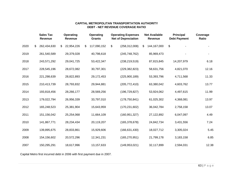## **CAPITAL METROPOLITAN TRANSPORTATION AUTHORITY DEBT - NET REVENUE COVERAGE RATIO**

|      | <b>Sales Tax</b><br><b>Revenue</b> | <b>Operating</b><br>Revenue | <b>Operating</b><br>Grants |             | <b>Operating Expenses</b><br><b>Net of Depreciation</b> | <b>Net Available</b><br>Revenue | <b>Principal</b><br><b>Debt Payment</b> | Coverage<br>Ratio |
|------|------------------------------------|-----------------------------|----------------------------|-------------|---------------------------------------------------------|---------------------------------|-----------------------------------------|-------------------|
| 2020 | \$<br>262,434,630                  | \$<br>22,954,226            | \$                         | 117,090,152 | \$<br>(258, 312, 008)                                   | \$<br>144, 167, 000             | \$                                      |                   |
| 2019 | 261,540,589                        | 29,379,028                  |                            | 40,798,618  | (245, 748, 762)                                         | 85,969,473                      |                                         |                   |
| 2018 | 243,571,292                        | 29,041,725                  |                            | 53,422,347  | (238, 219, 519)                                         | 87,815,845                      | 14,207,979                              | 6.18              |
| 2017 | 228,545,196                        | 28,672,082                  |                            | 30,797,301  | (229, 382, 823)                                         | 58,631,756                      | 4,821,070                               | 12.16             |
| 2016 | 221,298,639                        | 28,822,893                  |                            | 29,172,453  | (225,900,189)                                           | 53,393,796                      | 4,711,568                               | 11.33             |
| 2015 | 210,413,739                        | 28,793,832                  |                            | 29,944,881  | (205, 772, 410)                                         | 63,380,042                      | 4,603,762                               | 13.77             |
| 2014 | 193,818,456                        | 28,266,177                  |                            | 28,569,256  | (196, 729, 827)                                         | 53,924,062                      | 4,497,615                               | 11.99             |
| 2013 | 179,022,794                        | 26,956,339                  |                            | 33,797,010  | (178, 750, 841)                                         | 61,025,302                      | 4,368,081                               | 13.97             |
| 2012 | 165,248,523                        | 25,381,904                  |                            | 15,643,959  | (170, 231, 602)                                         | 36,042,784                      | 2,758,158                               | 13.07             |
| 2011 | 151,156,042                        | 25,254,068                  |                            | 11,664,109  | (160, 951, 327)                                         | 27,122,892                      | 6,047,097                               | 4.49              |
| 2010 | 141,867,771                        | 28,234,434                  |                            | 20,119,207  | (165, 378, 678)                                         | 24,842,734                      | 3,431,556                               | 7.24              |
| 2009 | 139,895,675                        | 28,833,861                  |                            | 15,929,606  | (166, 631, 430)                                         | 18,027,712                      | 3,305,024                               | 5.45              |
| 2008 | 154,156,602                        | 20,572,296                  |                            | 12,341,231  | (165, 270, 951)                                         | 21,799,178                      | 3,183,158                               | 6.85              |
| 2007 | 150,295,291                        | 18,617,996                  |                            | 13,157,633  | (149, 953, 021)                                         | 32,117,899                      | 2,594,031                               | 12.38             |

Capital Metro first incurred debt in 2006 with first payment due in 2007.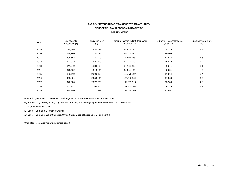#### **CAPITAL METROPOLITAN TRANSPORTATION AUTHORITY**

**DEMOGRAPHIC AND ECONOMIC STATISTICS**

#### **LAST TEN YEARS**

| Year | City of Austin<br>Population (1) | Population MSA<br>(2) | Personal Income (MSA) (thousands<br>of dollars) (2) | Per Capita Personal Income<br>(MSA) (2) | Unemployment Rate<br>$(MSA)$ (3) |
|------|----------------------------------|-----------------------|-----------------------------------------------------|-----------------------------------------|----------------------------------|
| 2009 | 770,296                          | 1,682,338             | 65,636,196                                          | 38,215                                  | 6.9                              |
| 2010 | 778,560                          | 1,727,627             | 69,239,230                                          | 40,009                                  | 7.0                              |
| 2011 | 805,662                          | 1,781,409             | 76,507,673                                          | 42,948                                  | 6.6                              |
| 2012 | 821,012                          | 1,835,298             | 84,319,550                                          | 45,943                                  | 5.7                              |
| 2013 | 841,649                          | 1,884,439             | 87,138,010                                          | 46,241                                  | 5.1                              |
| 2014 | 878,002                          | 1,943,465             | 95,231,402                                          | 49,001                                  | 4.2                              |
| 2015 | 899,119                          | 2,000,860             | 102,072,207                                         | 51,014                                  | 3.4                              |
| 2016 | 925,491                          | 2,056,405             | 106,040,064                                         | 51,566                                  | 3.2                              |
| 2017 | 946,080                          | 2,077,789             | 112,009,610                                         | 53,908                                  | 2.9                              |
| 2018 | 963,797                          | 2,168,316             | 127,439,164                                         | 58,773                                  | 2.9                              |
| 2019 | 980,880                          | 2,227,083             | 138,028,065                                         | 61,997                                  | 2.5                              |

Note: Prior year statistics are subject to change as more precise numbers become available.

(1) Source : City Demographer, City of Austin, Planning and Zoning Department based on full purpose area as

of September 30, 2019

(2) Source: Bureau of Economic Analysis

(3) Source: Bureau of Labor Statistics, United States Dept. of Labor as of September 30.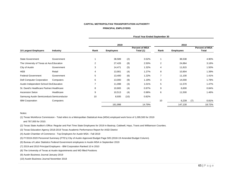#### **CAPITAL METROPOLITAN TRANSPORTATION AUTHORITYPRINCIPAL EMPLOYERS**

|                                            |                 | Fiscal Year Ended September 30 |                  |      |                                    |                |                  |     |                                |  |  |  |  |
|--------------------------------------------|-----------------|--------------------------------|------------------|------|------------------------------------|----------------|------------------|-----|--------------------------------|--|--|--|--|
|                                            |                 |                                | 2019             |      |                                    |                | 2010             |     |                                |  |  |  |  |
| 10 Largest Employers                       | <b>Industry</b> | Rank                           | <b>Employees</b> |      | <b>Percent of MSA</b><br>Total (1) | Rank           | <b>Employees</b> |     | <b>Percent of MSA</b><br>Total |  |  |  |  |
| <b>State Government</b>                    | Government      |                                | 38,589           | (2)  | 3.52%                              | $\mathbf 1$    | 38,538           |     | 4.90%                          |  |  |  |  |
| The University of Texas at Aus Education   |                 | 2                              | 27,426           | (8)  | 2.50%                              | $\overline{2}$ | 24,864           |     | 3.16%                          |  |  |  |  |
| City of Austin                             | Government      | 3                              | 14,471           | (5)  | 1.32%                              | 4              | 11,815           |     | 1.50%                          |  |  |  |  |
| <b>HEB</b>                                 | Retail          | 4                              | 13,901           | (4)  | 1.27%                              | 8              | 10,904           |     | 1.39%                          |  |  |  |  |
| <b>Federal Government</b>                  | Government      | 5                              | 13,400           | (6)  | 1.22%                              | 7              | 11,100           |     | 1.41%                          |  |  |  |  |
| <b>Dell Computer Corporation</b>           | Computers       | 6                              | 13,000           | (9)  | 1.19%                              | 3              | 14,000           |     | 1.78%                          |  |  |  |  |
| Austin Independent School Dis Education    |                 | 7                              | 11,098           | (3)  | 1.01%                              | 5              | 11,570           |     | 1.47%                          |  |  |  |  |
| St. David's Healthcare Partner: Healthcare |                 | 8                              | 10,665           | (4)  | 0.97%                              | 9              | 6,600            |     | 0.84%                          |  |  |  |  |
| <b>Ascension Seton</b>                     | Healthcare      | 9                              | 10,513           | (4)  | 0.96%                              | 6              | 11,500           |     | 1.46%                          |  |  |  |  |
| Samsung Austin Semiconduct Semiconductor   |                 | 10                             | 8,935            | (10) | 0.82%                              |                |                  |     |                                |  |  |  |  |
| <b>IBM Corporation</b>                     | Computers       |                                |                  |      |                                    | 10             | 6,239            | (7) | 0.81%                          |  |  |  |  |
|                                            |                 |                                | 161,998          |      | 14.79%                             |                | 147,130          |     | 18.72%                         |  |  |  |  |
|                                            |                 |                                |                  |      |                                    |                |                  |     |                                |  |  |  |  |

Notes:

(1) Texas Workforce Commission - Total refers to a Metropolitan Statistical Area (MSA) employed work force of 1,095,500 for 2019

and 787,000 for 2010.

(2) Texas State Auditor's Office: Regular and Part Time State Employees for 2019 in Bastrop, Caldwell, Hays, Travis and Williamson Counties.

(3) Texas Education Agency 2018-2019 Texas Academic Performance Report for AISD District

(4) Austin Chamber of Commerce - Top Employers for Austin MSA - Fall 2019

(5) FY2019-2020 Personnel Summary (FTE's) City of Austin Approved Budget Page 505 (2018-19 Amended Budget Column).

(6) Bureau of Labor Statistics Federal Government employees in Austin MSA in September 2019

(7) 2019 and 2010 Principal Employers - IBM Corporation Ranked 10 in 2010

(8) The University of Texas at Austin Appointments and WD filled Positions

(9) Austin Business Journal January 2019

(10) Austin Business Journal November 2018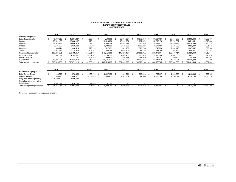#### **CAPITAL METROPOLITAN TRANSPORTATION AUTHORITY EXPENSES BY OBJECT CLASS LAST TEN YEARS**

|                               | 2020             |      | 2019        |    | 2018        |      | 2017        |     | 2016        |      | 2015        |      | 2014        |      | 2013        |      | 2012        |      | 2011        |
|-------------------------------|------------------|------|-------------|----|-------------|------|-------------|-----|-------------|------|-------------|------|-------------|------|-------------|------|-------------|------|-------------|
| <b>Operating Expenses</b>     |                  |      |             |    |             |      |             |     |             |      |             |      |             |      |             |      |             |      |             |
| Labor/fringe benefits         | \$<br>46,376,213 |      | 45,237,327  | S  | 42,698,314  | - \$ | 44,196,009  |     | 35,894,237  | - \$ | 33,972,657  | - SS | 30,627,326  | - \$ | 27,550,575  | - \$ | 84,599,834  | - 35 | 82,985,900  |
| Services                      | 23,521,469       |      | 18,360,137  |    | 19,113,196  |      | 18,619,086  |     | 19,249,051  |      | 21,697,474  |      | 25,298,173  |      | 20,701,207  |      | 19,651,851  |      | 18,015,338  |
| Materials                     | 13,018,975       |      | 13,696,518  |    | 14,099,827  |      | 14,564,759  |     | 16,459,622  |      | 17,141,586  |      | 18,425,437  |      | 18,250,925  |      | 23,529,099  |      | 24,340,524  |
| Utilities                     | 3,131,335        |      | 3,016,639   |    | 2,768,950   |      | 2,784,922   |     | 2,678,320   |      | 2,595,727   |      | 2,278,593   |      | 2,185,680   |      | 2,052,397   |      | 2,021,342   |
| Insurance                     | 386,174          |      | 640,414     |    | 1,279,723   |      | 517,691     |     | 681,159     |      | 2,321,705   |      | 1,748,556   |      | 2,461,415   |      | 1,367,652   |      | 1,329,780   |
| Taxes                         | 1,081,957        |      | 1,218,503   |    | 1.107.702   |      | 1,056,256   |     | 1,045,709   |      | 1,088,166   |      | 983,295     |      | 983,894     |      | 949,247     |      | 990,353     |
| Purchased transportation      | 165,234,291      |      | 158,795,657 |    | 152,361,386 |      | 143,514,969 |     | 145,026,467 |      | 123,661,911 |      | 113,472,564 |      | 103,479,414 |      | 35,326,960  |      | 28,316,877  |
| Other expenses                | 5,561,594        |      | 4,783,567   |    | 4,537,502   |      | 3,759,197   |     | 4,385,483   |      | 2,703,674   |      | 3,198,500   |      | 2,337,366   |      | 2,003,727   |      | 1,975,810   |
| Interest expense              |                  |      |             |    | 252,919     |      | 369,935     |     | 480,142     |      | 589,510     |      | 697,383     |      | 800,365     |      | 750,835     |      | 975,403     |
| Depreciation                  | 45,204,201       |      | 46,522,354  |    | 44,010,538  |      | 39,145,873  |     | 35,561,903  |      | 33,553,776  |      | 33,742,878  |      | 31,579,554  |      | 33,229,888  |      | 34,680,209  |
| Total operating expenses      | 303,516,209      |      | 292,271,116 |    | 282,230,057 |      | 268,528,697 |     | 261,462,093 |      | 239,326,186 |      | 230,472,705 |      | 210,330,395 |      | 203,461,490 |      | 195,631,536 |
|                               |                  |      |             |    |             |      |             |     |             |      |             |      |             |      |             |      |             |      |             |
|                               | 2020             |      | 2019        |    | 2018        |      | 2017        |     | 2016        |      | 2015        |      | 2014        |      | 2013        |      | 2012        |      | 2011        |
| <b>Non-Operating Expenses</b> |                  |      |             |    |             |      |             |     |             |      |             |      |             |      |             |      |             |      |             |
| <b>Build Central Texas</b>    | \$<br>148.510    | - \$ | 570,966     | \$ | 409,978     | -\$  | 2,927,158   | \$. | 180,544     | -\$  | 563,293     | - \$ | 756,097     | -\$  | 1,808,588   | - \$ | 1,216,386   | -\$  | 1,090,985   |
| Mobility programs             | 3,508,715        |      | 7,066,622   |    | 5,669,095   |      | 3,998,451   |     | 1,709,281   |      | 2,342,069   |      | 4,975,704   |      | 7,764,324   |      | 4,598,153   |      | 8,398,120   |
| Long-term mobility planning   | 6,699,699        |      | 3,895,780   |    |             |      |             |     |             |      |             |      |             |      |             |      |             |      |             |
| Capital contributions - other |                  |      |             |    |             |      |             |     |             |      |             |      |             |      |             |      |             |      |             |
| jurisdictions                 | 4,497,317        |      | 420,730     |    | 542,830     |      | 57,160      |     |             |      |             |      |             |      |             |      |             |      |             |
| Total non-operating expenses  | 14,854,241       |      | 11,954,098  |    | 6,621,903   |      | 6,982,769   |     | 1,889,825   |      | 2,905,362   |      | 5,731,801   |      | 9,572,912   |      | 5,814,539   |      | 9,489,105   |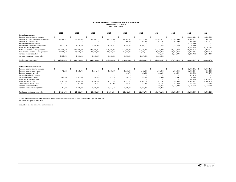## **CAPITAL METROPOLITAN TRANSPORTATION AUTHORITY OPERATING STATISTICS LAST TEN YEARS**

|                                         |                | 2020        | 2019        | 2018                     |    | 2017        |    | 2016        | 2015        |      | 2014          |    | 2013        |    | 2012        |    | 2011        |
|-----------------------------------------|----------------|-------------|-------------|--------------------------|----|-------------|----|-------------|-------------|------|---------------|----|-------------|----|-------------|----|-------------|
| <b>Operating expenses</b>               |                |             |             |                          |    |             |    |             |             |      |               |    |             |    |             |    |             |
| Demand reponse directly operated        |                |             |             |                          | -S |             | £. |             | \$          | -\$  |               |    |             |    | 23,163,134  | S  | 24,581,584  |
| Demand reponse-purchased transportation |                | 41,344,741  | 38,949,933  | 40,844,729               |    | 42,199,986  |    | 40,362,921  | 37,772,056  |      | 32.953.872    |    | 31,490,408  |    | 6,809,517   |    | 997.269     |
| Demand reponse taxi cab                 |                |             |             |                          |    |             |    | 846,445     | 849,406     |      | 357,792       |    | 515,059     |    | 857,353     |    | 2,427,171   |
| Express bus directly operated           |                |             |             |                          |    |             |    |             |             |      |               |    |             |    | 8,755,409   |    |             |
| Express bus-purchased transportation    |                | 4,671,770   | 8,828,809   | 7,750,079                |    | 6,379,211   |    | 5,688,832   | 5,019,117   |      | 7,722,055     |    | 7,724,750   |    | 1,108,609   |    |             |
| Motor bus directly operated             |                |             |             |                          |    |             |    |             |             |      |               |    |             |    | 70.627.459  |    | 80.191.085  |
| Motor bus-purchased transportation      |                | 158,612,670 | 164,620,099 | 153,795,357              |    | 145,368,852 |    | 144,263,239 | 134,770,798 |      | 127, 143, 429 |    | 112,150,468 |    | 38,799,019  |    | 34,272,011  |
| Commuter rail-purchased transportation  |                | 22,536,132  | 19,319,510  | 23,182,822               |    | 21,743,560  |    | 24,246,860  | 14,779,117  |      | 15,810,047    |    | 13.712.449  |    | 11,358,085  |    | 9,388,517   |
| Vanpool-directly operated               |                |             |             |                          |    |             |    |             |             |      | 365,156       |    | 2,137,476   |    | 2,220,742   |    | 1,240,439   |
| Vanpool-purchased transportation        |                | 2.385.786   | 2.401.218   | 1,143,337                |    | 1,452,639   |    | 1,273,091   | 2,387,524   |      | 1,126,906     |    |             |    |             |    |             |
| Total operating expenses**              |                | 229,551,099 | 234,119,569 | 226,716,324              |    | 217,144,248 |    | 216,681,388 | 195,578,018 |      | 185,479,257   |    | 167,730,610 |    | 163,699,327 |    | 153,098,076 |
|                                         |                |             |             |                          |    |             |    |             |             |      |               |    |             |    |             |    |             |
| Actual vehicle revenue miles            |                |             |             |                          |    |             |    |             |             |      |               |    |             |    |             |    |             |
| Demand reponse directly operated        | $\mathfrak{L}$ |             |             |                          |    |             | \$ |             | \$          | - \$ |               | -S |             | -S | 2,956,691   | -S | 3,005,416   |
| Demand reponse purch. trans.            |                | 4,472,209   | 5,615,709   | 5,514,405                |    | 5,395,478   |    | 5,028,095   | 4,942,463   |      | 4,666,043     |    | 4,487,043   |    | 1,536,889   |    | 364,638     |
| Demand response taxi cab                |                |             |             | $\overline{\phantom{a}}$ |    | $\sim$      |    | 146,782     | 149,625     |      | 111,189       |    | 122,604     |    | 228.402     |    | 775.874     |
| Express bus directly operated           |                |             |             |                          |    |             |    |             |             |      |               |    |             |    | 626,413     |    |             |
| Express bus purch. Trans.               |                | 605,598     | 1,147,318   | 928,475                  |    | 737,780     |    | 736,798     | 747,633     |      | 739,055       |    | 701,561     |    | 80,303      |    |             |
| Motor bus directly operated             |                |             |             |                          |    |             |    |             |             |      |               |    |             |    | 7,509,440   |    | 8,579,614   |
| Motor bus purch. trans.                 |                | 14,707,589  | 15,950,516  | 15,396,804               |    | 14,473,436  |    | 14,343,211  | 14,001,707  |      | 12,982,104    |    | 12,801,955  |    | 5,035,222   |    | 5,508,516   |
| Commuter rail purch. Trans.             |                | 532,347     | 291,066     | 310,272                  |    | 301,020     |    | 298,379     | 287,997     |      | 279,757       |    | 279,359     |    | 237.125     |    | 176.196     |
| Vanpool-directly operated               |                |             |             |                          |    |             |    |             |             |      | 338,077       |    | 1,132,983   |    | 1,135,160   |    | 1,150,070   |
| Vanpool-purchased transportation        |                | 3,797,043   | 4,416,865   | 4,339,303                |    | 3,747,150   |    | 3,109,432   | 2,241,335   |      | 870,967       |    |             |    |             |    |             |
| Total actual vehicle revenue miles      |                | 24,114,786  | 27.421.474  | 26,489,259               |    | 24,654,864  |    | 23,662,697  | 22,370,760  |      | 19,987,192    |    | 19.525.505  |    | 19.345.645  |    | 19,560,324  |

\*\* Total operating expense does not include depreciation, rail freight expense, or other nonallocated expenses for NTD. Source: NTD report for each year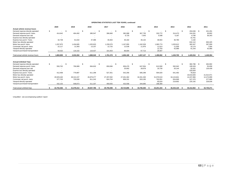#### **OPERATING STATISTICS LAST TEN YEARS, continued**

|                                    |    | 2020       | 2019                     |     | 2018       |                | 2017       |     | 2016       |    | 2015                     |                | 2014                     |     | 2013       |     | 2012       |                | 2011       |
|------------------------------------|----|------------|--------------------------|-----|------------|----------------|------------|-----|------------|----|--------------------------|----------------|--------------------------|-----|------------|-----|------------|----------------|------------|
| Actual vehicle revenue hours       |    |            |                          |     |            |                |            |     |            |    |                          |                |                          |     |            |     |            |                |            |
| Demand reponse directly operated   | S  |            | \$<br>۰                  | \$. |            | $\mathfrak{s}$ | ٠          | \$. |            | s. | $\overline{\phantom{a}}$ | $\mathfrak{s}$ | $\overline{\phantom{a}}$ | \$. | ۰          | \$. | 204.046    | $\mathfrak{s}$ | 241.291    |
| Demand reponse purch. trans.       |    | 414,642    | 404,492                  |     | 385,547    |                | 396,660    |     | 382,088    |    | 367,735                  |                | 333,772                  |     | 314,473    |     | 104,261    |                | 30,802     |
| Demand response taxi cab           |    |            |                          |     |            |                |            |     | 6,725      |    | 7,043                    |                | 5,598                    |     | 5,187      |     | 8,780      |                | 36,343     |
| Express bus directly operated      |    |            |                          |     |            |                |            |     |            |    |                          |                |                          |     | $\sim$     |     | 32,761     |                |            |
| Express bus purch. Trans.          |    | 32,738     | 61,632                   |     | 47,486     |                | 40,364     |     | 40,182     |    | 40,132                   |                | 39,564                   |     | 36,780     |     | 4,192      |                |            |
| Motor bus directly operated        |    |            |                          |     |            |                |            |     |            |    |                          |                |                          |     |            |     | 632.112    |                | 693.325    |
| Motor bus purch. trans.            |    | 1,297,870  | 1,434,665                |     | 1,325,923  |                | ,230,076   |     | 1,167,955  |    | 1,162,528                |                | 1,065,774                |     | 1,020,612  |     | 383,347    |                | 397,959    |
| Commuter rail purch. trans.        |    | 22,117     | 12,393                   |     | 13,157     |                | 12,725     |     | 12,536     |    | 11,976                   |                | 11,613                   |     | 11,559     |     | 10,174     |                | 7,594      |
| Vanpool-directly operated          |    |            |                          |     |            |                |            |     |            |    |                          |                | 12.754                   |     | 42,089     |     | 41.243     |                | 42,080     |
| Vanpool-purchased transportation   |    | 93,532     | 119,102                  |     | 116,427    |                | 101,553    |     | 86,694     |    | 67,713                   |                | 29,007                   |     |            |     |            |                |            |
| Total actual vehicle revenue hours |    | 1,860,899  | 2,032,284                |     | 1,888,540  |                | 1,781,378  |     | 1,696,180  |    | 1,657,127                |                | 1,498,082                |     | 1,430,700  |     | 1,420,916  |                | 1,449,394  |
|                                    |    |            |                          |     |            |                |            |     |            |    |                          |                |                          |     |            |     |            |                |            |
| <b>Annual Unlinked Trips</b>       |    |            |                          |     |            |                |            |     |            |    |                          |                |                          |     |            |     |            |                |            |
| Demand reponse directly operated   | \$ |            |                          | \$. |            | -9             |            |     |            | \$ |                          | -S             |                          |     |            | S.  | 382,786    | -S             | 464,902    |
| Demand reponse purch. trans.       |    | 550,702    | 706,989                  |     | 694,632    |                | 650,696    |     | 656,476    |    | 647,054                  |                | 613,590                  |     | 592,042    |     | 195,529    |                | 55,658     |
| Demand response taxi cab           |    |            |                          |     |            |                |            |     | 25,902     |    | 28,678                   |                | 19,730                   |     | 20,144     |     | 33,431     |                | 126,439    |
| Express bus directly operated      |    |            |                          |     |            |                |            |     |            |    |                          |                |                          |     |            |     | 520,834    |                |            |
| Express bus purch. Trans.          |    | 412.468    | 779,887                  |     | 611,298    |                | 527,351    |     | 542,266    |    | 585,298                  |                | 594.020                  |     | 641,492    |     | 78,818     |                |            |
| Motor bus directly operated        |    |            |                          |     |            |                |            |     |            |    |                          |                |                          |     | $\sim$     |     | 19,010,826 |                | 21,012,071 |
| Motor bus purch. trans.            |    | 20,929,440 | 28,313,157               |     | 26,879,277 |                | 27,297,092 |     | 27,261,362 |    | 32,261,330               |                | 31,976,519               |     | 34,124,841 |     | 14.437.866 |                | 12.474.899 |
| Commuter rail purch. trans.        |    | 377,703    | 729,508                  |     | 811,242    |                | 824,704    |     | 806,331    |    | 833,195                  |                | 763,551                  |     | 834,699    |     | 527.370    |                | 377.666    |
| Vanpool-directly operated          |    |            | $\overline{\phantom{a}}$ |     |            |                |            |     |            |    |                          |                | 65,624                   |     | 219,902    |     | 225,192    |                | 228,636    |
| Vanpool-purchased transportation   |    | 432.153    | 548.873                  |     | 511.337    |                | 459,555    |     | 432,558    |    | 344,695                  |                | 168,300                  |     |            |     |            |                |            |
| Total actual unlinked trips        |    | 22,702,466 | 31,078,414               |     | 29,507,786 |                | 29,759,398 |     | 29,724,895 |    | 34,700,250               |                | 34,201,334               |     | 36,433,120 |     | 35,412,652 |                | 34,740,271 |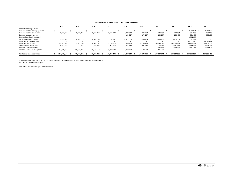#### **OPERATING STATISTICS LAST TEN YEARS, continued**

|                                  | 2020        | 2019        | 2018        | 2017        | 2016        | 2015        | 2014        | 2013        | 2012        | 2011        |
|----------------------------------|-------------|-------------|-------------|-------------|-------------|-------------|-------------|-------------|-------------|-------------|
| <b>Annual Passenger Miles</b>    |             |             |             |             |             |             |             |             |             |             |
| Demand reponse directly operated |             |             |             |             |             |             |             |             | 2,978,934   | 3,317,279   |
| Demand reponse purch. trans.     | 3,951,985   | 6,008,746   | 5,615,058   | 5,581,909   | 5,222,308   | 5.006.753   | 4.944.288   | 4.772.554   | 1,591,830   | 400,623     |
| Demand response taxi cab         |             |             |             |             | 169,347     | 179,147     | 128,787     | 138,430     | 261,435     | 895,136     |
| Express bus directly operated    |             |             |             |             |             |             |             |             | 8,204,168   |             |
| Express bus purch. Trans.        | 7,329,378   | 14,695,729  | 10,302,794  | 7,701,902   | 8,811,515   | 9,596,464   | 9,198,180   | 9,728,554   | 1,091,142   |             |
| Motor bus directly operated      |             |             |             |             |             |             |             |             | 84.687.015  | 99,697,872  |
| Motor bus purch, trans.          | 90.381.986  | 115.921.268 | 116.078.132 | 115.795.824 | 112.049.203 | 144.788.219 | 135.348.047 | 134.593.131 | 45.975.542  | 34.902.303  |
| Commuter rail purch. trans.      | 5,491,355   | 11,187,645  | 12,269,528  | 13,034,972  | 13,241,488  | 13,491,230  | 12,006,789  | 13,281,938  | 8,534,175   | 6,424,718   |
| Vanpool-directly operated        |             |             | $\sim$      |             |             |             | 1,835,645   | 5,824,978   | 5,631,716   | 5,353,528   |
| Vanpool-purchased transportation | 17,430,461  | 20,766,873  | 19,572,510  | 16,720,887  | 14,763,768  | 10,508,902  | 4,485,538   |             |             |             |
| Total actual passenger miles     | 124.585.165 | 168.580.261 | 163.838.022 | 158.835.494 | 154.257.629 | 183.570.715 | 167.947.274 | 168.339.585 | 158,955,957 | 150,991,459 |

Source: NTD report for each year \*\*Total operating expenses does not include depreciation, rail freight expenses, or other nonallocated expenses for NTD.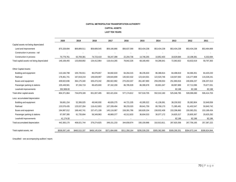#### **CAPITAL METROPOLITAN TRANSPORTATION AUTHORITY**

#### **CAPITAL ASSETS**

#### **LAST TEN YEARS**

|                                            | 2020          | 2019                     | 2018                     | 2017                     | 2016                     | 2015                     | 2014          | 2013          | 2012          | 2011          |
|--------------------------------------------|---------------|--------------------------|--------------------------|--------------------------|--------------------------|--------------------------|---------------|---------------|---------------|---------------|
| Capital assets not being depreciated:      |               |                          |                          |                          |                          |                          |               |               |               |               |
| Land and Improvement                       | \$75,328,694  | \$69,889,511             | \$59,689,545             | \$59,166,866             | \$56,637,590             | \$53,434,238             | \$53,434,238  | \$53,434,238  | \$53,434,238  | \$53,464,669  |
| Construction in process - rail             |               |                          |                          |                          |                          |                          |               |               |               |               |
| Construction in process                    | 70,779,761    | 63,769,381               | 74,723,419               | 59,247,399               | 22,204,736               | 14,746,255               | 10,852,403    | 18,629,684    | 10,198,381    | 6,332,694     |
| Total capital assets not being depreciated | 146,108,455   | 133,658,892              | 134,412,964              | 118,414,265              | 78,842,326               | 68,180,493               | 64,286,641    | 72,063,922    | 63,632,619    | 59,797,363    |
| Other Captial Assets:                      |               |                          |                          |                          |                          |                          |               |               |               |               |
| Building and equipment                     | 110,184,798   | 105,726,911              | 86,079,657               | 84,692,633               | 84,264,315               | 86,235,633               | 86,388,814    | 84,498,819    | 84,366,351    | 84,420,220    |
| Railroad                                   | 178,461,741   | 167,819,219              | 149,028,997              | 139,643,809              | 135,922,532              | 123,424,501              | 122,520,746   | 118,507,063   | 116,277,808   | 115,028,241   |
| Buses and equipment                        | 409,922,836   | 364,175,340              | 326,473,242              | 290,922,992              | 270,202,037              | 261,467,893              | 259,299,553   | 251,960,816   | 240,658,237   | 236, 207, 013 |
| Passenger parking & stations               | 105,449,581   | 97,156,719               | 89,425,600               | 87,162,200               | 86,785,928               | 86,390,678               | 83,801,047    | 69,997,889    | 67,712,096    | 70,677,031    |
| Leashold improvements                      | 352,908.00    | $\overline{\phantom{a}}$ | $\overline{\phantom{a}}$ | $\overline{\phantom{a}}$ | $\overline{\phantom{a}}$ | $\overline{\phantom{a}}$ | $\sim$        | 82,198        | 82,198        | 82,198        |
| Total other capital assets                 | 804,371,864   | 734,878,189              | 651,007,495              | 602,421,634              | 577,174,812              | 557,518,705              | 552,010,160   | 525,046,785   | 509,096,690   | 506,414,703   |
| Less: accumulated depreciation             |               |                          |                          |                          |                          |                          |               |               |               |               |
| Building and equipment                     | 56,681,154    | 52,306,025               | 49,040,930               | 46,826,275               | 44,721,335               | 43,285,522               | 41,136,061    | 38,230,502    | 35,382,804    | 32,649,558    |
| Railroad                                   | 133,576,435   | 125,537,284              | 116,412,803              | 107,339,494              | 98,233,020               | 89,641,759               | 80,768,170    | 71,385,481    | 61,402,547    | 50,840,742    |
| Buses and equipment                        | 184,987,012   | 168,442,741              | 157,471,109              | 145,116,087              | 158,391,786              | 160,628,154              | 158,932,408   | 153,296,860   | 150,083,251   | 153, 189, 434 |
| Passenger parking & stations               | 67,097,395    | 61,735,694               | 56,349,983               | 49,869,377               | 43,312,833               | 36,604,533               | 30,077,172    | 24,825,317    | 20,805,367    | 20,625,292    |
| Leashold improvements                      | 41,174.00     |                          | $\overline{\phantom{a}}$ |                          | $\blacksquare$           |                          |               | 82,196        | 82,196        | 82,196        |
| Total accumulated depreciation             | 442,383,170   | 408,021,744              | 379,274,825              | 349,151,233              | 344,658,974              | 330,159,968              | 310,913,811   | 287,820,356   | 267,756,165   | 257,387,222   |
| Total capital assets, net                  | \$508,097,149 | \$460,515,337            | \$406,145,634            | \$371,684,666            | \$311,358,164            | \$295,539,230            | \$305,382,990 | \$309,290,351 | \$304,973,144 | \$308,824,844 |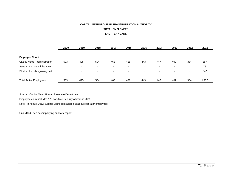## **CAPITAL METROPOLITAN TRANSPORTATION AUTHORITY**

**TOTAL EMPLOYEES**

**LAST TEN YEARS**

|                                 | 2020 | 2019                     | 2018                     | 2017                     | 2016                     | 2015                     | 2014                     | 2013           | 2012           | 2011  |
|---------------------------------|------|--------------------------|--------------------------|--------------------------|--------------------------|--------------------------|--------------------------|----------------|----------------|-------|
|                                 |      |                          |                          |                          |                          |                          |                          |                |                |       |
| <b>Employee Count</b>           |      |                          |                          |                          |                          |                          |                          |                |                |       |
| Capital Metro - administration  | 503  | 495                      | 504                      | 463                      | 428                      | 443                      | 447                      | 407            | 384            | 357   |
| Startran Inc. - administrative  |      | $\overline{\phantom{0}}$ | $\overline{\phantom{a}}$ | $\blacksquare$           | $\overline{\phantom{a}}$ | $\blacksquare$           | $\overline{\phantom{0}}$ |                | $\blacksquare$ | 78    |
| Startran Inc. - bargaining unit |      | $\blacksquare$           | $\overline{\phantom{0}}$ | $\overline{\phantom{0}}$ | $\overline{\phantom{a}}$ | $\overline{\phantom{0}}$ | $\blacksquare$           | $\blacksquare$ | $\sim$         | 842   |
|                                 |      |                          |                          |                          |                          |                          |                          |                |                |       |
| <b>Total Active Employees</b>   | 503  | 495                      | 504                      | 463                      | 428                      | 443                      | 447                      | 407            | 384            | 1,277 |

Source: Capital Metro Human Resource Department

Employee count includes 178 part-time Security officers in 2020

Note: In August 2012, Capital Metro contracted out all bus operator employees